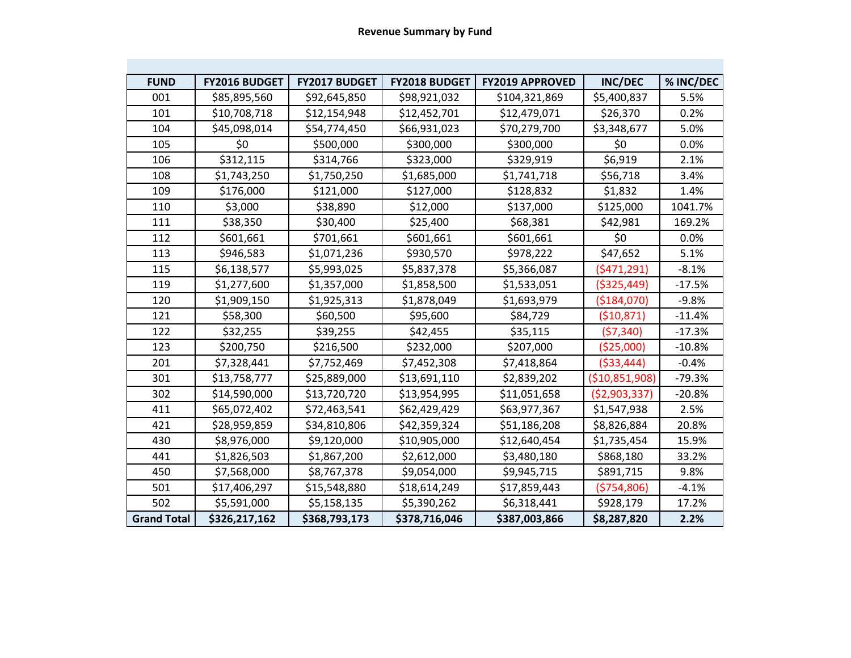| <b>FUND</b>        | FY2016 BUDGET | FY2017 BUDGET | FY2018 BUDGET | <b>FY2019 APPROVED</b> | <b>INC/DEC</b>  | % INC/DEC |
|--------------------|---------------|---------------|---------------|------------------------|-----------------|-----------|
| 001                | \$85,895,560  | \$92,645,850  | \$98,921,032  | \$104,321,869          | \$5,400,837     | 5.5%      |
| 101                | \$10,708,718  | \$12,154,948  | \$12,452,701  | \$12,479,071           | \$26,370        | 0.2%      |
| 104                | \$45,098,014  | \$54,774,450  | \$66,931,023  | \$70,279,700           | \$3,348,677     | 5.0%      |
| 105                | \$0           | \$500,000     | \$300,000     | \$300,000              | \$0             | 0.0%      |
| 106                | \$312,115     | \$314,766     | \$323,000     | \$329,919              | \$6,919         | 2.1%      |
| 108                | \$1,743,250   | \$1,750,250   | \$1,685,000   | \$1,741,718            | \$56,718        | 3.4%      |
| 109                | \$176,000     | \$121,000     | \$127,000     | \$128,832              | \$1,832         | 1.4%      |
| 110                | \$3,000       | \$38,890      | \$12,000      | \$137,000              | \$125,000       | 1041.7%   |
| 111                | \$38,350      | \$30,400      | \$25,400      | \$68,381               | \$42,981        | 169.2%    |
| 112                | \$601,661     | \$701,661     | \$601,661     | \$601,661              | \$0             | 0.0%      |
| 113                | \$946,583     | \$1,071,236   | \$930,570     | \$978,222              | \$47,652        | 5.1%      |
| 115                | \$6,138,577   | \$5,993,025   | \$5,837,378   | \$5,366,087            | (5471, 291)     | $-8.1%$   |
| 119                | \$1,277,600   | \$1,357,000   | \$1,858,500   | \$1,533,051            | ( \$325, 449)   | $-17.5%$  |
| 120                | \$1,909,150   | \$1,925,313   | \$1,878,049   | \$1,693,979            | ( \$184,070)    | $-9.8%$   |
| 121                | \$58,300      | \$60,500      | \$95,600      | \$84,729               | (510, 871)      | $-11.4%$  |
| 122                | \$32,255      | \$39,255      | \$42,455      | \$35,115               | (57, 340)       | $-17.3%$  |
| 123                | \$200,750     | \$216,500     | \$232,000     | \$207,000              | (\$25,000)      | $-10.8%$  |
| 201                | \$7,328,441   | \$7,752,469   | \$7,452,308   | \$7,418,864            | ( \$33,444)     | $-0.4%$   |
| 301                | \$13,758,777  | \$25,889,000  | \$13,691,110  | \$2,839,202            | ( \$10,851,908) | $-79.3%$  |
| 302                | \$14,590,000  | \$13,720,720  | \$13,954,995  | \$11,051,658           | (\$2,903,337)   | $-20.8%$  |
| 411                | \$65,072,402  | \$72,463,541  | \$62,429,429  | \$63,977,367           | \$1,547,938     | 2.5%      |
| 421                | \$28,959,859  | \$34,810,806  | \$42,359,324  | \$51,186,208           | \$8,826,884     | 20.8%     |
| 430                | \$8,976,000   | \$9,120,000   | \$10,905,000  | \$12,640,454           | \$1,735,454     | 15.9%     |
| 441                | \$1,826,503   | \$1,867,200   | \$2,612,000   | \$3,480,180            | \$868,180       | 33.2%     |
| 450                | \$7,568,000   | \$8,767,378   | \$9,054,000   | \$9,945,715            | \$891,715       | 9.8%      |
| 501                | \$17,406,297  | \$15,548,880  | \$18,614,249  | \$17,859,443           | ( \$754, 806)   | $-4.1%$   |
| 502                | \$5,591,000   | \$5,158,135   | \$5,390,262   | \$6,318,441            | \$928,179       | 17.2%     |
| <b>Grand Total</b> | \$326,217,162 | \$368,793,173 | \$378,716,046 | \$387,003,866          | \$8,287,820     | 2.2%      |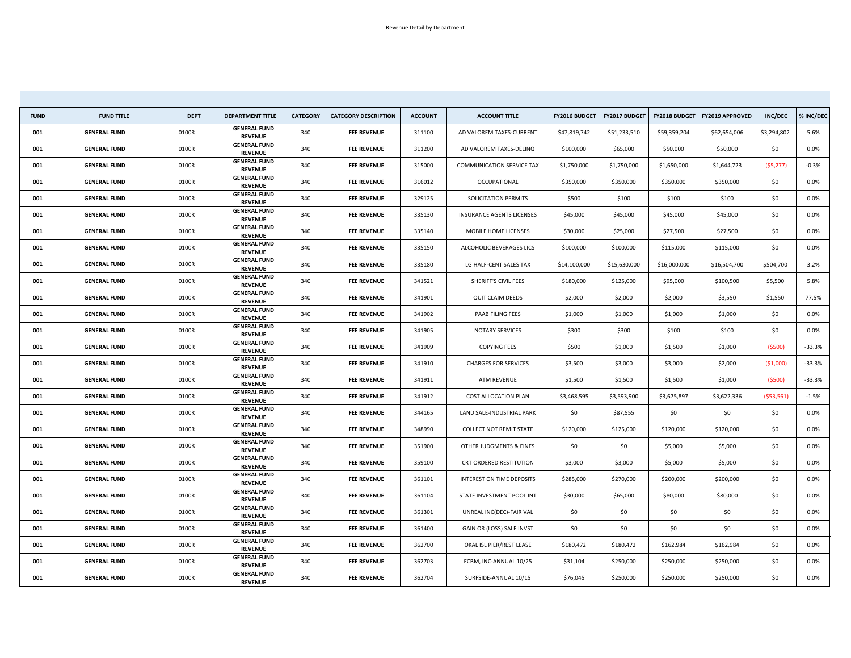| <b>FUND</b> | <b>FUND TITLE</b>   | <b>DEPT</b> | <b>DEPARTMENT TITLE</b>               | <b>CATEGORY</b> | <b>CATEGORY DESCRIPTION</b> | <b>ACCOUNT</b> | <b>ACCOUNT TITLE</b>             | FY2016 BUDGET | <b>FY2017 BUDGET</b> | <b>FY2018 BUDGET</b> | <b>FY2019 APPROVED</b> | <b>INC/DEC</b> | % INC/DEC |
|-------------|---------------------|-------------|---------------------------------------|-----------------|-----------------------------|----------------|----------------------------------|---------------|----------------------|----------------------|------------------------|----------------|-----------|
| 001         | <b>GENERAL FUND</b> | 0100R       | <b>GENERAL FUND</b><br><b>REVENUE</b> | 340             | <b>FEE REVENUE</b>          | 311100         | AD VALOREM TAXES-CURRENT         | \$47,819,742  | \$51,233,510         | \$59,359,204         | \$62,654,006           | \$3,294,802    | 5.6%      |
| 001         | <b>GENERAL FUND</b> | 0100R       | <b>GENERAL FUND</b><br><b>REVENUE</b> | 340             | <b>FEE REVENUE</b>          | 311200         | AD VALOREM TAXES-DELINQ          | \$100,000     | \$65,000             | \$50,000             | \$50,000               | \$0            | $0.0\%$   |
| 001         | <b>GENERAL FUND</b> | 0100R       | <b>GENERAL FUND</b><br><b>REVENUE</b> | 340             | <b>FEE REVENUE</b>          | 315000         | <b>COMMUNICATION SERVICE TAX</b> | \$1,750,000   | \$1,750,000          | \$1,650,000          | \$1,644,723            | (55, 277)      | $-0.3%$   |
| 001         | <b>GENERAL FUND</b> | 0100R       | <b>GENERAL FUND</b><br><b>REVENUE</b> | 340             | <b>FEE REVENUE</b>          | 316012         | OCCUPATIONAL                     | \$350,000     | \$350,000            | \$350,000            | \$350,000              | \$0            | $0.0\%$   |
| 001         | <b>GENERAL FUND</b> | 0100R       | <b>GENERAL FUND</b><br><b>REVENUE</b> | 340             | <b>FEE REVENUE</b>          | 329125         | SOLICITATION PERMITS             | \$500         | \$100                | \$100                | \$100                  | \$0            | $0.0\%$   |
| 001         | <b>GENERAL FUND</b> | 0100R       | <b>GENERAL FUND</b><br><b>REVENUE</b> | 340             | <b>FEE REVENUE</b>          | 335130         | <b>INSURANCE AGENTS LICENSES</b> | \$45,000      | \$45,000             | \$45,000             | \$45,000               | \$0            | $0.0\%$   |
| 001         | <b>GENERAL FUND</b> | 0100R       | <b>GENERAL FUND</b><br><b>REVENUE</b> | 340             | <b>FEE REVENUE</b>          | 335140         | MOBILE HOME LICENSES             | \$30,000      | \$25,000             | \$27,500             | \$27,500               | \$0            | $0.0\%$   |
| 001         | <b>GENERAL FUND</b> | 0100R       | <b>GENERAL FUND</b><br><b>REVENUE</b> | 340             | <b>FEE REVENUE</b>          | 335150         | ALCOHOLIC BEVERAGES LICS         | \$100,000     | \$100,000            | \$115,000            | \$115,000              | \$0            | $0.0\%$   |
| 001         | <b>GENERAL FUND</b> | 0100R       | <b>GENERAL FUND</b><br><b>REVENUE</b> | 340             | <b>FEE REVENUE</b>          | 335180         | LG HALF-CENT SALES TAX           | \$14,100,000  | \$15,630,000         | \$16,000,000         | \$16,504,700           | \$504,700      | 3.2%      |
| 001         | <b>GENERAL FUND</b> | 0100R       | <b>GENERAL FUND</b><br><b>REVENUE</b> | 340             | <b>FEE REVENUE</b>          | 341521         | SHERIFF'S CIVIL FEES             | \$180,000     | \$125,000            | \$95,000             | \$100,500              | \$5,500        | 5.8%      |
| 001         | <b>GENERAL FUND</b> | 0100R       | <b>GENERAL FUND</b><br><b>REVENUE</b> | 340             | <b>FEE REVENUE</b>          | 341901         | <b>QUIT CLAIM DEEDS</b>          | \$2,000       | \$2,000              | \$2,000              | \$3,550                | \$1,550        | 77.5%     |
| 001         | <b>GENERAL FUND</b> | 0100R       | <b>GENERAL FUND</b><br><b>REVENUE</b> | 340             | <b>FEE REVENUE</b>          | 341902         | PAAB FILING FEES                 | \$1,000       | \$1,000              | \$1,000              | \$1,000                | \$0            | $0.0\%$   |
| 001         | <b>GENERAL FUND</b> | 0100R       | <b>GENERAL FUND</b><br><b>REVENUE</b> | 340             | <b>FEE REVENUE</b>          | 341905         | <b>NOTARY SERVICES</b>           | \$300         | \$300                | \$100                | \$100                  | \$0            | $0.0\%$   |
| 001         | <b>GENERAL FUND</b> | 0100R       | <b>GENERAL FUND</b><br><b>REVENUE</b> | 340             | <b>FEE REVENUE</b>          | 341909         | <b>COPYING FEES</b>              | \$500         | \$1,000              | \$1,500              | \$1,000                | (5500)         | $-33.3%$  |
| 001         | <b>GENERAL FUND</b> | 0100R       | <b>GENERAL FUND</b><br><b>REVENUE</b> | 340             | <b>FEE REVENUE</b>          | 341910         | <b>CHARGES FOR SERVICES</b>      | \$3,500       | \$3,000              | \$3,000              | \$2,000                | (51,000)       | $-33.3%$  |
| 001         | <b>GENERAL FUND</b> | 0100R       | <b>GENERAL FUND</b><br><b>REVENUE</b> | 340             | <b>FEE REVENUE</b>          | 341911         | ATM REVENUE                      | \$1,500       | \$1,500              | \$1,500              | \$1,000                | (5500)         | $-33.3%$  |
| 001         | <b>GENERAL FUND</b> | 0100R       | <b>GENERAL FUND</b><br><b>REVENUE</b> | 340             | <b>FEE REVENUE</b>          | 341912         | <b>COST ALLOCATION PLAN</b>      | \$3,468,595   | \$3,593,900          | \$3,675,897          | \$3,622,336            | (553, 561)     | $-1.5%$   |
| 001         | <b>GENERAL FUND</b> | 0100R       | <b>GENERAL FUND</b><br><b>REVENUE</b> | 340             | <b>FEE REVENUE</b>          | 344165         | LAND SALE-INDUSTRIAL PARK        | \$0\$         | \$87,555             | \$0\$                | \$0                    | \$0            | $0.0\%$   |
| 001         | <b>GENERAL FUND</b> | 0100R       | <b>GENERAL FUND</b><br><b>REVENUE</b> | 340             | <b>FEE REVENUE</b>          | 348990         | <b>COLLECT NOT REMIT STATE</b>   | \$120,000     | \$125,000            | \$120,000            | \$120,000              | \$0            | $0.0\%$   |
| 001         | <b>GENERAL FUND</b> | 0100R       | <b>GENERAL FUND</b><br><b>REVENUE</b> | 340             | <b>FEE REVENUE</b>          | 351900         | OTHER JUDGMENTS & FINES          | \$0           | \$0\$                | \$5,000              | \$5,000                | \$0            | 0.0%      |
| 001         | <b>GENERAL FUND</b> | 0100R       | <b>GENERAL FUND</b><br><b>REVENUE</b> | 340             | <b>FEE REVENUE</b>          | 359100         | <b>CRT ORDERED RESTITUTION</b>   | \$3,000       | \$3,000              | \$5,000              | \$5,000                | \$0            | 0.0%      |
| 001         | <b>GENERAL FUND</b> | 0100R       | <b>GENERAL FUND</b><br><b>REVENUE</b> | 340             | <b>FEE REVENUE</b>          | 361101         | INTEREST ON TIME DEPOSITS        | \$285,000     | \$270,000            | \$200,000            | \$200,000              | \$0            | $0.0\%$   |
| 001         | <b>GENERAL FUND</b> | 0100R       | <b>GENERAL FUND</b><br><b>REVENUE</b> | 340             | <b>FEE REVENUE</b>          | 361104         | STATE INVESTMENT POOL INT        | \$30,000      | \$65,000             | \$80,000             | \$80,000               | \$0            | $0.0\%$   |
| 001         | <b>GENERAL FUND</b> | 0100R       | <b>GENERAL FUND</b><br><b>REVENUE</b> | 340             | <b>FEE REVENUE</b>          | 361301         | UNREAL INC(DEC)-FAIR VAL         | \$0\$         | \$0                  | \$0                  | \$0\$                  | \$0            | 0.0%      |
| 001         | <b>GENERAL FUND</b> | 0100R       | <b>GENERAL FUND</b><br><b>REVENUE</b> | 340             | <b>FEE REVENUE</b>          | 361400         | GAIN OR (LOSS) SALE INVST        | \$0\$         | \$0\$                | \$0                  | \$0                    | \$0\$          | $0.0\%$   |
| 001         | <b>GENERAL FUND</b> | 0100R       | <b>GENERAL FUND</b><br><b>REVENUE</b> | 340             | <b>FEE REVENUE</b>          | 362700         | OKAL ISL PIER/REST LEASE         | \$180,472     | \$180,472            | \$162,984            | \$162,984              | \$0            | 0.0%      |
| 001         | <b>GENERAL FUND</b> | 0100R       | <b>GENERAL FUND</b><br><b>REVENUE</b> | 340             | <b>FEE REVENUE</b>          | 362703         | ECBM, INC-ANNUAL 10/25           | \$31,104      | \$250,000            | \$250,000            | \$250,000              | \$0\$          | $0.0\%$   |
| 001         | <b>GENERAL FUND</b> | 0100R       | <b>GENERAL FUND</b><br><b>REVENUE</b> | 340             | <b>FEE REVENUE</b>          | 362704         | SURFSIDE-ANNUAL 10/15            | \$76,045      | \$250,000            | \$250,000            | \$250,000              | \$0            | $0.0\%$   |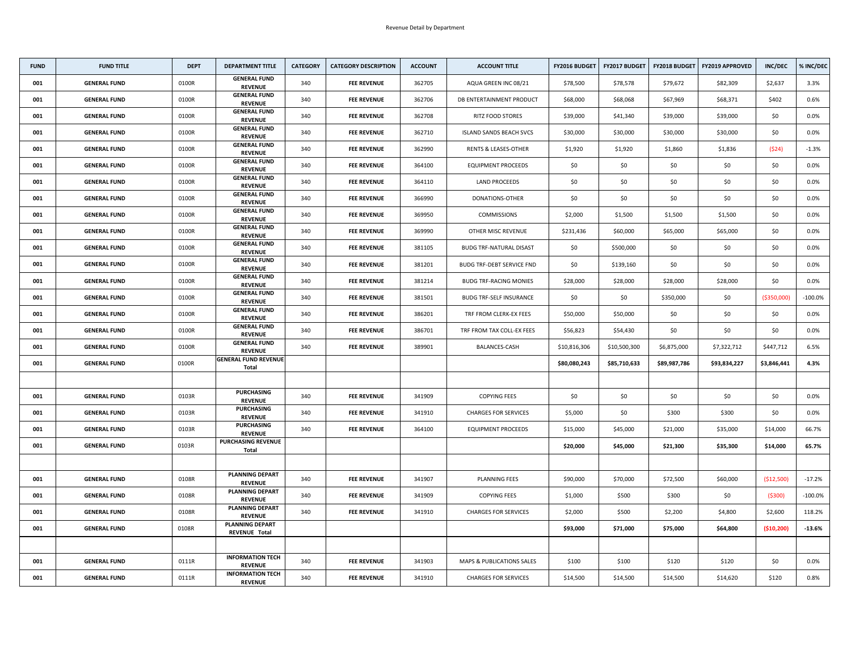| <b>FUND</b> | <b>FUND TITLE</b>   | <b>DEPT</b> | <b>DEPARTMENT TITLE</b>                        | <b>CATEGORY</b> | <b>CATEGORY DESCRIPTION</b> | <b>ACCOUNT</b> | <b>ACCOUNT TITLE</b>                 | <b>FY2016 BUDGET</b> | <b>FY2017 BUDGET</b> | <b>FY2018 BUDGET</b> | <b>FY2019 APPROVED</b> | <b>INC/DEC</b> | % INC/DEC  |
|-------------|---------------------|-------------|------------------------------------------------|-----------------|-----------------------------|----------------|--------------------------------------|----------------------|----------------------|----------------------|------------------------|----------------|------------|
| 001         | <b>GENERAL FUND</b> | 0100R       | <b>GENERAL FUND</b><br><b>REVENUE</b>          | 340             | <b>FEE REVENUE</b>          | 362705         | AQUA GREEN INC 08/21                 | \$78,500             | \$78,578             | \$79,672             | \$82,309               | \$2,637        | 3.3%       |
| 001         | <b>GENERAL FUND</b> | 0100R       | <b>GENERAL FUND</b><br><b>REVENUE</b>          | 340             | <b>FEE REVENUE</b>          | 362706         | DB ENTERTAINMENT PRODUCT             | \$68,000             | \$68,068             | \$67,969             | \$68,371               | \$402          | 0.6%       |
| 001         | <b>GENERAL FUND</b> | 0100R       | <b>GENERAL FUND</b><br><b>REVENUE</b>          | 340             | <b>FEE REVENUE</b>          | 362708         | <b>RITZ FOOD STORES</b>              | \$39,000             | \$41,340             | \$39,000             | \$39,000               | \$0            | $0.0\%$    |
| 001         | <b>GENERAL FUND</b> | 0100R       | <b>GENERAL FUND</b><br><b>REVENUE</b>          | 340             | <b>FEE REVENUE</b>          | 362710         | <b>ISLAND SANDS BEACH SVCS</b>       | \$30,000             | \$30,000             | \$30,000             | \$30,000               | \$0            | $0.0\%$    |
| 001         | <b>GENERAL FUND</b> | 0100R       | <b>GENERAL FUND</b><br><b>REVENUE</b>          | 340             | <b>FEE REVENUE</b>          | 362990         | <b>RENTS &amp; LEASES-OTHER</b>      | \$1,920              | \$1,920              | \$1,860              | \$1,836                | (524)          | $-1.3%$    |
| 001         | <b>GENERAL FUND</b> | 0100R       | <b>GENERAL FUND</b><br><b>REVENUE</b>          | 340             | <b>FEE REVENUE</b>          | 364100         | <b>EQUIPMENT PROCEEDS</b>            | \$0\$                | \$0                  | \$0                  | \$0                    | \$0            | $0.0\%$    |
| 001         | <b>GENERAL FUND</b> | 0100R       | <b>GENERAL FUND</b><br><b>REVENUE</b>          | 340             | <b>FEE REVENUE</b>          | 364110         | <b>LAND PROCEEDS</b>                 | \$0                  | \$0                  | \$0                  | \$0                    | \$0            | $0.0\%$    |
| 001         | <b>GENERAL FUND</b> | 0100R       | <b>GENERAL FUND</b><br><b>REVENUE</b>          | 340             | <b>FEE REVENUE</b>          | 366990         | DONATIONS-OTHER                      | \$0                  | \$0                  | \$0                  | \$0                    | \$0            | $0.0\%$    |
| 001         | <b>GENERAL FUND</b> | 0100R       | <b>GENERAL FUND</b><br><b>REVENUE</b>          | 340             | <b>FEE REVENUE</b>          | 369950         | <b>COMMISSIONS</b>                   | \$2,000              | \$1,500              | \$1,500              | \$1,500                | \$0            | $0.0\%$    |
| 001         | <b>GENERAL FUND</b> | 0100R       | <b>GENERAL FUND</b><br><b>REVENUE</b>          | 340             | <b>FEE REVENUE</b>          | 369990         | OTHER MISC REVENUE                   | \$231,436            | \$60,000             | \$65,000             | \$65,000               | \$0            | $0.0\%$    |
| 001         | <b>GENERAL FUND</b> | 0100R       | <b>GENERAL FUND</b><br><b>REVENUE</b>          | 340             | <b>FEE REVENUE</b>          | 381105         | <b>BUDG TRF-NATURAL DISAST</b>       | \$0\$                | \$500,000            | \$0                  | \$0                    | \$0            | $0.0\%$    |
| 001         | <b>GENERAL FUND</b> | 0100R       | <b>GENERAL FUND</b><br><b>REVENUE</b>          | 340             | <b>FEE REVENUE</b>          | 381201         | <b>BUDG TRF-DEBT SERVICE FND</b>     | \$0\$                | \$139,160            | \$0                  | \$0                    | \$0            | $0.0\%$    |
| 001         | <b>GENERAL FUND</b> | 0100R       | <b>GENERAL FUND</b><br><b>REVENUE</b>          | 340             | <b>FEE REVENUE</b>          | 381214         | <b>BUDG TRF-RACING MONIES</b>        | \$28,000             | \$28,000             | \$28,000             | \$28,000               | \$0            | $0.0\%$    |
| 001         | <b>GENERAL FUND</b> | 0100R       | <b>GENERAL FUND</b><br><b>REVENUE</b>          | 340             | <b>FEE REVENUE</b>          | 381501         | <b>BUDG TRF-SELF INSURANCE</b>       | \$0\$                | \$0                  | \$350,000            | \$0                    | ( \$350,000)   | $-100.0\%$ |
| 001         | <b>GENERAL FUND</b> | 0100R       | <b>GENERAL FUND</b><br><b>REVENUE</b>          | 340             | <b>FEE REVENUE</b>          | 386201         | TRF FROM CLERK-EX FEES               | \$50,000             | \$50,000             | \$0                  | \$0                    | \$0            | 0.0%       |
| 001         | <b>GENERAL FUND</b> | 0100R       | <b>GENERAL FUND</b><br><b>REVENUE</b>          | 340             | <b>FEE REVENUE</b>          | 386701         | TRF FROM TAX COLL-EX FEES            | \$56,823             | \$54,430             | \$0                  | \$0                    | \$0            | $0.0\%$    |
| 001         | <b>GENERAL FUND</b> | 0100R       | <b>GENERAL FUND</b><br><b>REVENUE</b>          | 340             | <b>FEE REVENUE</b>          | 389901         | <b>BALANCES-CASH</b>                 | \$10,816,306         | \$10,500,300         | \$6,875,000          | \$7,322,712            | \$447,712      | 6.5%       |
| 001         | <b>GENERAL FUND</b> | 0100R       | <b>GENERAL FUND REVENUE</b><br><b>Total</b>    |                 |                             |                |                                      | \$80,080,243         | \$85,710,633         | \$89,987,786         | \$93,834,227           | \$3,846,441    | 4.3%       |
|             |                     |             |                                                |                 |                             |                |                                      |                      |                      |                      |                        |                |            |
| 001         | <b>GENERAL FUND</b> | 0103R       | <b>PURCHASING</b><br><b>REVENUE</b>            | 340             | <b>FEE REVENUE</b>          | 341909         | <b>COPYING FEES</b>                  | \$0\$                | \$0                  | \$0                  | \$0                    | \$0\$          | $0.0\%$    |
| 001         | <b>GENERAL FUND</b> | 0103R       | <b>PURCHASING</b><br><b>REVENUE</b>            | 340             | <b>FEE REVENUE</b>          | 341910         | <b>CHARGES FOR SERVICES</b>          | \$5,000              | \$0                  | \$300                | \$300                  | \$0            | $0.0\%$    |
| 001         | <b>GENERAL FUND</b> | 0103R       | <b>PURCHASING</b><br><b>REVENUE</b>            | 340             | <b>FEE REVENUE</b>          | 364100         | <b>EQUIPMENT PROCEEDS</b>            | \$15,000             | \$45,000             | \$21,000             | \$35,000               | \$14,000       | 66.7%      |
| 001         | <b>GENERAL FUND</b> | 0103R       | <b>PURCHASING REVENUE</b><br>Total             |                 |                             |                |                                      | \$20,000             | \$45,000             | \$21,300             | \$35,300               | \$14,000       | 65.7%      |
|             |                     |             |                                                |                 |                             |                |                                      |                      |                      |                      |                        |                |            |
| 001         | <b>GENERAL FUND</b> | 0108R       | <b>PLANNING DEPART</b><br><b>REVENUE</b>       | 340             | <b>FEE REVENUE</b>          | 341907         | PLANNING FEES                        | \$90,000             | \$70,000             | \$72,500             | \$60,000               | ( \$12,500)    | $-17.2%$   |
| 001         | <b>GENERAL FUND</b> | 0108R       | <b>PLANNING DEPART</b><br><b>REVENUE</b>       | 340             | <b>FEE REVENUE</b>          | 341909         | <b>COPYING FEES</b>                  | \$1,000              | \$500                | \$300                | \$0                    | ( \$300)       | $-100.0\%$ |
| 001         | <b>GENERAL FUND</b> | 0108R       | <b>PLANNING DEPART</b><br><b>REVENUE</b>       | 340             | <b>FEE REVENUE</b>          | 341910         | <b>CHARGES FOR SERVICES</b>          | \$2,000              | \$500                | \$2,200              | \$4,800                | \$2,600        | 118.2%     |
| 001         | <b>GENERAL FUND</b> | 0108R       | <b>PLANNING DEPART</b><br><b>REVENUE Total</b> |                 |                             |                |                                      | \$93,000             | \$71,000             | \$75,000             | \$64,800               | (\$10,200)     | $-13.6%$   |
|             |                     |             |                                                |                 |                             |                |                                      |                      |                      |                      |                        |                |            |
| 001         | <b>GENERAL FUND</b> | 0111R       | <b>INFORMATION TECH</b><br><b>REVENUE</b>      | 340             | <b>FEE REVENUE</b>          | 341903         | <b>MAPS &amp; PUBLICATIONS SALES</b> | \$100                | \$100                | \$120                | \$120                  | \$0            | $0.0\%$    |
| 001         | <b>GENERAL FUND</b> | 0111R       | <b>INFORMATION TECH</b><br><b>REVENUE</b>      | 340             | <b>FEE REVENUE</b>          | 341910         | <b>CHARGES FOR SERVICES</b>          | \$14,500             | \$14,500             | \$14,500             | \$14,620               | \$120          | 0.8%       |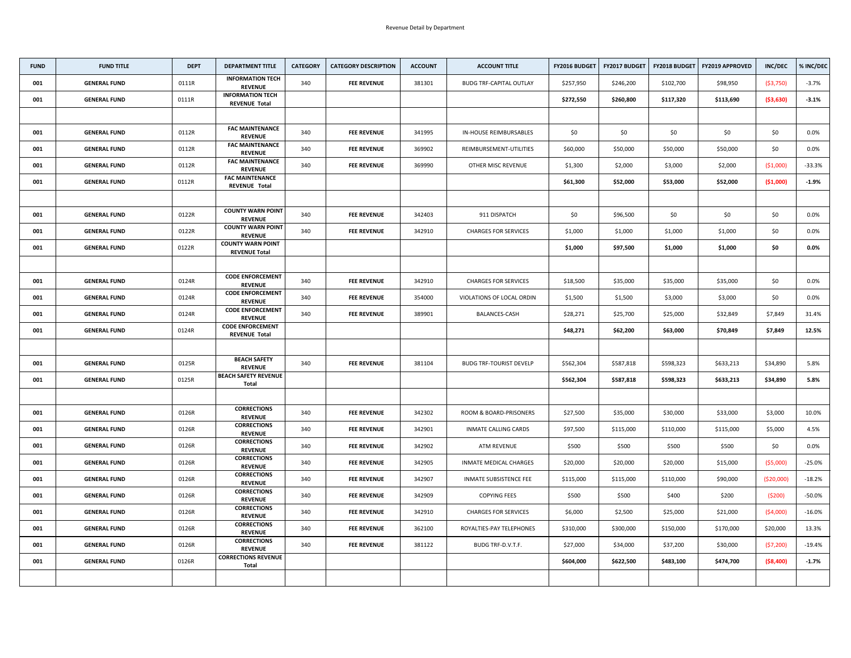| <b>FUND</b> | <b>FUND TITLE</b>   | <b>DEPT</b> | <b>DEPARTMENT TITLE</b>                          | <b>CATEGORY</b> | <b>CATEGORY DESCRIPTION</b> | <b>ACCOUNT</b> | <b>ACCOUNT TITLE</b>           | <b>FY2016 BUDGET</b> | <b>FY2017 BUDGET</b> | <b>FY2018 BUDGET</b> | <b>FY2019 APPROVED</b> | <b>INC/DEC</b> | % INC/DEC |
|-------------|---------------------|-------------|--------------------------------------------------|-----------------|-----------------------------|----------------|--------------------------------|----------------------|----------------------|----------------------|------------------------|----------------|-----------|
| 001         | <b>GENERAL FUND</b> | 0111R       | <b>INFORMATION TECH</b><br><b>REVENUE</b>        | 340             | <b>FEE REVENUE</b>          | 381301         | <b>BUDG TRF-CAPITAL OUTLAY</b> | \$257,950            | \$246,200            | \$102,700            | \$98,950               | (\$3,750)      | $-3.7%$   |
| 001         | <b>GENERAL FUND</b> | 0111R       | <b>INFORMATION TECH</b><br><b>REVENUE Total</b>  |                 |                             |                |                                | \$272,550            | \$260,800            | \$117,320            | \$113,690              | (\$3,630)      | $-3.1%$   |
|             |                     |             |                                                  |                 |                             |                |                                |                      |                      |                      |                        |                |           |
| 001         | <b>GENERAL FUND</b> | 0112R       | <b>FAC MAINTENANCE</b><br><b>REVENUE</b>         | 340             | <b>FEE REVENUE</b>          | 341995         | <b>IN-HOUSE REIMBURSABLES</b>  | \$0                  | \$0                  | \$0                  | \$0\$                  | \$0            | $0.0\%$   |
| 001         | <b>GENERAL FUND</b> | 0112R       | <b>FAC MAINTENANCE</b><br><b>REVENUE</b>         | 340             | <b>FEE REVENUE</b>          | 369902         | REIMBURSEMENT-UTILITIES        | \$60,000             | \$50,000             | \$50,000             | \$50,000               | \$0            | $0.0\%$   |
| 001         | <b>GENERAL FUND</b> | 0112R       | <b>FAC MAINTENANCE</b><br><b>REVENUE</b>         | 340             | <b>FEE REVENUE</b>          | 369990         | <b>OTHER MISC REVENUE</b>      | \$1,300              | \$2,000              | \$3,000              | \$2,000                | ( \$1,000)     | $-33.3%$  |
| 001         | <b>GENERAL FUND</b> | 0112R       | <b>FAC MAINTENANCE</b><br><b>REVENUE Total</b>   |                 |                             |                |                                | \$61,300             | \$52,000             | \$53,000             | \$52,000               | ( \$1,000)     | $-1.9%$   |
|             |                     |             |                                                  |                 |                             |                |                                |                      |                      |                      |                        |                |           |
| 001         | <b>GENERAL FUND</b> | 0122R       | <b>COUNTY WARN POINT</b><br><b>REVENUE</b>       | 340             | <b>FEE REVENUE</b>          | 342403         | 911 DISPATCH                   | \$0                  | \$96,500             | \$0                  | \$0                    | \$0            | $0.0\%$   |
| 001         | <b>GENERAL FUND</b> | 0122R       | <b>COUNTY WARN POINT</b><br><b>REVENUE</b>       | 340             | <b>FEE REVENUE</b>          | 342910         | <b>CHARGES FOR SERVICES</b>    | \$1,000              | \$1,000              | \$1,000              | \$1,000                | \$0            | $0.0\%$   |
| 001         | <b>GENERAL FUND</b> | 0122R       | <b>COUNTY WARN POINT</b><br><b>REVENUE Total</b> |                 |                             |                |                                | \$1,000              | \$97,500             | \$1,000              | \$1,000                | \$0            | $0.0\%$   |
|             |                     |             |                                                  |                 |                             |                |                                |                      |                      |                      |                        |                |           |
| 001         | <b>GENERAL FUND</b> | 0124R       | <b>CODE ENFORCEMENT</b><br><b>REVENUE</b>        | 340             | <b>FEE REVENUE</b>          | 342910         | <b>CHARGES FOR SERVICES</b>    | \$18,500             | \$35,000             | \$35,000             | \$35,000               | \$0            | $0.0\%$   |
| 001         | <b>GENERAL FUND</b> | 0124R       | <b>CODE ENFORCEMENT</b><br><b>REVENUE</b>        | 340             | <b>FEE REVENUE</b>          | 354000         | VIOLATIONS OF LOCAL ORDIN      | \$1,500              | \$1,500              | \$3,000              | \$3,000                | \$0            | $0.0\%$   |
| 001         | <b>GENERAL FUND</b> | 0124R       | <b>CODE ENFORCEMENT</b><br><b>REVENUE</b>        | 340             | <b>FEE REVENUE</b>          | 389901         | <b>BALANCES-CASH</b>           | \$28,271             | \$25,700             | \$25,000             | \$32,849               | \$7,849        | 31.4%     |
| 001         | <b>GENERAL FUND</b> | 0124R       | <b>CODE ENFORCEMENT</b><br><b>REVENUE Total</b>  |                 |                             |                |                                | \$48,271             | \$62,200             | \$63,000             | \$70,849               | \$7,849        | 12.5%     |
|             |                     |             |                                                  |                 |                             |                |                                |                      |                      |                      |                        |                |           |
| 001         | <b>GENERAL FUND</b> | 0125R       | <b>BEACH SAFETY</b><br><b>REVENUE</b>            | 340             | <b>FEE REVENUE</b>          | 381104         | <b>BUDG TRF-TOURIST DEVELP</b> | \$562,304            | \$587,818            | \$598,323            | \$633,213              | \$34,890       | 5.8%      |
| 001         | <b>GENERAL FUND</b> | 0125R       | <b>BEACH SAFETY REVENUE</b><br><b>Total</b>      |                 |                             |                |                                | \$562,304            | \$587,818            | \$598,323            | \$633,213              | \$34,890       | 5.8%      |
|             |                     |             |                                                  |                 |                             |                |                                |                      |                      |                      |                        |                |           |
| 001         | <b>GENERAL FUND</b> | 0126R       | <b>CORRECTIONS</b><br><b>REVENUE</b>             | 340             | <b>FEE REVENUE</b>          | 342302         | ROOM & BOARD-PRISONERS         | \$27,500             | \$35,000             | \$30,000             | \$33,000               | \$3,000        | 10.0%     |
| 001         | <b>GENERAL FUND</b> | 0126R       | <b>CORRECTIONS</b><br><b>REVENUE</b>             | 340             | <b>FEE REVENUE</b>          | 342901         | <b>INMATE CALLING CARDS</b>    | \$97,500             | \$115,000            | \$110,000            | \$115,000              | \$5,000        | 4.5%      |
| 001         | <b>GENERAL FUND</b> | 0126R       | <b>CORRECTIONS</b><br><b>REVENUE</b>             | 340             | <b>FEE REVENUE</b>          | 342902         | ATM REVENUE                    | \$500                | \$500                | \$500                | \$500                  | \$0            | $0.0\%$   |
| 001         | <b>GENERAL FUND</b> | 0126R       | <b>CORRECTIONS</b><br><b>REVENUE</b>             | 340             | <b>FEE REVENUE</b>          | 342905         | <b>INMATE MEDICAL CHARGES</b>  | \$20,000             | \$20,000             | \$20,000             | \$15,000               | (\$5,000)      | $-25.0%$  |
| 001         | <b>GENERAL FUND</b> | 0126R       | <b>CORRECTIONS</b><br><b>REVENUE</b>             | 340             | <b>FEE REVENUE</b>          | 342907         | <b>INMATE SUBSISTENCE FEE</b>  | \$115,000            | \$115,000            | \$110,000            | \$90,000               | ( \$20,000)    | $-18.2%$  |
| 001         | <b>GENERAL FUND</b> | 0126R       | <b>CORRECTIONS</b><br><b>REVENUE</b>             | 340             | <b>FEE REVENUE</b>          | 342909         | <b>COPYING FEES</b>            | \$500                | \$500                | \$400                | \$200                  | (5200)         | $-50.0\%$ |
| 001         | <b>GENERAL FUND</b> | 0126R       | <b>CORRECTIONS</b><br><b>REVENUE</b>             | 340             | <b>FEE REVENUE</b>          | 342910         | <b>CHARGES FOR SERVICES</b>    | \$6,000              | \$2,500              | \$25,000             | \$21,000               | (\$4,000)      | $-16.0%$  |
| 001         | <b>GENERAL FUND</b> | 0126R       | <b>CORRECTIONS</b><br><b>REVENUE</b>             | 340             | <b>FEE REVENUE</b>          | 362100         | ROYALTIES-PAY TELEPHONES       | \$310,000            | \$300,000            | \$150,000            | \$170,000              | \$20,000       | 13.3%     |
| 001         | <b>GENERAL FUND</b> | 0126R       | <b>CORRECTIONS</b><br><b>REVENUE</b>             | 340             | <b>FEE REVENUE</b>          | 381122         | BUDG TRF-D.V.T.F.              | \$27,000             | \$34,000             | \$37,200             | \$30,000               | (\$7,200)      | $-19.4%$  |
| 001         | <b>GENERAL FUND</b> | 0126R       | <b>CORRECTIONS REVENUE</b><br><b>Total</b>       |                 |                             |                |                                | \$604,000            | \$622,500            | \$483,100            | \$474,700              | (\$8,400)      | $-1.7%$   |
|             |                     |             |                                                  |                 |                             |                |                                |                      |                      |                      |                        |                |           |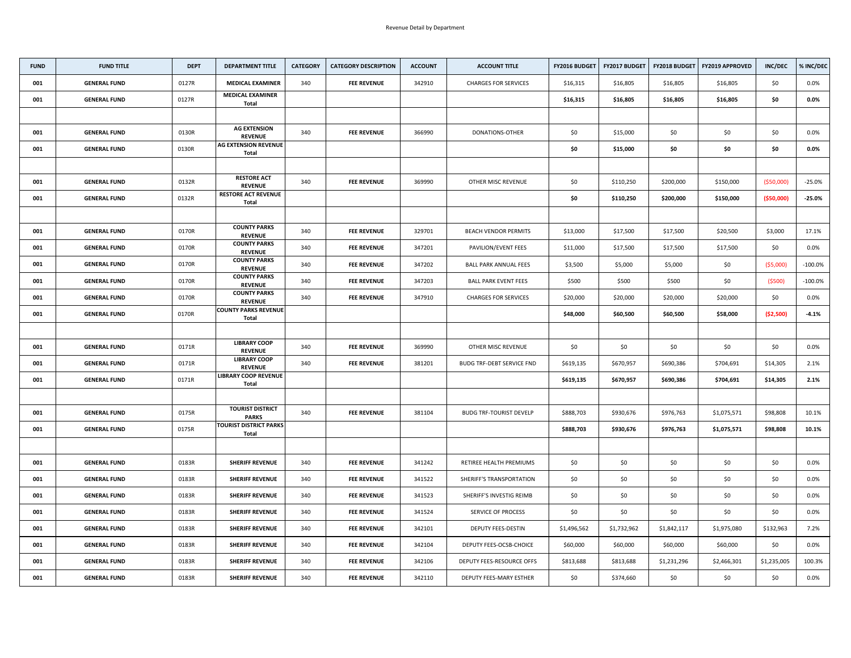| <b>FUND</b> | <b>FUND TITLE</b>   | <b>DEPT</b> | <b>DEPARTMENT TITLE</b>                       | <b>CATEGORY</b> | <b>CATEGORY DESCRIPTION</b> | <b>ACCOUNT</b> | <b>ACCOUNT TITLE</b>             | FY2016 BUDGET | <b>FY2017 BUDGET</b> |             | FY2018 BUDGET   FY2019 APPROVED | <b>INC/DEC</b> | % INC/DEC  |
|-------------|---------------------|-------------|-----------------------------------------------|-----------------|-----------------------------|----------------|----------------------------------|---------------|----------------------|-------------|---------------------------------|----------------|------------|
| 001         | <b>GENERAL FUND</b> | 0127R       | <b>MEDICAL EXAMINER</b>                       | 340             | <b>FEE REVENUE</b>          | 342910         | <b>CHARGES FOR SERVICES</b>      | \$16,315      | \$16,805             | \$16,805    | \$16,805                        | \$0            | 0.0%       |
| 001         | <b>GENERAL FUND</b> | 0127R       | <b>MEDICAL EXAMINER</b><br><b>Total</b>       |                 |                             |                |                                  | \$16,315      | \$16,805             | \$16,805    | \$16,805                        | \$0            | $0.0\%$    |
|             |                     |             |                                               |                 |                             |                |                                  |               |                      |             |                                 |                |            |
| 001         | <b>GENERAL FUND</b> | 0130R       | <b>AG EXTENSION</b><br><b>REVENUE</b>         | 340             | <b>FEE REVENUE</b>          | 366990         | <b>DONATIONS-OTHER</b>           | \$0\$         | \$15,000             | \$0         | \$0                             | \$0            | 0.0%       |
| 001         | <b>GENERAL FUND</b> | 0130R       | <b>AG EXTENSION REVENUE</b><br><b>Total</b>   |                 |                             |                |                                  | \$0           | \$15,000             | \$0         | \$0                             | \$0            | $0.0\%$    |
|             |                     |             |                                               |                 |                             |                |                                  |               |                      |             |                                 |                |            |
| 001         | <b>GENERAL FUND</b> | 0132R       | <b>RESTORE ACT</b><br><b>REVENUE</b>          | 340             | <b>FEE REVENUE</b>          | 369990         | OTHER MISC REVENUE               | \$0           | \$110,250            | \$200,000   | \$150,000                       | ( \$50,000]    | $-25.0%$   |
| 001         | <b>GENERAL FUND</b> | 0132R       | <b>RESTORE ACT REVENUE</b><br><b>Total</b>    |                 |                             |                |                                  | \$0           | \$110,250            | \$200,000   | \$150,000                       | ( \$50,000]    | $-25.0%$   |
|             |                     |             |                                               |                 |                             |                |                                  |               |                      |             |                                 |                |            |
| 001         | <b>GENERAL FUND</b> | 0170R       | <b>COUNTY PARKS</b><br><b>REVENUE</b>         | 340             | <b>FEE REVENUE</b>          | 329701         | <b>BEACH VENDOR PERMITS</b>      | \$13,000      | \$17,500             | \$17,500    | \$20,500                        | \$3,000        | 17.1%      |
| 001         | <b>GENERAL FUND</b> | 0170R       | <b>COUNTY PARKS</b><br><b>REVENUE</b>         | 340             | <b>FEE REVENUE</b>          | 347201         | PAVILION/EVENT FEES              | \$11,000      | \$17,500             | \$17,500    | \$17,500                        | \$0            | $0.0\%$    |
| 001         | <b>GENERAL FUND</b> | 0170R       | <b>COUNTY PARKS</b><br><b>REVENUE</b>         | 340             | <b>FEE REVENUE</b>          | 347202         | <b>BALL PARK ANNUAL FEES</b>     | \$3,500       | \$5,000              | \$5,000     | \$0                             | (55,000)       | $-100.0%$  |
| 001         | <b>GENERAL FUND</b> | 0170R       | <b>COUNTY PARKS</b><br><b>REVENUE</b>         | 340             | <b>FEE REVENUE</b>          | 347203         | <b>BALL PARK EVENT FEES</b>      | \$500         | \$500                | \$500       | \$0                             | (5500)         | $-100.0\%$ |
| 001         | <b>GENERAL FUND</b> | 0170R       | <b>COUNTY PARKS</b><br><b>REVENUE</b>         | 340             | <b>FEE REVENUE</b>          | 347910         | <b>CHARGES FOR SERVICES</b>      | \$20,000      | \$20,000             | \$20,000    | \$20,000                        | \$0            | 0.0%       |
| 001         | <b>GENERAL FUND</b> | 0170R       | <b>COUNTY PARKS REVENUE</b><br><b>Total</b>   |                 |                             |                |                                  | \$48,000      | \$60,500             | \$60,500    | \$58,000                        | ( \$2,500)     | $-4.1%$    |
|             |                     |             |                                               |                 |                             |                |                                  |               |                      |             |                                 |                |            |
| 001         | <b>GENERAL FUND</b> | 0171R       | <b>LIBRARY COOP</b><br><b>REVENUE</b>         | 340             | <b>FEE REVENUE</b>          | 369990         | OTHER MISC REVENUE               | \$0           | \$0                  | \$0         | \$0                             | \$0\$          | $0.0\%$    |
| 001         | <b>GENERAL FUND</b> | 0171R       | <b>LIBRARY COOP</b><br><b>REVENUE</b>         | 340             | <b>FEE REVENUE</b>          | 381201         | <b>BUDG TRF-DEBT SERVICE FND</b> | \$619,135     | \$670,957            | \$690,386   | \$704,691                       | \$14,305       | 2.1%       |
| 001         | <b>GENERAL FUND</b> | 0171R       | <b>LIBRARY COOP REVENUE</b><br><b>Total</b>   |                 |                             |                |                                  | \$619,135     | \$670,957            | \$690,386   | \$704,691                       | \$14,305       | 2.1%       |
|             |                     |             |                                               |                 |                             |                |                                  |               |                      |             |                                 |                |            |
| 001         | <b>GENERAL FUND</b> | 0175R       | <b>TOURIST DISTRICT</b><br><b>PARKS</b>       | 340             | <b>FEE REVENUE</b>          | 381104         | <b>BUDG TRF-TOURIST DEVELP</b>   | \$888,703     | \$930,676            | \$976,763   | \$1,075,571                     | \$98,808       | 10.1%      |
| 001         | <b>GENERAL FUND</b> | 0175R       | <b>TOURIST DISTRICT PARKS</b><br><b>Total</b> |                 |                             |                |                                  | \$888,703     | \$930,676            | \$976,763   | \$1,075,571                     | \$98,808       | 10.1%      |
|             |                     |             |                                               |                 |                             |                |                                  |               |                      |             |                                 |                |            |
| 001         | <b>GENERAL FUND</b> | 0183R       | <b>SHERIFF REVENUE</b>                        | 340             | <b>FEE REVENUE</b>          | 341242         | RETIREE HEALTH PREMIUMS          | \$0           | \$0                  | \$0         | \$0                             | \$0            | $0.0\%$    |
| 001         | <b>GENERAL FUND</b> | 0183R       | <b>SHERIFF REVENUE</b>                        | 340             | <b>FEE REVENUE</b>          | 341522         | SHERIFF'S TRANSPORTATION         | \$0           | \$0                  | \$0         | \$0                             | \$0            | $0.0\%$    |
| 001         | <b>GENERAL FUND</b> | 0183R       | <b>SHERIFF REVENUE</b>                        | 340             | <b>FEE REVENUE</b>          | 341523         | SHERIFF'S INVESTIG REIMB         | \$0           | \$0                  | \$0         | \$0                             | \$0            | $0.0\%$    |
| 001         | <b>GENERAL FUND</b> | 0183R       | <b>SHERIFF REVENUE</b>                        | 340             | <b>FEE REVENUE</b>          | 341524         | SERVICE OF PROCESS               | \$0           | \$0                  | \$0         | \$0                             | \$0            | $0.0\%$    |
| 001         | <b>GENERAL FUND</b> | 0183R       | <b>SHERIFF REVENUE</b>                        | 340             | <b>FEE REVENUE</b>          | 342101         | DEPUTY FEES-DESTIN               | \$1,496,562   | \$1,732,962          | \$1,842,117 | \$1,975,080                     | \$132,963      | 7.2%       |
| 001         | <b>GENERAL FUND</b> | 0183R       | <b>SHERIFF REVENUE</b>                        | 340             | <b>FEE REVENUE</b>          | 342104         | <b>DEPUTY FEES-OCSB-CHOICE</b>   | \$60,000      | \$60,000             | \$60,000    | \$60,000                        | \$0            | $0.0\%$    |
| 001         | <b>GENERAL FUND</b> | 0183R       | <b>SHERIFF REVENUE</b>                        | 340             | <b>FEE REVENUE</b>          | 342106         | DEPUTY FEES-RESOURCE OFFS        | \$813,688     | \$813,688            | \$1,231,296 | \$2,466,301                     | \$1,235,005    | 100.3%     |
| 001         | <b>GENERAL FUND</b> | 0183R       | <b>SHERIFF REVENUE</b>                        | 340             | <b>FEE REVENUE</b>          | 342110         | <b>DEPUTY FEES-MARY ESTHER</b>   | \$0           | \$374,660            | \$0         | \$0                             | \$0            | $0.0\%$    |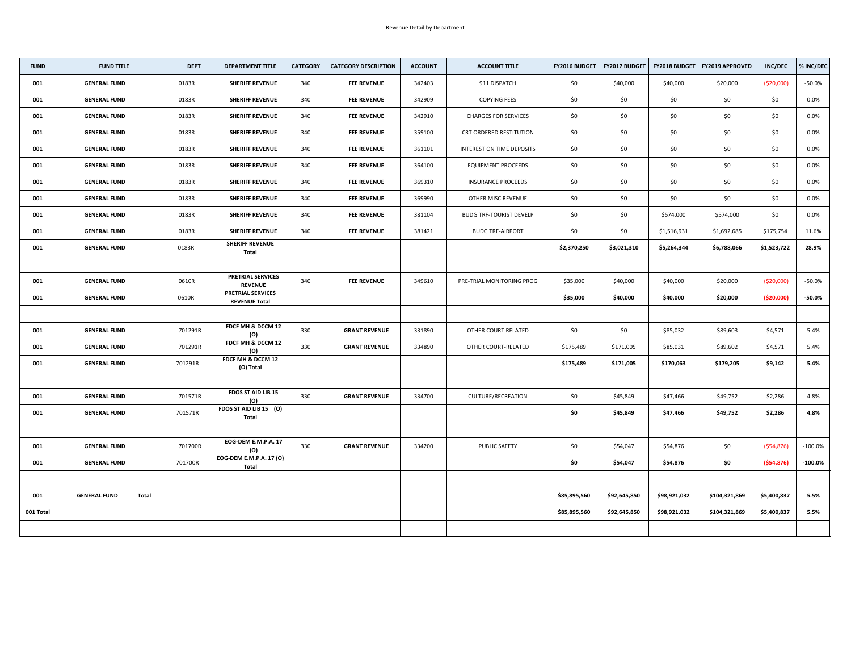| <b>FUND</b> | <b>FUND TITLE</b>            | <b>DEPT</b> | <b>DEPARTMENT TITLE</b>                          | <b>CATEGORY</b> | <b>CATEGORY DESCRIPTION</b> | <b>ACCOUNT</b> | <b>ACCOUNT TITLE</b>           | <b>FY2016 BUDGET</b> | FY2017 BUDGET |              | <b>FY2018 BUDGET   FY2019 APPROVED</b> | <b>INC/DEC</b> | % INC/DEC  |
|-------------|------------------------------|-------------|--------------------------------------------------|-----------------|-----------------------------|----------------|--------------------------------|----------------------|---------------|--------------|----------------------------------------|----------------|------------|
| 001         | <b>GENERAL FUND</b>          | 0183R       | <b>SHERIFF REVENUE</b>                           | 340             | <b>FEE REVENUE</b>          | 342403         | 911 DISPATCH                   | \$0                  | \$40,000      | \$40,000     | \$20,000                               | ( \$20,000]    | $-50.0%$   |
| 001         | <b>GENERAL FUND</b>          | 0183R       | <b>SHERIFF REVENUE</b>                           | 340             | <b>FEE REVENUE</b>          | 342909         | <b>COPYING FEES</b>            | \$0                  | \$0           | \$0          | \$0                                    | \$0            | 0.0%       |
| 001         | <b>GENERAL FUND</b>          | 0183R       | <b>SHERIFF REVENUE</b>                           | 340             | <b>FEE REVENUE</b>          | 342910         | <b>CHARGES FOR SERVICES</b>    | \$0                  | \$0           | \$0          | \$0                                    | \$0            | $0.0\%$    |
| 001         | <b>GENERAL FUND</b>          | 0183R       | <b>SHERIFF REVENUE</b>                           | 340             | <b>FEE REVENUE</b>          | 359100         | CRT ORDERED RESTITUTION        | \$0\$                | \$0           | \$0          | \$0                                    | \$0            | 0.0%       |
| 001         | <b>GENERAL FUND</b>          | 0183R       | <b>SHERIFF REVENUE</b>                           | 340             | <b>FEE REVENUE</b>          | 361101         | INTEREST ON TIME DEPOSITS      | \$0\$                | \$0           | \$0          | \$0                                    | \$0            | $0.0\%$    |
| 001         | <b>GENERAL FUND</b>          | 0183R       | <b>SHERIFF REVENUE</b>                           | 340             | <b>FEE REVENUE</b>          | 364100         | <b>EQUIPMENT PROCEEDS</b>      | \$0                  | \$0           | \$0          | \$0                                    | \$0            | $0.0\%$    |
| 001         | <b>GENERAL FUND</b>          | 0183R       | <b>SHERIFF REVENUE</b>                           | 340             | <b>FEE REVENUE</b>          | 369310         | <b>INSURANCE PROCEEDS</b>      | \$0                  | \$0           | \$0          | \$0                                    | \$0            | 0.0%       |
| 001         | <b>GENERAL FUND</b>          | 0183R       | <b>SHERIFF REVENUE</b>                           | 340             | <b>FEE REVENUE</b>          | 369990         | OTHER MISC REVENUE             | \$0                  | \$0           | \$0          | \$0                                    | \$0            | 0.0%       |
| 001         | <b>GENERAL FUND</b>          | 0183R       | <b>SHERIFF REVENUE</b>                           | 340             | <b>FEE REVENUE</b>          | 381104         | <b>BUDG TRF-TOURIST DEVELP</b> | \$0                  | \$0           | \$574,000    | \$574,000                              | \$0            | $0.0\%$    |
| 001         | <b>GENERAL FUND</b>          | 0183R       | <b>SHERIFF REVENUE</b>                           | 340             | <b>FEE REVENUE</b>          | 381421         | <b>BUDG TRF-AIRPORT</b>        | \$0\$                | \$0\$         | \$1,516,931  | \$1,692,685                            | \$175,754      | 11.6%      |
| 001         | <b>GENERAL FUND</b>          | 0183R       | <b>SHERIFF REVENUE</b><br><b>Total</b>           |                 |                             |                |                                | \$2,370,250          | \$3,021,310   | \$5,264,344  | \$6,788,066                            | \$1,523,722    | 28.9%      |
|             |                              |             |                                                  |                 |                             |                |                                |                      |               |              |                                        |                |            |
| 001         | <b>GENERAL FUND</b>          | 0610R       | <b>PRETRIAL SERVICES</b><br><b>REVENUE</b>       | 340             | <b>FEE REVENUE</b>          | 349610         | PRE-TRIAL MONITORING PROG      | \$35,000             | \$40,000      | \$40,000     | \$20,000                               | (520,000)      | $-50.0%$   |
| 001         | <b>GENERAL FUND</b>          | 0610R       | <b>PRETRIAL SERVICES</b><br><b>REVENUE Total</b> |                 |                             |                |                                | \$35,000             | \$40,000      | \$40,000     | \$20,000                               | ( \$20,000]    | $-50.0%$   |
|             |                              |             |                                                  |                 |                             |                |                                |                      |               |              |                                        |                |            |
| 001         | <b>GENERAL FUND</b>          | 701291R     | FDCF MH & DCCM 12<br>(O)                         | 330             | <b>GRANT REVENUE</b>        | 331890         | OTHER COURT RELATED            | \$0\$                | \$0\$         | \$85,032     | \$89,603                               | \$4,571        | 5.4%       |
| 001         | <b>GENERAL FUND</b>          | 701291R     | FDCF MH & DCCM 12<br>(O)                         | 330             | <b>GRANT REVENUE</b>        | 334890         | OTHER COURT-RELATED            | \$175,489            | \$171,005     | \$85,031     | \$89,602                               | \$4,571        | 5.4%       |
| 001         | <b>GENERAL FUND</b>          | 701291R     | FDCF MH & DCCM 12<br>(O) Total                   |                 |                             |                |                                | \$175,489            | \$171,005     | \$170,063    | \$179,205                              | \$9,142        | 5.4%       |
|             |                              |             |                                                  |                 |                             |                |                                |                      |               |              |                                        |                |            |
| 001         | <b>GENERAL FUND</b>          | 701571R     | <b>FDOS ST AID LIB 15</b><br>(O)                 | 330             | <b>GRANT REVENUE</b>        | 334700         | CULTURE/RECREATION             | \$0                  | \$45,849      | \$47,466     | \$49,752                               | \$2,286        | 4.8%       |
| 001         | <b>GENERAL FUND</b>          | 701571R     | FDOS ST AID LIB 15 (O)<br><b>Total</b>           |                 |                             |                |                                | \$0                  | \$45,849      | \$47,466     | \$49,752                               | \$2,286        | 4.8%       |
|             |                              |             |                                                  |                 |                             |                |                                |                      |               |              |                                        |                |            |
| 001         | <b>GENERAL FUND</b>          | 701700R     | EOG-DEM E.M.P.A. 17<br>(O)                       | 330             | <b>GRANT REVENUE</b>        | 334200         | <b>PUBLIC SAFETY</b>           | \$0                  | \$54,047      | \$54,876     | \$0                                    | (554, 876)     | $-100.0\%$ |
| 001         | <b>GENERAL FUND</b>          | 701700R     | EOG-DEM E.M.P.A. 17 (O)<br><b>Total</b>          |                 |                             |                |                                | \$0                  | \$54,047      | \$54,876     | \$0                                    | (554, 876)     | $-100.0\%$ |
|             |                              |             |                                                  |                 |                             |                |                                |                      |               |              |                                        |                |            |
| 001         | <b>GENERAL FUND</b><br>Total |             |                                                  |                 |                             |                |                                | \$85,895,560         | \$92,645,850  | \$98,921,032 | \$104,321,869                          | \$5,400,837    | 5.5%       |
| 001 Total   |                              |             |                                                  |                 |                             |                |                                | \$85,895,560         | \$92,645,850  | \$98,921,032 | \$104,321,869                          | \$5,400,837    | 5.5%       |
|             |                              |             |                                                  |                 |                             |                |                                |                      |               |              |                                        |                |            |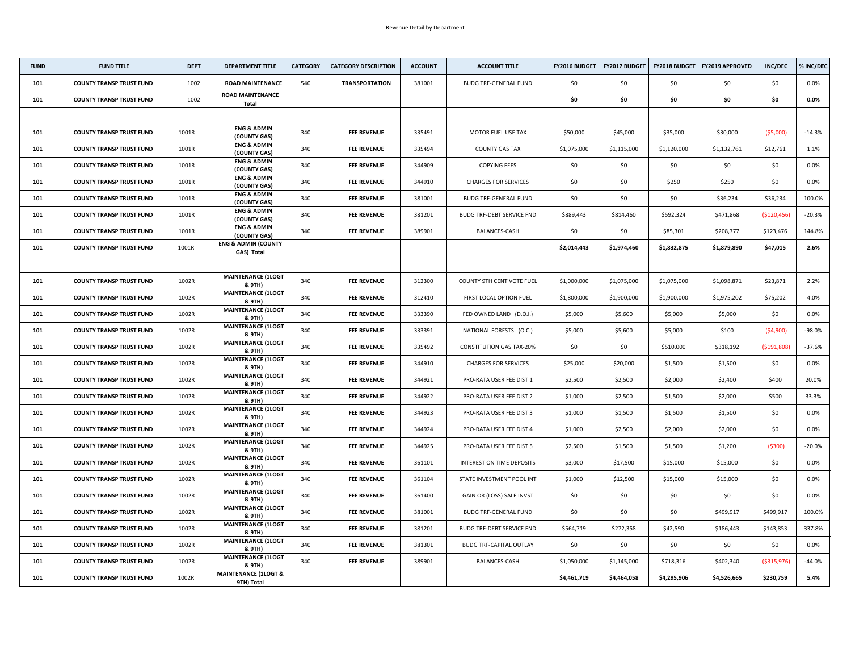| <b>FUND</b> | <b>FUND TITLE</b>               | <b>DEPT</b> | <b>DEPARTMENT TITLE</b>                       | <b>CATEGORY</b> | <b>CATEGORY DESCRIPTION</b> | <b>ACCOUNT</b> | <b>ACCOUNT TITLE</b>             | <b>FY2016 BUDGET</b> | <b>FY2017 BUDGET</b> | <b>FY2018 BUDGET</b> | <b>FY2019 APPROVED</b> | <b>INC/DEC</b> | % INC/DEC |
|-------------|---------------------------------|-------------|-----------------------------------------------|-----------------|-----------------------------|----------------|----------------------------------|----------------------|----------------------|----------------------|------------------------|----------------|-----------|
| 101         | <b>COUNTY TRANSP TRUST FUND</b> | 1002        | <b>ROAD MAINTENANCE</b>                       | 540             | <b>TRANSPORTATION</b>       | 381001         | <b>BUDG TRF-GENERAL FUND</b>     | \$0                  | \$0                  | \$0                  | \$0                    | \$0            | $0.0\%$   |
| 101         | <b>COUNTY TRANSP TRUST FUND</b> | 1002        | <b>ROAD MAINTENANCE</b><br><b>Total</b>       |                 |                             |                |                                  | \$0                  | \$0                  | \$0                  | \$0                    | \$0\$          | $0.0\%$   |
|             |                                 |             |                                               |                 |                             |                |                                  |                      |                      |                      |                        |                |           |
| 101         | <b>COUNTY TRANSP TRUST FUND</b> | 1001R       | <b>ENG &amp; ADMIN</b><br>(COUNTY GAS)        | 340             | <b>FEE REVENUE</b>          | 335491         | MOTOR FUEL USE TAX               | \$50,000             | \$45,000             | \$35,000             | \$30,000               | (55,000)       | $-14.3%$  |
| 101         | <b>COUNTY TRANSP TRUST FUND</b> | 1001R       | <b>ENG &amp; ADMIN</b><br>(COUNTY GAS)        | 340             | <b>FEE REVENUE</b>          | 335494         | <b>COUNTY GAS TAX</b>            | \$1,075,000          | \$1,115,000          | \$1,120,000          | \$1,132,761            | \$12,761       | 1.1%      |
| 101         | <b>COUNTY TRANSP TRUST FUND</b> | 1001R       | <b>ENG &amp; ADMIN</b><br>(COUNTY GAS)        | 340             | <b>FEE REVENUE</b>          | 344909         | <b>COPYING FEES</b>              | \$0\$                | \$0                  | \$0                  | \$0                    | \$0            | $0.0\%$   |
| 101         | <b>COUNTY TRANSP TRUST FUND</b> | 1001R       | <b>ENG &amp; ADMIN</b><br>(COUNTY GAS)        | 340             | <b>FEE REVENUE</b>          | 344910         | <b>CHARGES FOR SERVICES</b>      | \$0\$                | \$0                  | \$250                | \$250                  | \$0            | 0.0%      |
| 101         | <b>COUNTY TRANSP TRUST FUND</b> | 1001R       | <b>ENG &amp; ADMIN</b><br>(COUNTY GAS)        | 340             | <b>FEE REVENUE</b>          | 381001         | <b>BUDG TRF-GENERAL FUND</b>     | \$0\$                | \$0                  | \$0                  | \$36,234               | \$36,234       | 100.0%    |
| 101         | <b>COUNTY TRANSP TRUST FUND</b> | 1001R       | <b>ENG &amp; ADMIN</b><br>(COUNTY GAS)        | 340             | <b>FEE REVENUE</b>          | 381201         | <b>BUDG TRF-DEBT SERVICE FND</b> | \$889,443            | \$814,460            | \$592,324            | \$471,868              | ( \$120,456)   | $-20.3%$  |
| 101         | <b>COUNTY TRANSP TRUST FUND</b> | 1001R       | <b>ENG &amp; ADMIN</b><br>(COUNTY GAS)        | 340             | <b>FEE REVENUE</b>          | 389901         | <b>BALANCES-CASH</b>             | \$0\$                | \$0                  | \$85,301             | \$208,777              | \$123,476      | 144.8%    |
| 101         | <b>COUNTY TRANSP TRUST FUND</b> | 1001R       | <b>ENG &amp; ADMIN (COUNTY</b><br>GAS) Total  |                 |                             |                |                                  | \$2,014,443          | \$1,974,460          | \$1,832,875          | \$1,879,890            | \$47,015       | 2.6%      |
|             |                                 |             |                                               |                 |                             |                |                                  |                      |                      |                      |                        |                |           |
| 101         | <b>COUNTY TRANSP TRUST FUND</b> | 1002R       | <b>MAINTENANCE (1LOGT)</b><br>& 9TH)          | 340             | <b>FEE REVENUE</b>          | 312300         | <b>COUNTY 9TH CENT VOTE FUEL</b> | \$1,000,000          | \$1,075,000          | \$1,075,000          | \$1,098,871            | \$23,871       | 2.2%      |
| 101         | <b>COUNTY TRANSP TRUST FUND</b> | 1002R       | <b>MAINTENANCE (1LOGT</b><br>& 9TH)           | 340             | <b>FEE REVENUE</b>          | 312410         | FIRST LOCAL OPTION FUEL          | \$1,800,000          | \$1,900,000          | \$1,900,000          | \$1,975,202            | \$75,202       | 4.0%      |
| 101         | <b>COUNTY TRANSP TRUST FUND</b> | 1002R       | <b>MAINTENANCE (1LOGT)</b><br>& 9TH)          | 340             | <b>FEE REVENUE</b>          | 333390         | FED OWNED LAND (D.O.I.)          | \$5,000              | \$5,600              | \$5,000              | \$5,000                | \$0            | $0.0\%$   |
| 101         | <b>COUNTY TRANSP TRUST FUND</b> | 1002R       | <b>MAINTENANCE (1LOGT</b><br>& 9TH)           | 340             | <b>FEE REVENUE</b>          | 333391         | NATIONAL FORESTS (O.C.)          | \$5,000              | \$5,600              | \$5,000              | \$100                  | (54,900)       | $-98.0%$  |
| 101         | <b>COUNTY TRANSP TRUST FUND</b> | 1002R       | <b>MAINTENANCE (1LOGT)</b><br>& 9TH)          | 340             | <b>FEE REVENUE</b>          | 335492         | <b>CONSTITUTION GAS TAX-20%</b>  | \$0                  | \$0                  | \$510,000            | \$318,192              | ( \$191,808)   | $-37.6%$  |
| 101         | <b>COUNTY TRANSP TRUST FUND</b> | 1002R       | <b>MAINTENANCE (1LOGT</b><br>& 9TH)           | 340             | <b>FEE REVENUE</b>          | 344910         | <b>CHARGES FOR SERVICES</b>      | \$25,000             | \$20,000             | \$1,500              | \$1,500                | \$0\$          | $0.0\%$   |
| 101         | <b>COUNTY TRANSP TRUST FUND</b> | 1002R       | <b>MAINTENANCE (1LOGT)</b><br>& 9TH)          | 340             | <b>FEE REVENUE</b>          | 344921         | PRO-RATA USER FEE DIST 1         | \$2,500              | \$2,500              | \$2,000              | \$2,400                | \$400          | 20.0%     |
| 101         | <b>COUNTY TRANSP TRUST FUND</b> | 1002R       | <b>MAINTENANCE (1LOGT</b><br>& 9TH)           | 340             | <b>FEE REVENUE</b>          | 344922         | PRO-RATA USER FEE DIST 2         | \$1,000              | \$2,500              | \$1,500              | \$2,000                | \$500          | 33.3%     |
| 101         | <b>COUNTY TRANSP TRUST FUND</b> | 1002R       | <b>MAINTENANCE (1LOGT</b><br>& 9TH)           | 340             | <b>FEE REVENUE</b>          | 344923         | PRO-RATA USER FEE DIST 3         | \$1,000              | \$1,500              | \$1,500              | \$1,500                | \$0\$          | $0.0\%$   |
| 101         | <b>COUNTY TRANSP TRUST FUND</b> | 1002R       | <b>MAINTENANCE (1LOGT)</b><br>& 9TH)          | 340             | <b>FEE REVENUE</b>          | 344924         | PRO-RATA USER FEE DIST 4         | \$1,000              | \$2,500              | \$2,000              | \$2,000                | \$0            | $0.0\%$   |
| 101         | <b>COUNTY TRANSP TRUST FUND</b> | 1002R       | <b>MAINTENANCE (1LOGT</b><br>& 9TH)           | 340             | <b>FEE REVENUE</b>          | 344925         | PRO-RATA USER FEE DIST 5         | \$2,500              | \$1,500              | \$1,500              | \$1,200                | ( \$300)       | $-20.0%$  |
| 101         | <b>COUNTY TRANSP TRUST FUND</b> | 1002R       | <b>MAINTENANCE (1LOGT</b><br>& 9TH)           | 340             | <b>FEE REVENUE</b>          | 361101         | INTEREST ON TIME DEPOSITS        | \$3,000              | \$17,500             | \$15,000             | \$15,000               | \$0\$          | $0.0\%$   |
| 101         | <b>COUNTY TRANSP TRUST FUND</b> | 1002R       | <b>MAINTENANCE (1LOGT</b><br>& 9TH)           | 340             | <b>FEE REVENUE</b>          | 361104         | STATE INVESTMENT POOL INT        | \$1,000              | \$12,500             | \$15,000             | \$15,000               | \$0\$          | $0.0\%$   |
| 101         | <b>COUNTY TRANSP TRUST FUND</b> | 1002R       | <b>MAINTENANCE (1LOGT</b><br>& 9TH)           | 340             | <b>FEE REVENUE</b>          | 361400         | GAIN OR (LOSS) SALE INVST        | \$0                  | \$0                  | \$0                  | \$0                    | \$0            | $0.0\%$   |
| 101         | <b>COUNTY TRANSP TRUST FUND</b> | 1002R       | <b>MAINTENANCE (1LOGT</b><br>& 9TH)           | 340             | <b>FEE REVENUE</b>          | 381001         | <b>BUDG TRF-GENERAL FUND</b>     | \$0\$                | \$0                  | \$0                  | \$499,917              | \$499,917      | 100.0%    |
| 101         | <b>COUNTY TRANSP TRUST FUND</b> | 1002R       | <b>MAINTENANCE (1LOGT)</b><br>& 9TH)          | 340             | <b>FEE REVENUE</b>          | 381201         | <b>BUDG TRF-DEBT SERVICE FND</b> | \$564,719            | \$272,358            | \$42,590             | \$186,443              | \$143,853      | 337.8%    |
| 101         | <b>COUNTY TRANSP TRUST FUND</b> | 1002R       | <b>MAINTENANCE (1LOGT</b><br>& 9TH)           | 340             | <b>FEE REVENUE</b>          | 381301         | <b>BUDG TRF-CAPITAL OUTLAY</b>   | \$0\$                | \$0                  | \$0                  | \$0                    | \$0            | $0.0\%$   |
| 101         | <b>COUNTY TRANSP TRUST FUND</b> | 1002R       | <b>MAINTENANCE (1LOGT</b><br>& 9TH)           | 340             | <b>FEE REVENUE</b>          | 389901         | <b>BALANCES-CASH</b>             | \$1,050,000          | \$1,145,000          | \$718,316            | \$402,340              | ( \$315, 976)  | $-44.0%$  |
| 101         | <b>COUNTY TRANSP TRUST FUND</b> | 1002R       | <b>MAINTENANCE (1LOGT &amp;</b><br>9TH) Total |                 |                             |                |                                  | \$4,461,719          | \$4,464,058          | \$4,295,906          | \$4,526,665            | \$230,759      | 5.4%      |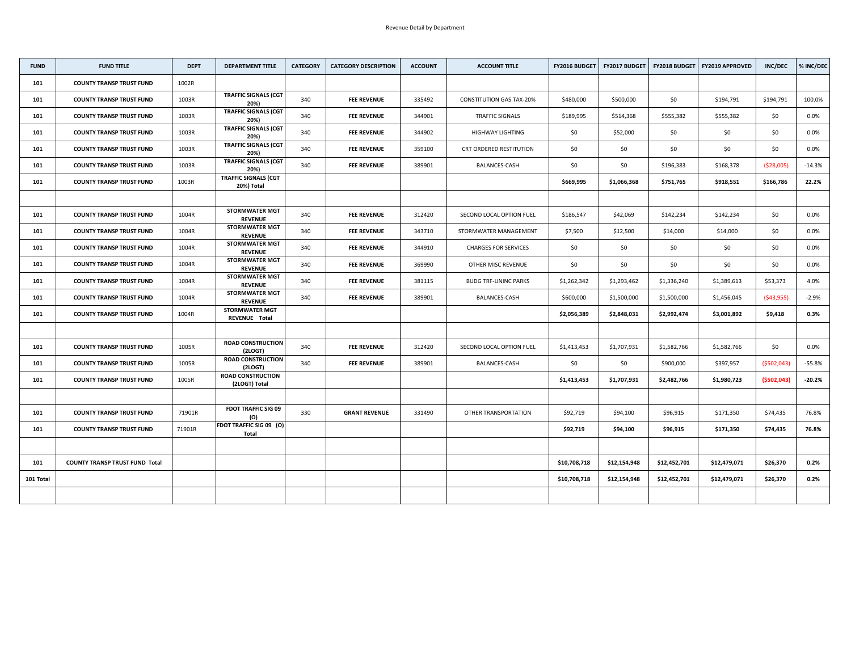| <b>FUND</b> | <b>FUND TITLE</b>                     | <b>DEPT</b> | <b>DEPARTMENT TITLE</b>                        | <b>CATEGORY</b> | <b>CATEGORY DESCRIPTION</b> | <b>ACCOUNT</b> | <b>ACCOUNT TITLE</b>            | <b>FY2016 BUDGET</b> | <b>FY2017 BUDGET</b> | <b>FY2018 BUDGET</b> | <b>FY2019 APPROVED</b> | <b>INC/DEC</b> | % INC/DEC |
|-------------|---------------------------------------|-------------|------------------------------------------------|-----------------|-----------------------------|----------------|---------------------------------|----------------------|----------------------|----------------------|------------------------|----------------|-----------|
| 101         | <b>COUNTY TRANSP TRUST FUND</b>       | 1002R       |                                                |                 |                             |                |                                 |                      |                      |                      |                        |                |           |
| 101         | <b>COUNTY TRANSP TRUST FUND</b>       | 1003R       | <b>TRAFFIC SIGNALS (CGT</b><br>20%)            | 340             | <b>FEE REVENUE</b>          | 335492         | <b>CONSTITUTION GAS TAX-20%</b> | \$480,000            | \$500,000            | \$0                  | \$194,791              | \$194,791      | 100.0%    |
| 101         | <b>COUNTY TRANSP TRUST FUND</b>       | 1003R       | <b>TRAFFIC SIGNALS (CGT</b><br>20%)            | 340             | <b>FEE REVENUE</b>          | 344901         | <b>TRAFFIC SIGNALS</b>          | \$189,995            | \$514,368            | \$555,382            | \$555,382              | \$0            | $0.0\%$   |
| 101         | <b>COUNTY TRANSP TRUST FUND</b>       | 1003R       | <b>TRAFFIC SIGNALS (CGT)</b><br>20%)           | 340             | <b>FEE REVENUE</b>          | 344902         | <b>HIGHWAY LIGHTING</b>         | \$0                  | \$52,000             | \$0                  | \$0                    | \$0            | $0.0\%$   |
| 101         | <b>COUNTY TRANSP TRUST FUND</b>       | 1003R       | <b>TRAFFIC SIGNALS (CGT)</b><br>20%)           | 340             | <b>FEE REVENUE</b>          | 359100         | CRT ORDERED RESTITUTION         | \$0\$                | \$0                  | \$0                  | \$0                    | \$0            | $0.0\%$   |
| 101         | <b>COUNTY TRANSP TRUST FUND</b>       | 1003R       | <b>TRAFFIC SIGNALS (CGT</b><br>20%)            | 340             | <b>FEE REVENUE</b>          | 389901         | <b>BALANCES-CASH</b>            | \$0                  | \$0                  | \$196,383            | \$168,378              | (528,005)      | $-14.3%$  |
| 101         | <b>COUNTY TRANSP TRUST FUND</b>       | 1003R       | <b>TRAFFIC SIGNALS (CGT</b><br>20%) Total      |                 |                             |                |                                 | \$669,995            | \$1,066,368          | \$751,765            | \$918,551              | \$166,786      | 22.2%     |
|             |                                       |             |                                                |                 |                             |                |                                 |                      |                      |                      |                        |                |           |
| 101         | <b>COUNTY TRANSP TRUST FUND</b>       | 1004R       | <b>STORMWATER MGT</b><br><b>REVENUE</b>        | 340             | <b>FEE REVENUE</b>          | 312420         | SECOND LOCAL OPTION FUEL        | \$186,547            | \$42,069             | \$142,234            | \$142,234              | \$0            | $0.0\%$   |
| 101         | <b>COUNTY TRANSP TRUST FUND</b>       | 1004R       | <b>STORMWATER MGT</b><br><b>REVENUE</b>        | 340             | <b>FEE REVENUE</b>          | 343710         | STORMWATER MANAGEMENT           | \$7,500              | \$12,500             | \$14,000             | \$14,000               | \$0\$          | $0.0\%$   |
| 101         | <b>COUNTY TRANSP TRUST FUND</b>       | 1004R       | <b>STORMWATER MGT</b><br><b>REVENUE</b>        | 340             | <b>FEE REVENUE</b>          | 344910         | <b>CHARGES FOR SERVICES</b>     | \$0\$                | \$0                  | \$0                  | \$0                    | \$0            | $0.0\%$   |
| 101         | <b>COUNTY TRANSP TRUST FUND</b>       | 1004R       | <b>STORMWATER MGT</b><br><b>REVENUE</b>        | 340             | <b>FEE REVENUE</b>          | 369990         | OTHER MISC REVENUE              | \$0\$                | \$0                  | \$0                  | \$0                    | \$0            | $0.0\%$   |
| 101         | <b>COUNTY TRANSP TRUST FUND</b>       | 1004R       | <b>STORMWATER MGT</b><br><b>REVENUE</b>        | 340             | <b>FEE REVENUE</b>          | 381115         | <b>BUDG TRF-UNINC PARKS</b>     | \$1,262,342          | \$1,293,462          | \$1,336,240          | \$1,389,613            | \$53,373       | 4.0%      |
| 101         | <b>COUNTY TRANSP TRUST FUND</b>       | 1004R       | <b>STORMWATER MGT</b><br><b>REVENUE</b>        | 340             | <b>FEE REVENUE</b>          | 389901         | <b>BALANCES-CASH</b>            | \$600,000            | \$1,500,000          | \$1,500,000          | \$1,456,045            | (543, 955)     | $-2.9%$   |
| 101         | <b>COUNTY TRANSP TRUST FUND</b>       | 1004R       | <b>STORMWATER MGT</b><br><b>REVENUE Total</b>  |                 |                             |                |                                 | \$2,056,389          | \$2,848,031          | \$2,992,474          | \$3,001,892            | \$9,418        | 0.3%      |
|             |                                       |             |                                                |                 |                             |                |                                 |                      |                      |                      |                        |                |           |
| 101         | <b>COUNTY TRANSP TRUST FUND</b>       | 1005R       | <b>ROAD CONSTRUCTION</b><br>(2LOGT)            | 340             | <b>FEE REVENUE</b>          | 312420         | SECOND LOCAL OPTION FUEL        | \$1,413,453          | \$1,707,931          | \$1,582,766          | \$1,582,766            | \$0            | $0.0\%$   |
| 101         | <b>COUNTY TRANSP TRUST FUND</b>       | 1005R       | <b>ROAD CONSTRUCTION</b><br>(2LOGT)            | 340             | <b>FEE REVENUE</b>          | 389901         | <b>BALANCES-CASH</b>            | \$0                  | \$0                  | \$900,000            | \$397,957              | (5502, 043)    | $-55.8%$  |
| 101         | <b>COUNTY TRANSP TRUST FUND</b>       | 1005R       | <b>ROAD CONSTRUCTION</b><br>(2LOGT) Total      |                 |                             |                |                                 | \$1,413,453          | \$1,707,931          | \$2,482,766          | \$1,980,723            | (5502, 043)    | $-20.2%$  |
|             |                                       |             |                                                |                 |                             |                |                                 |                      |                      |                      |                        |                |           |
| 101         | <b>COUNTY TRANSP TRUST FUND</b>       | 71901R      | <b>FDOT TRAFFIC SIG 09</b><br>(O)              | 330             | <b>GRANT REVENUE</b>        | 331490         | OTHER TRANSPORTATION            | \$92,719             | \$94,100             | \$96,915             | \$171,350              | \$74,435       | 76.8%     |
| 101         | <b>COUNTY TRANSP TRUST FUND</b>       | 71901R      | <b>FDOT TRAFFIC SIG 09 (O)</b><br><b>Total</b> |                 |                             |                |                                 | \$92,719             | \$94,100             | \$96,915             | \$171,350              | \$74,435       | 76.8%     |
|             |                                       |             |                                                |                 |                             |                |                                 |                      |                      |                      |                        |                |           |
| 101         | <b>COUNTY TRANSP TRUST FUND Total</b> |             |                                                |                 |                             |                |                                 | \$10,708,718         | \$12,154,948         | \$12,452,701         | \$12,479,071           | \$26,370       | 0.2%      |
| 101 Total   |                                       |             |                                                |                 |                             |                |                                 | \$10,708,718         | \$12,154,948         | \$12,452,701         | \$12,479,071           | \$26,370       | 0.2%      |
|             |                                       |             |                                                |                 |                             |                |                                 |                      |                      |                      |                        |                |           |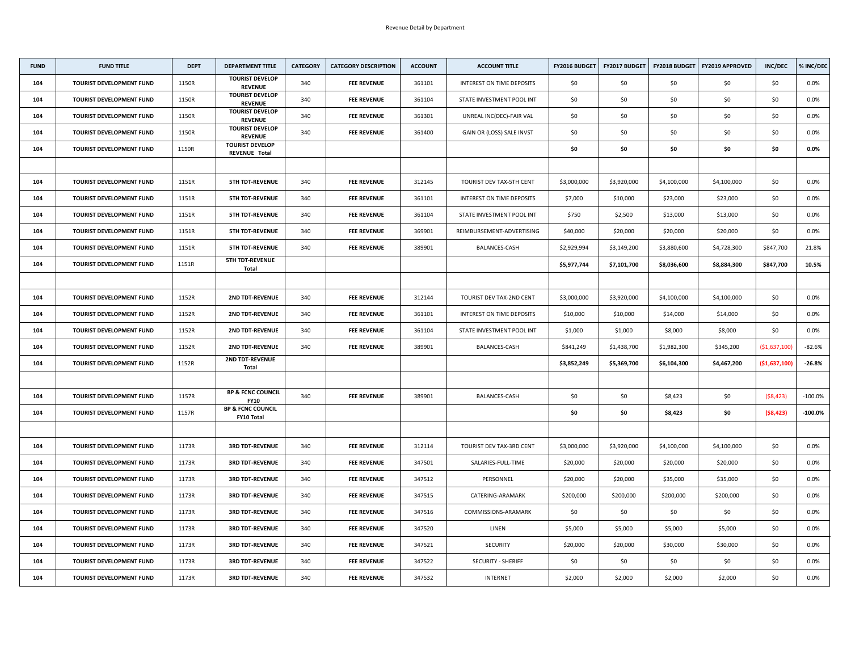| <b>FUND</b> | <b>FUND TITLE</b>               | <b>DEPT</b> | <b>DEPARTMENT TITLE</b>                           | <b>CATEGORY</b> | <b>CATEGORY DESCRIPTION</b> | <b>ACCOUNT</b> | <b>ACCOUNT TITLE</b>             | FY2016 BUDGET | <b>FY2017 BUDGET</b> | <b>FY2018 BUDGET</b> | <b>FY2019 APPROVED</b> | <b>INC/DEC</b> | % INC/DEC  |
|-------------|---------------------------------|-------------|---------------------------------------------------|-----------------|-----------------------------|----------------|----------------------------------|---------------|----------------------|----------------------|------------------------|----------------|------------|
| 104         | <b>TOURIST DEVELOPMENT FUND</b> | 1150R       | <b>TOURIST DEVELOP</b><br><b>REVENUE</b>          | 340             | <b>FEE REVENUE</b>          | 361101         | <b>INTEREST ON TIME DEPOSITS</b> | \$0\$         | \$0                  | \$0                  | \$0                    | \$0            | $0.0\%$    |
| 104         | <b>TOURIST DEVELOPMENT FUND</b> | 1150R       | <b>TOURIST DEVELOP</b><br><b>REVENUE</b>          | 340             | <b>FEE REVENUE</b>          | 361104         | STATE INVESTMENT POOL INT        | \$0\$         | \$0                  | \$0                  | \$0                    | \$0\$          | $0.0\%$    |
| 104         | <b>TOURIST DEVELOPMENT FUND</b> | 1150R       | <b>TOURIST DEVELOP</b><br><b>REVENUE</b>          | 340             | <b>FEE REVENUE</b>          | 361301         | UNREAL INC(DEC)-FAIR VAL         | \$0           | \$0                  | \$0                  | \$0                    | \$0\$          | $0.0\%$    |
| 104         | <b>TOURIST DEVELOPMENT FUND</b> | 1150R       | <b>TOURIST DEVELOP</b><br><b>REVENUE</b>          | 340             | <b>FEE REVENUE</b>          | 361400         | GAIN OR (LOSS) SALE INVST        | \$0           | \$0                  | \$0                  | \$0                    | \$0            | $0.0\%$    |
| 104         | <b>TOURIST DEVELOPMENT FUND</b> | 1150R       | <b>TOURIST DEVELOP</b><br><b>REVENUE Total</b>    |                 |                             |                |                                  | \$0           | \$0                  | \$0                  | \$0                    | \$0\$          | $0.0\%$    |
|             |                                 |             |                                                   |                 |                             |                |                                  |               |                      |                      |                        |                |            |
| 104         | <b>TOURIST DEVELOPMENT FUND</b> | 1151R       | <b>5TH TDT-REVENUE</b>                            | 340             | <b>FEE REVENUE</b>          | 312145         | TOURIST DEV TAX-5TH CENT         | \$3,000,000   | \$3,920,000          | \$4,100,000          | \$4,100,000            | \$0\$          | $0.0\%$    |
| 104         | <b>TOURIST DEVELOPMENT FUND</b> | 1151R       | <b>5TH TDT-REVENUE</b>                            | 340             | <b>FEE REVENUE</b>          | 361101         | <b>INTEREST ON TIME DEPOSITS</b> | \$7,000       | \$10,000             | \$23,000             | \$23,000               | \$0\$          | $0.0\%$    |
| 104         | <b>TOURIST DEVELOPMENT FUND</b> | 1151R       | <b>5TH TDT-REVENUE</b>                            | 340             | <b>FEE REVENUE</b>          | 361104         | STATE INVESTMENT POOL INT        | \$750         | \$2,500              | \$13,000             | \$13,000               | \$0            | $0.0\%$    |
| 104         | <b>TOURIST DEVELOPMENT FUND</b> | 1151R       | <b>5TH TDT-REVENUE</b>                            | 340             | <b>FEE REVENUE</b>          | 369901         | REIMBURSEMENT-ADVERTISING        | \$40,000      | \$20,000             | \$20,000             | \$20,000               | \$0            | $0.0\%$    |
| 104         | <b>TOURIST DEVELOPMENT FUND</b> | 1151R       | <b>5TH TDT-REVENUE</b>                            | 340             | <b>FEE REVENUE</b>          | 389901         | <b>BALANCES-CASH</b>             | \$2,929,994   | \$3,149,200          | \$3,880,600          | \$4,728,300            | \$847,700      | 21.8%      |
| 104         | <b>TOURIST DEVELOPMENT FUND</b> | 1151R       | <b>5TH TDT-REVENUE</b><br><b>Total</b>            |                 |                             |                |                                  | \$5,977,744   | \$7,101,700          | \$8,036,600          | \$8,884,300            | \$847,700      | 10.5%      |
|             |                                 |             |                                                   |                 |                             |                |                                  |               |                      |                      |                        |                |            |
| 104         | <b>TOURIST DEVELOPMENT FUND</b> | 1152R       | <b>2ND TDT-REVENUE</b>                            | 340             | <b>FEE REVENUE</b>          | 312144         | TOURIST DEV TAX-2ND CENT         | \$3,000,000   | \$3,920,000          | \$4,100,000          | \$4,100,000            | \$0\$          | $0.0\%$    |
| 104         | <b>TOURIST DEVELOPMENT FUND</b> | 1152R       | <b>2ND TDT-REVENUE</b>                            | 340             | <b>FEE REVENUE</b>          | 361101         | INTEREST ON TIME DEPOSITS        | \$10,000      | \$10,000             | \$14,000             | \$14,000               | \$0            | $0.0\%$    |
| 104         | <b>TOURIST DEVELOPMENT FUND</b> | 1152R       | <b>2ND TDT-REVENUE</b>                            | 340             | <b>FEE REVENUE</b>          | 361104         | STATE INVESTMENT POOL INT        | \$1,000       | \$1,000              | \$8,000              | \$8,000                | \$0            | $0.0\%$    |
| 104         | <b>TOURIST DEVELOPMENT FUND</b> | 1152R       | <b>2ND TDT-REVENUE</b>                            | 340             | <b>FEE REVENUE</b>          | 389901         | BALANCES-CASH                    | \$841,249     | \$1,438,700          | \$1,982,300          | \$345,200              | ( \$1,637,100] | $-82.6%$   |
| 104         | <b>TOURIST DEVELOPMENT FUND</b> | 1152R       | <b>2ND TDT-REVENUE</b><br><b>Total</b>            |                 |                             |                |                                  | \$3,852,249   | \$5,369,700          | \$6,104,300          | \$4,467,200            | ( \$1,637,100) | $-26.8%$   |
|             |                                 |             |                                                   |                 |                             |                |                                  |               |                      |                      |                        |                |            |
| 104         | <b>TOURIST DEVELOPMENT FUND</b> | 1157R       | <b>BP &amp; FCNC COUNCIL</b><br><b>FY10</b>       | 340             | <b>FEE REVENUE</b>          | 389901         | <b>BALANCES-CASH</b>             | \$0           | \$0                  | \$8,423              | \$0                    | (58, 423)      | $-100.0\%$ |
| 104         | <b>TOURIST DEVELOPMENT FUND</b> | 1157R       | <b>BP &amp; FCNC COUNCIL</b><br><b>FY10 Total</b> |                 |                             |                |                                  | \$0           | \$0                  | \$8,423              | \$0                    | (58, 423)      | $-100.0\%$ |
|             |                                 |             |                                                   |                 |                             |                |                                  |               |                      |                      |                        |                |            |
| 104         | <b>TOURIST DEVELOPMENT FUND</b> | 1173R       | <b>3RD TDT-REVENUE</b>                            | 340             | <b>FEE REVENUE</b>          | 312114         | TOURIST DEV TAX-3RD CENT         | \$3,000,000   | \$3,920,000          | \$4,100,000          | \$4,100,000            | \$0\$          | $0.0\%$    |
| 104         | <b>TOURIST DEVELOPMENT FUND</b> | 1173R       | <b>3RD TDT-REVENUE</b>                            | 340             | <b>FEE REVENUE</b>          | 347501         | SALARIES-FULL-TIME               | \$20,000      | \$20,000             | \$20,000             | \$20,000               | \$0\$          | $0.0\%$    |
| 104         | <b>TOURIST DEVELOPMENT FUND</b> | 1173R       | <b>3RD TDT-REVENUE</b>                            | 340             | <b>FEE REVENUE</b>          | 347512         | PERSONNEL                        | \$20,000      | \$20,000             | \$35,000             | \$35,000               | \$0            | $0.0\%$    |
| 104         | <b>TOURIST DEVELOPMENT FUND</b> | 1173R       | <b>3RD TDT-REVENUE</b>                            | 340             | <b>FEE REVENUE</b>          | 347515         | CATERING-ARAMARK                 | \$200,000     | \$200,000            | \$200,000            | \$200,000              | \$0\$          | $0.0\%$    |
| 104         | <b>TOURIST DEVELOPMENT FUND</b> | 1173R       | <b>3RD TDT-REVENUE</b>                            | 340             | <b>FEE REVENUE</b>          | 347516         | COMMISSIONS-ARAMARK              | \$0           | \$0                  | \$0                  | \$0                    | \$0            | $0.0\%$    |
| 104         | <b>TOURIST DEVELOPMENT FUND</b> | 1173R       | <b>3RD TDT-REVENUE</b>                            | 340             | <b>FEE REVENUE</b>          | 347520         | LINEN                            | \$5,000       | \$5,000              | \$5,000              | \$5,000                | \$0            | $0.0\%$    |
| 104         | <b>TOURIST DEVELOPMENT FUND</b> | 1173R       | <b>3RD TDT-REVENUE</b>                            | 340             | <b>FEE REVENUE</b>          | 347521         | <b>SECURITY</b>                  | \$20,000      | \$20,000             | \$30,000             | \$30,000               | \$0\$          | $0.0\%$    |
| 104         | <b>TOURIST DEVELOPMENT FUND</b> | 1173R       | <b>3RD TDT-REVENUE</b>                            | 340             | <b>FEE REVENUE</b>          | 347522         | <b>SECURITY - SHERIFF</b>        | \$0\$         | \$0                  | \$0                  | \$0                    | \$0            | $0.0\%$    |
| 104         | <b>TOURIST DEVELOPMENT FUND</b> | 1173R       | <b>3RD TDT-REVENUE</b>                            | 340             | <b>FEE REVENUE</b>          | 347532         | <b>INTERNET</b>                  | \$2,000       | \$2,000              | \$2,000              | \$2,000                | \$0            | $0.0\%$    |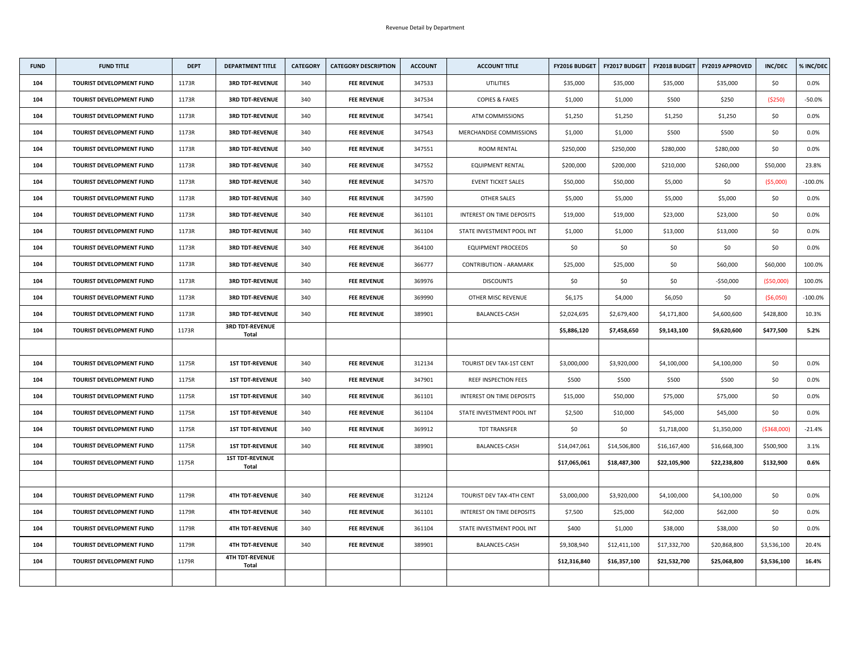| <b>FUND</b> | <b>FUND TITLE</b>               | <b>DEPT</b> | <b>DEPARTMENT TITLE</b>                | <b>CATEGORY</b> | <b>CATEGORY DESCRIPTION</b> | <b>ACCOUNT</b> | <b>ACCOUNT TITLE</b>             | <b>FY2016 BUDGET</b> | <b>FY2017 BUDGET</b> | <b>FY2018 BUDGET</b> | <b>FY2019 APPROVED</b> | <b>INC/DEC</b> | % INC/DEC  |
|-------------|---------------------------------|-------------|----------------------------------------|-----------------|-----------------------------|----------------|----------------------------------|----------------------|----------------------|----------------------|------------------------|----------------|------------|
| 104         | <b>TOURIST DEVELOPMENT FUND</b> | 1173R       | <b>3RD TDT-REVENUE</b>                 | 340             | <b>FEE REVENUE</b>          | 347533         | <b>UTILITIES</b>                 | \$35,000             | \$35,000             | \$35,000             | \$35,000               | \$0            | $0.0\%$    |
| 104         | <b>TOURIST DEVELOPMENT FUND</b> | 1173R       | <b>3RD TDT-REVENUE</b>                 | 340             | <b>FEE REVENUE</b>          | 347534         | <b>COPIES &amp; FAXES</b>        | \$1,000              | \$1,000              | \$500                | \$250                  | ( \$250)       | $-50.0%$   |
| 104         | <b>TOURIST DEVELOPMENT FUND</b> | 1173R       | <b>3RD TDT-REVENUE</b>                 | 340             | <b>FEE REVENUE</b>          | 347541         | <b>ATM COMMISSIONS</b>           | \$1,250              | \$1,250              | \$1,250              | \$1,250                | \$0            | $0.0\%$    |
| 104         | <b>TOURIST DEVELOPMENT FUND</b> | 1173R       | <b>3RD TDT-REVENUE</b>                 | 340             | <b>FEE REVENUE</b>          | 347543         | MERCHANDISE COMMISSIONS          | \$1,000              | \$1,000              | \$500                | \$500                  | \$0            | $0.0\%$    |
| 104         | <b>TOURIST DEVELOPMENT FUND</b> | 1173R       | <b>3RD TDT-REVENUE</b>                 | 340             | <b>FEE REVENUE</b>          | 347551         | <b>ROOM RENTAL</b>               | \$250,000            | \$250,000            | \$280,000            | \$280,000              | \$0            | 0.0%       |
| 104         | <b>TOURIST DEVELOPMENT FUND</b> | 1173R       | <b>3RD TDT-REVENUE</b>                 | 340             | <b>FEE REVENUE</b>          | 347552         | <b>EQUIPMENT RENTAL</b>          | \$200,000            | \$200,000            | \$210,000            | \$260,000              | \$50,000       | 23.8%      |
| 104         | <b>TOURIST DEVELOPMENT FUND</b> | 1173R       | <b>3RD TDT-REVENUE</b>                 | 340             | <b>FEE REVENUE</b>          | 347570         | <b>EVENT TICKET SALES</b>        | \$50,000             | \$50,000             | \$5,000              | \$0                    | (55,000)       | $-100.0\%$ |
| 104         | <b>TOURIST DEVELOPMENT FUND</b> | 1173R       | <b>3RD TDT-REVENUE</b>                 | 340             | <b>FEE REVENUE</b>          | 347590         | OTHER SALES                      | \$5,000              | \$5,000              | \$5,000              | \$5,000                | \$0            | 0.0%       |
| 104         | <b>TOURIST DEVELOPMENT FUND</b> | 1173R       | <b>3RD TDT-REVENUE</b>                 | 340             | <b>FEE REVENUE</b>          | 361101         | INTEREST ON TIME DEPOSITS        | \$19,000             | \$19,000             | \$23,000             | \$23,000               | \$0            | $0.0\%$    |
| 104         | <b>TOURIST DEVELOPMENT FUND</b> | 1173R       | <b>3RD TDT-REVENUE</b>                 | 340             | <b>FEE REVENUE</b>          | 361104         | STATE INVESTMENT POOL INT        | \$1,000              | \$1,000              | \$13,000             | \$13,000               | \$0            | $0.0\%$    |
| 104         | <b>TOURIST DEVELOPMENT FUND</b> | 1173R       | <b>3RD TDT-REVENUE</b>                 | 340             | <b>FEE REVENUE</b>          | 364100         | <b>EQUIPMENT PROCEEDS</b>        | \$0\$                | \$0                  | \$0                  | \$0\$                  | \$0            | 0.0%       |
| 104         | <b>TOURIST DEVELOPMENT FUND</b> | 1173R       | <b>3RD TDT-REVENUE</b>                 | 340             | <b>FEE REVENUE</b>          | 366777         | <b>CONTRIBUTION - ARAMARK</b>    | \$25,000             | \$25,000             | \$0                  | \$60,000               | \$60,000       | 100.0%     |
| 104         | <b>TOURIST DEVELOPMENT FUND</b> | 1173R       | <b>3RD TDT-REVENUE</b>                 | 340             | <b>FEE REVENUE</b>          | 369976         | <b>DISCOUNTS</b>                 | \$0                  | \$0                  | \$0                  | $-550,000$             | ( \$50,000]    | 100.0%     |
| 104         | <b>TOURIST DEVELOPMENT FUND</b> | 1173R       | <b>3RD TDT-REVENUE</b>                 | 340             | <b>FEE REVENUE</b>          | 369990         | OTHER MISC REVENUE               | \$6,175              | \$4,000              | \$6,050              | \$0\$                  | (56,050)       | $-100.0\%$ |
| 104         | <b>TOURIST DEVELOPMENT FUND</b> | 1173R       | <b>3RD TDT-REVENUE</b>                 | 340             | <b>FEE REVENUE</b>          | 389901         | BALANCES-CASH                    | \$2,024,695          | \$2,679,400          | \$4,171,800          | \$4,600,600            | \$428,800      | 10.3%      |
| 104         | <b>TOURIST DEVELOPMENT FUND</b> | 1173R       | <b>3RD TDT-REVENUE</b><br><b>Total</b> |                 |                             |                |                                  | \$5,886,120          | \$7,458,650          | \$9,143,100          | \$9,620,600            | \$477,500      | 5.2%       |
|             |                                 |             |                                        |                 |                             |                |                                  |                      |                      |                      |                        |                |            |
| 104         | <b>TOURIST DEVELOPMENT FUND</b> | 1175R       | <b>1ST TDT-REVENUE</b>                 | 340             | <b>FEE REVENUE</b>          | 312134         | TOURIST DEV TAX-1ST CENT         | \$3,000,000          | \$3,920,000          | \$4,100,000          | \$4,100,000            | \$0            | $0.0\%$    |
| 104         | <b>TOURIST DEVELOPMENT FUND</b> | 1175R       | <b>1ST TDT-REVENUE</b>                 | 340             | <b>FEE REVENUE</b>          | 347901         | <b>REEF INSPECTION FEES</b>      | \$500                | \$500                | \$500                | \$500                  | \$0            | 0.0%       |
| 104         | <b>TOURIST DEVELOPMENT FUND</b> | 1175R       | <b>1ST TDT-REVENUE</b>                 | 340             | <b>FEE REVENUE</b>          | 361101         | INTEREST ON TIME DEPOSITS        | \$15,000             | \$50,000             | \$75,000             | \$75,000               | \$0            | $0.0\%$    |
| 104         | <b>TOURIST DEVELOPMENT FUND</b> | 1175R       | <b>1ST TDT-REVENUE</b>                 | 340             | <b>FEE REVENUE</b>          | 361104         | STATE INVESTMENT POOL INT        | \$2,500              | \$10,000             | \$45,000             | \$45,000               | \$0            | $0.0\%$    |
| 104         | <b>TOURIST DEVELOPMENT FUND</b> | 1175R       | <b>1ST TDT-REVENUE</b>                 | 340             | <b>FEE REVENUE</b>          | 369912         | <b>TDT TRANSFER</b>              | \$0                  | \$0                  | \$1,718,000          | \$1,350,000            | ( \$368,000)   | $-21.4%$   |
| 104         | <b>TOURIST DEVELOPMENT FUND</b> | 1175R       | <b>1ST TDT-REVENUE</b>                 | 340             | <b>FEE REVENUE</b>          | 389901         | BALANCES-CASH                    | \$14,047,061         | \$14,506,800         | \$16,167,400         | \$16,668,300           | \$500,900      | 3.1%       |
| 104         | <b>TOURIST DEVELOPMENT FUND</b> | 1175R       | <b>1ST TDT-REVENUE</b><br><b>Total</b> |                 |                             |                |                                  | \$17,065,061         | \$18,487,300         | \$22,105,900         | \$22,238,800           | \$132,900      | 0.6%       |
|             |                                 |             |                                        |                 |                             |                |                                  |                      |                      |                      |                        |                |            |
| 104         | <b>TOURIST DEVELOPMENT FUND</b> | 1179R       | <b>4TH TDT-REVENUE</b>                 | 340             | <b>FEE REVENUE</b>          | 312124         | TOURIST DEV TAX-4TH CENT         | \$3,000,000          | \$3,920,000          | \$4,100,000          | \$4,100,000            | \$0\$          | $0.0\%$    |
| 104         | <b>TOURIST DEVELOPMENT FUND</b> | 1179R       | <b>4TH TDT-REVENUE</b>                 | 340             | <b>FEE REVENUE</b>          | 361101         | <b>INTEREST ON TIME DEPOSITS</b> | \$7,500              | \$25,000             | \$62,000             | \$62,000               | \$0            | $0.0\%$    |
| 104         | <b>TOURIST DEVELOPMENT FUND</b> | 1179R       | <b>4TH TDT-REVENUE</b>                 | 340             | <b>FEE REVENUE</b>          | 361104         | STATE INVESTMENT POOL INT        | \$400                | \$1,000              | \$38,000             | \$38,000               | \$0            | $0.0\%$    |
| 104         | <b>TOURIST DEVELOPMENT FUND</b> | 1179R       | <b>4TH TDT-REVENUE</b>                 | 340             | <b>FEE REVENUE</b>          | 389901         | <b>BALANCES-CASH</b>             | \$9,308,940          | \$12,411,100         | \$17,332,700         | \$20,868,800           | \$3,536,100    | 20.4%      |
| 104         | <b>TOURIST DEVELOPMENT FUND</b> | 1179R       | <b>4TH TDT-REVENUE</b><br><b>Total</b> |                 |                             |                |                                  | \$12,316,840         | \$16,357,100         | \$21,532,700         | \$25,068,800           | \$3,536,100    | 16.4%      |
|             |                                 |             |                                        |                 |                             |                |                                  |                      |                      |                      |                        |                |            |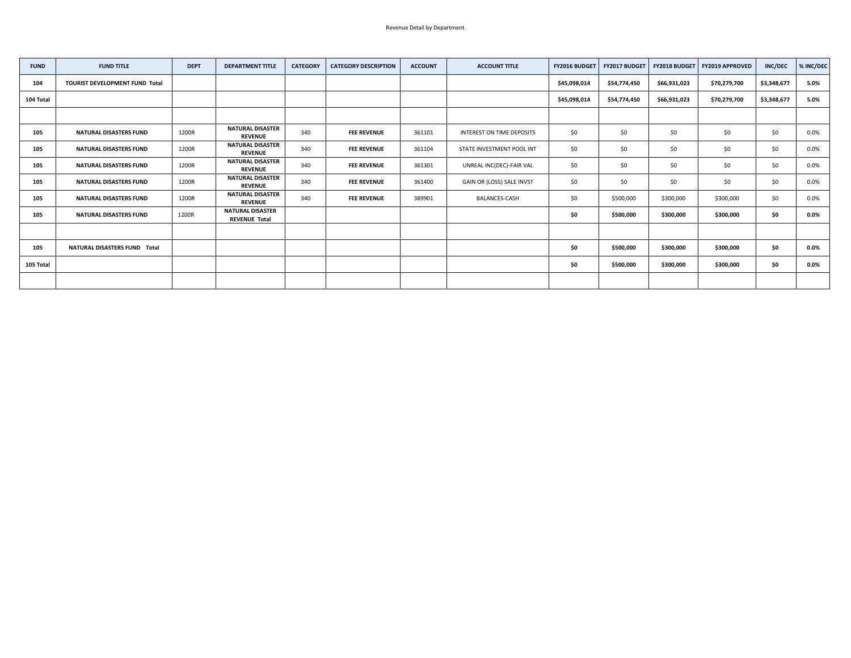| <b>FUND</b> | <b>FUND TITLE</b>                     | <b>DEPT</b> | <b>DEPARTMENT TITLE</b>                         | <b>CATEGORY</b> | <b>CATEGORY DESCRIPTION</b> | <b>ACCOUNT</b> | <b>ACCOUNT TITLE</b>      | <b>FY2016 BUDGET</b> | FY2017 BUDGET | <b>FY2018 BUDGET</b> | <b>FY2019 APPROVED</b> | <b>INC/DEC</b> | % INC/DEC |
|-------------|---------------------------------------|-------------|-------------------------------------------------|-----------------|-----------------------------|----------------|---------------------------|----------------------|---------------|----------------------|------------------------|----------------|-----------|
| 104         | <b>TOURIST DEVELOPMENT FUND Total</b> |             |                                                 |                 |                             |                |                           | \$45,098,014         | \$54,774,450  | \$66,931,023         | \$70,279,700           | \$3,348,677    | 5.0%      |
| 104 Total   |                                       |             |                                                 |                 |                             |                |                           | \$45,098,014         | \$54,774,450  | \$66,931,023         | \$70,279,700           | \$3,348,677    | 5.0%      |
|             |                                       |             |                                                 |                 |                             |                |                           |                      |               |                      |                        |                |           |
| 105         | <b>NATURAL DISASTERS FUND</b>         | 1200R       | <b>NATURAL DISASTER</b><br><b>REVENUE</b>       | 340             | <b>FEE REVENUE</b>          | 361101         | INTEREST ON TIME DEPOSITS | \$0\$                | \$0           | \$0                  | \$0                    | \$0            | 0.0%      |
| 105         | <b>NATURAL DISASTERS FUND</b>         | 1200R       | <b>NATURAL DISASTER</b><br><b>REVENUE</b>       | 340             | <b>FEE REVENUE</b>          | 361104         | STATE INVESTMENT POOL INT | \$0\$                | \$0           | \$0                  | \$0                    | \$0            | 0.0%      |
| 105         | <b>NATURAL DISASTERS FUND</b>         | 1200R       | <b>NATURAL DISASTER</b><br><b>REVENUE</b>       | 340             | <b>FEE REVENUE</b>          | 361301         | UNREAL INC(DEC)-FAIR VAL  | \$0\$                | \$0           | \$0                  | \$0                    | \$0\$          | $0.0\%$   |
| 105         | <b>NATURAL DISASTERS FUND</b>         | 1200R       | <b>NATURAL DISASTER</b><br><b>REVENUE</b>       | 340             | <b>FEE REVENUE</b>          | 361400         | GAIN OR (LOSS) SALE INVST | \$0\$                | \$0           | \$0                  | \$0                    | \$0            | $0.0\%$   |
| 105         | <b>NATURAL DISASTERS FUND</b>         | 1200R       | <b>NATURAL DISASTER</b><br><b>REVENUE</b>       | 340             | <b>FEE REVENUE</b>          | 389901         | <b>BALANCES-CASH</b>      | \$0\$                | \$500,000     | \$300,000            | \$300,000              | \$0            | $0.0\%$   |
| 105         | <b>NATURAL DISASTERS FUND</b>         | 1200R       | <b>NATURAL DISASTER</b><br><b>REVENUE Total</b> |                 |                             |                |                           | \$0                  | \$500,000     | \$300,000            | \$300,000              | \$0            | $0.0\%$   |
|             |                                       |             |                                                 |                 |                             |                |                           |                      |               |                      |                        |                |           |
| 105         | <b>NATURAL DISASTERS FUND Total</b>   |             |                                                 |                 |                             |                |                           | \$0                  | \$500,000     | \$300,000            | \$300,000              | \$0            | $0.0\%$   |
| 105 Total   |                                       |             |                                                 |                 |                             |                |                           | \$0                  | \$500,000     | \$300,000            | \$300,000              | \$0            | $0.0\%$   |
|             |                                       |             |                                                 |                 |                             |                |                           |                      |               |                      |                        |                |           |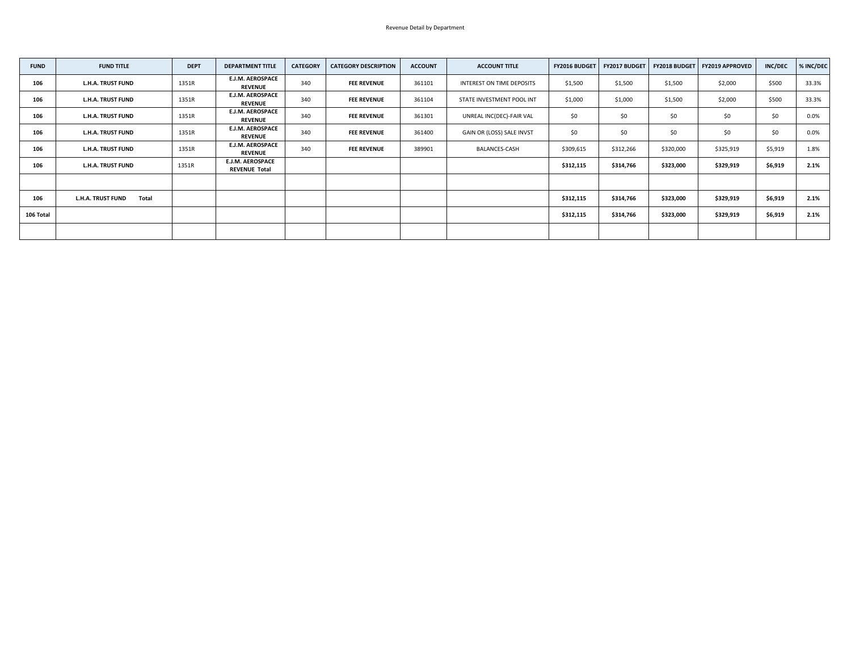| <b>FUND</b> | <b>FUND TITLE</b>                        | <b>DEPT</b> | <b>DEPARTMENT TITLE</b>                         | <b>CATEGORY</b> | <b>CATEGORY DESCRIPTION</b> | <b>ACCOUNT</b> | <b>ACCOUNT TITLE</b>      | FY2016 BUDGET | <b>FY2017 BUDGET</b> | <b>FY2018 BUDGET</b> | <b>FY2019 APPROVED</b> | <b>INC/DEC</b> | % INC/DEC |
|-------------|------------------------------------------|-------------|-------------------------------------------------|-----------------|-----------------------------|----------------|---------------------------|---------------|----------------------|----------------------|------------------------|----------------|-----------|
| 106         | <b>L.H.A. TRUST FUND</b>                 | 1351R       | <b>E.J.M. AEROSPACE</b><br><b>REVENUE</b>       | 340             | <b>FEE REVENUE</b>          | 361101         | INTEREST ON TIME DEPOSITS | \$1,500       | \$1,500              | \$1,500              | \$2,000                | \$500          | 33.3%     |
| 106         | <b>L.H.A. TRUST FUND</b>                 | 1351R       | <b>E.J.M. AEROSPACE</b><br><b>REVENUE</b>       | 340             | <b>FEE REVENUE</b>          | 361104         | STATE INVESTMENT POOL INT | \$1,000       | \$1,000              | \$1,500              | \$2,000                | \$500          | 33.3%     |
| 106         | <b>L.H.A. TRUST FUND</b>                 | 1351R       | <b>E.J.M. AEROSPACE</b><br><b>REVENUE</b>       | 340             | <b>FEE REVENUE</b>          | 361301         | UNREAL INC(DEC)-FAIR VAL  | \$0\$         | \$0\$                | \$0                  | \$0                    | \$0            | $0.0\%$   |
| 106         | <b>L.H.A. TRUST FUND</b>                 | 1351R       | <b>E.J.M. AEROSPACE</b><br><b>REVENUE</b>       | 340             | <b>FEE REVENUE</b>          | 361400         | GAIN OR (LOSS) SALE INVST | \$0\$         | \$0                  | \$0                  | \$0                    | \$0            | 0.0%      |
| 106         | <b>L.H.A. TRUST FUND</b>                 | 1351R       | <b>E.J.M. AEROSPACE</b><br><b>REVENUE</b>       | 340             | <b>FEE REVENUE</b>          | 389901         | <b>BALANCES-CASH</b>      | \$309,615     | \$312,266            | \$320,000            | \$325,919              | \$5,919        | 1.8%      |
| 106         | <b>L.H.A. TRUST FUND</b>                 | 1351R       | <b>E.J.M. AEROSPACE</b><br><b>REVENUE Total</b> |                 |                             |                |                           | \$312,115     | \$314,766            | \$323,000            | \$329,919              | \$6,919        | 2.1%      |
|             |                                          |             |                                                 |                 |                             |                |                           |               |                      |                      |                        |                |           |
| 106         | <b>L.H.A. TRUST FUND</b><br><b>Total</b> |             |                                                 |                 |                             |                |                           | \$312,115     | \$314,766            | \$323,000            | \$329,919              | \$6,919        | 2.1%      |
| 106 Total   |                                          |             |                                                 |                 |                             |                |                           | \$312,115     | \$314,766            | \$323,000            | \$329,919              | \$6,919        | 2.1%      |
|             |                                          |             |                                                 |                 |                             |                |                           |               |                      |                      |                        |                |           |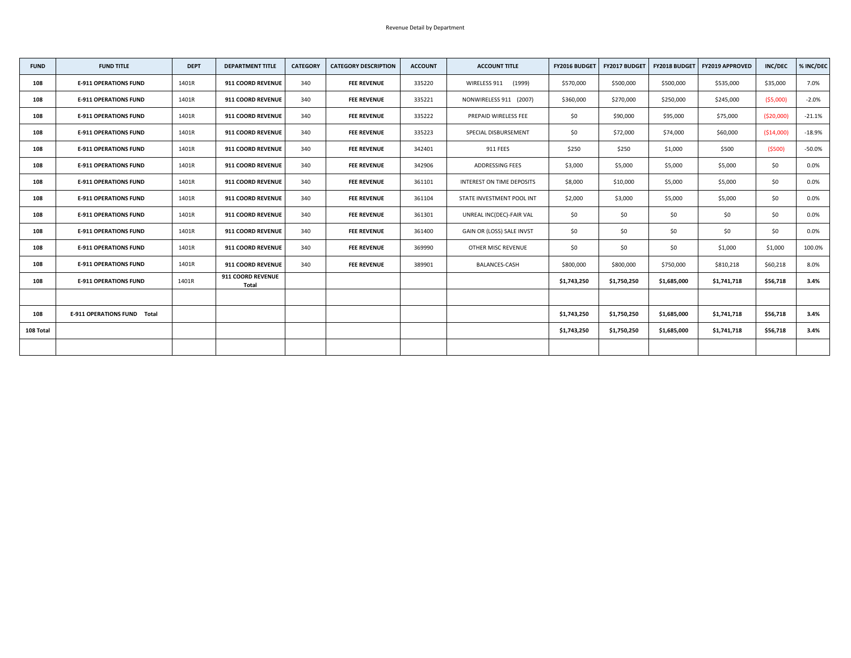| <b>FUND</b> | <b>FUND TITLE</b>                  | <b>DEPT</b> | <b>DEPARTMENT TITLE</b>                  | <b>CATEGORY</b> | <b>CATEGORY DESCRIPTION</b> | <b>ACCOUNT</b> | <b>ACCOUNT TITLE</b>             | <b>FY2016 BUDGET</b> | <b>FY2017 BUDGET</b> |             | <b>FY2018 BUDGET   FY2019 APPROVED</b> | <b>INC/DEC</b> | % INC/DEC |
|-------------|------------------------------------|-------------|------------------------------------------|-----------------|-----------------------------|----------------|----------------------------------|----------------------|----------------------|-------------|----------------------------------------|----------------|-----------|
| 108         | <b>E-911 OPERATIONS FUND</b>       | 1401R       | 911 COORD REVENUE                        | 340             | <b>FEE REVENUE</b>          | 335220         | WIRELESS 911<br>(1999)           | \$570,000            | \$500,000            | \$500,000   | \$535,000                              | \$35,000       | 7.0%      |
| 108         | <b>E-911 OPERATIONS FUND</b>       | 1401R       | 911 COORD REVENUE                        | 340             | <b>FEE REVENUE</b>          | 335221         | NONWIRELESS 911 (2007)           | \$360,000            | \$270,000            | \$250,000   | \$245,000                              | ( \$5,000)     | $-2.0%$   |
| 108         | <b>E-911 OPERATIONS FUND</b>       | 1401R       | 911 COORD REVENUE                        | 340             | <b>FEE REVENUE</b>          | 335222         | PREPAID WIRELESS FEE             | \$0                  | \$90,000             | \$95,000    | \$75,000                               | ( \$20,000]    | $-21.1%$  |
| 108         | <b>E-911 OPERATIONS FUND</b>       | 1401R       | <b>911 COORD REVENUE</b>                 | 340             | <b>FEE REVENUE</b>          | 335223         | SPECIAL DISBURSEMENT             | \$0                  | \$72,000             | \$74,000    | \$60,000                               | ( \$14,000)    | $-18.9%$  |
| 108         | <b>E-911 OPERATIONS FUND</b>       | 1401R       | 911 COORD REVENUE                        | 340             | <b>FEE REVENUE</b>          | 342401         | 911 FEES                         | \$250                | \$250                | \$1,000     | \$500                                  | (5500)         | $-50.0%$  |
| 108         | <b>E-911 OPERATIONS FUND</b>       | 1401R       | 911 COORD REVENUE                        | 340             | <b>FEE REVENUE</b>          | 342906         | ADDRESSING FEES                  | \$3,000              | \$5,000              | \$5,000     | \$5,000                                | \$0            | $0.0\%$   |
| 108         | <b>E-911 OPERATIONS FUND</b>       | 1401R       | <b>911 COORD REVENUE</b>                 | 340             | <b>FEE REVENUE</b>          | 361101         | <b>INTEREST ON TIME DEPOSITS</b> | \$8,000              | \$10,000             | \$5,000     | \$5,000                                | \$0\$          | $0.0\%$   |
| 108         | <b>E-911 OPERATIONS FUND</b>       | 1401R       | 911 COORD REVENUE                        | 340             | <b>FEE REVENUE</b>          | 361104         | STATE INVESTMENT POOL INT        | \$2,000              | \$3,000              | \$5,000     | \$5,000                                | \$0            | $0.0\%$   |
| 108         | <b>E-911 OPERATIONS FUND</b>       | 1401R       | <b>911 COORD REVENUE</b>                 | 340             | <b>FEE REVENUE</b>          | 361301         | UNREAL INC(DEC)-FAIR VAL         | \$0                  | \$0\$                | \$0         | \$0                                    | \$0            | $0.0\%$   |
| 108         | <b>E-911 OPERATIONS FUND</b>       | 1401R       | 911 COORD REVENUE                        | 340             | <b>FEE REVENUE</b>          | 361400         | GAIN OR (LOSS) SALE INVST        | \$0                  | \$0\$                | \$0         | \$0                                    | \$0            | $0.0\%$   |
| 108         | <b>E-911 OPERATIONS FUND</b>       | 1401R       | 911 COORD REVENUE                        | 340             | <b>FEE REVENUE</b>          | 369990         | <b>OTHER MISC REVENUE</b>        | \$0                  | \$0                  | \$0         | \$1,000                                | \$1,000        | 100.0%    |
| 108         | <b>E-911 OPERATIONS FUND</b>       | 1401R       | <b>911 COORD REVENUE</b>                 | 340             | <b>FEE REVENUE</b>          | 389901         | <b>BALANCES-CASH</b>             | \$800,000            | \$800,000            | \$750,000   | \$810,218                              | \$60,218       | 8.0%      |
| 108         | <b>E-911 OPERATIONS FUND</b>       | 1401R       | <b>911 COORD REVENUE</b><br><b>Total</b> |                 |                             |                |                                  | \$1,743,250          | \$1,750,250          | \$1,685,000 | \$1,741,718                            | \$56,718       | 3.4%      |
|             |                                    |             |                                          |                 |                             |                |                                  |                      |                      |             |                                        |                |           |
| 108         | <b>E-911 OPERATIONS FUND Total</b> |             |                                          |                 |                             |                |                                  | \$1,743,250          | \$1,750,250          | \$1,685,000 | \$1,741,718                            | \$56,718       | 3.4%      |
| 108 Total   |                                    |             |                                          |                 |                             |                |                                  | \$1,743,250          | \$1,750,250          | \$1,685,000 | \$1,741,718                            | \$56,718       | 3.4%      |
|             |                                    |             |                                          |                 |                             |                |                                  |                      |                      |             |                                        |                |           |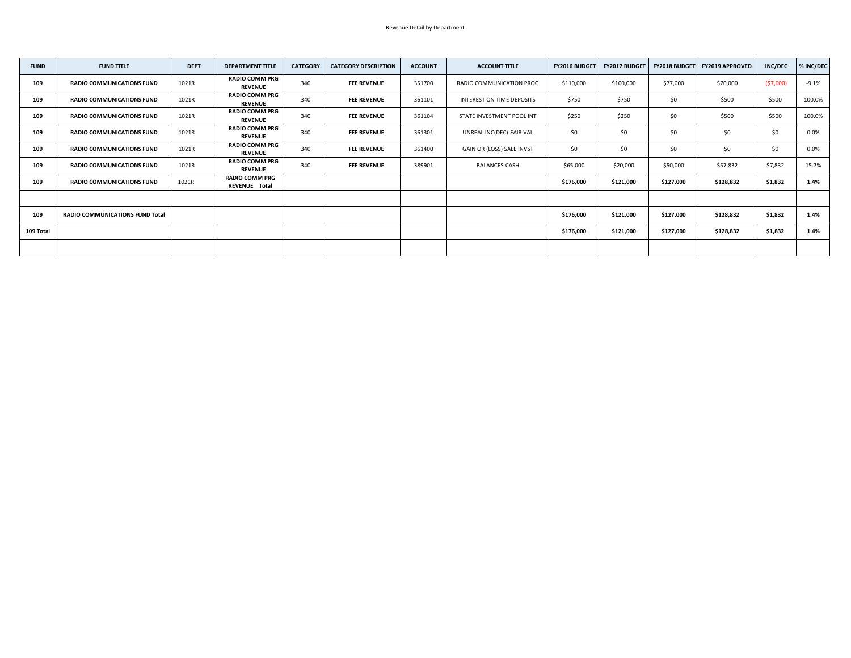| <b>FUND</b> | <b>FUND TITLE</b>                      | <b>DEPT</b> | <b>DEPARTMENT TITLE</b>                 | <b>CATEGORY</b> | <b>CATEGORY DESCRIPTION</b> | <b>ACCOUNT</b> | <b>ACCOUNT TITLE</b>      | <b>FY2016 BUDGET</b> | <b>FY2017 BUDGET</b> |           | FY2018 BUDGET   FY2019 APPROVED | <b>INC/DEC</b> | % INC/DEC |
|-------------|----------------------------------------|-------------|-----------------------------------------|-----------------|-----------------------------|----------------|---------------------------|----------------------|----------------------|-----------|---------------------------------|----------------|-----------|
| 109         | <b>RADIO COMMUNICATIONS FUND</b>       | 1021R       | <b>RADIO COMM PRG</b><br><b>REVENUE</b> | 340             | <b>FEE REVENUE</b>          | 351700         | RADIO COMMUNICATION PROG  | \$110,000            | \$100,000            | \$77,000  | \$70,000                        | (57,000)       | $-9.1%$   |
| 109         | <b>RADIO COMMUNICATIONS FUND</b>       | 1021R       | <b>RADIO COMM PRG</b><br><b>REVENUE</b> | 340             | <b>FEE REVENUE</b>          | 361101         | INTEREST ON TIME DEPOSITS | \$750                | \$750                | \$0       | \$500                           | \$500          | 100.0%    |
| 109         | <b>RADIO COMMUNICATIONS FUND</b>       | 1021R       | <b>RADIO COMM PRG</b><br><b>REVENUE</b> | 340             | <b>FEE REVENUE</b>          | 361104         | STATE INVESTMENT POOL INT | \$250                | \$250                | \$0       | \$500                           | \$500          | 100.0%    |
| 109         | <b>RADIO COMMUNICATIONS FUND</b>       | 1021R       | <b>RADIO COMM PRG</b><br><b>REVENUE</b> | 340             | <b>FEE REVENUE</b>          | 361301         | UNREAL INC(DEC)-FAIR VAL  | \$0\$                | \$0                  | \$0       | \$0                             | \$0\$          | $0.0\%$   |
| 109         | <b>RADIO COMMUNICATIONS FUND</b>       | 1021R       | <b>RADIO COMM PRG</b><br><b>REVENUE</b> | 340             | <b>FEE REVENUE</b>          | 361400         | GAIN OR (LOSS) SALE INVST | \$0                  | \$0                  | \$0       | \$0                             | \$0            | $0.0\%$   |
| 109         | <b>RADIO COMMUNICATIONS FUND</b>       | 1021R       | <b>RADIO COMM PRG</b><br><b>REVENUE</b> | 340             | <b>FEE REVENUE</b>          | 389901         | BALANCES-CASH             | \$65,000             | \$20,000             | \$50,000  | \$57,832                        | \$7,832        | 15.7%     |
| 109         | <b>RADIO COMMUNICATIONS FUND</b>       | 1021R       | <b>RADIO COMM PRG</b><br>REVENUE Total  |                 |                             |                |                           | \$176,000            | \$121,000            | \$127,000 | \$128,832                       | \$1,832        | 1.4%      |
|             |                                        |             |                                         |                 |                             |                |                           |                      |                      |           |                                 |                |           |
| 109         | <b>RADIO COMMUNICATIONS FUND Total</b> |             |                                         |                 |                             |                |                           | \$176,000            | \$121,000            | \$127,000 | \$128,832                       | \$1,832        | 1.4%      |
| 109 Total   |                                        |             |                                         |                 |                             |                |                           | \$176,000            | \$121,000            | \$127,000 | \$128,832                       | \$1,832        | 1.4%      |
|             |                                        |             |                                         |                 |                             |                |                           |                      |                      |           |                                 |                |           |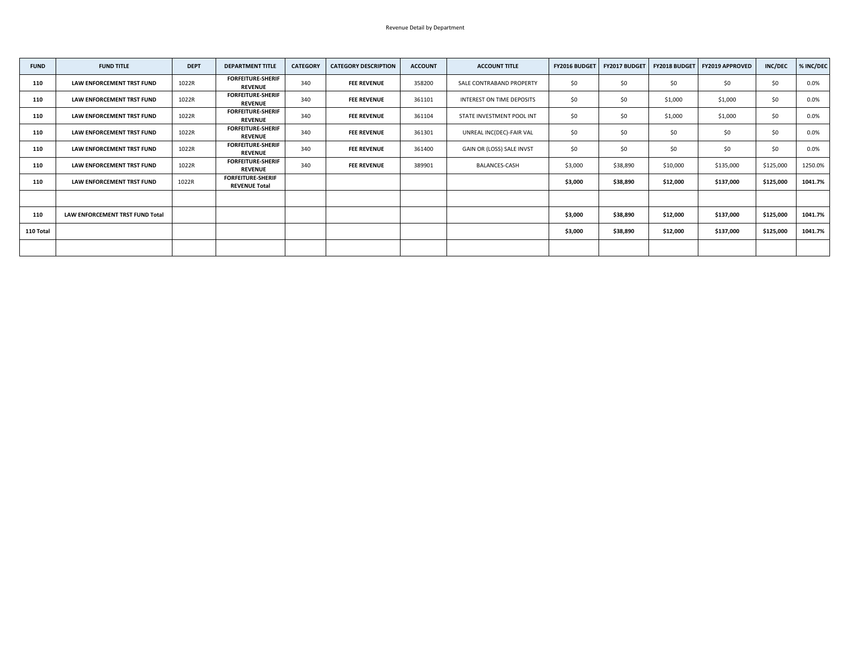| <b>FUND</b> | <b>FUND TITLE</b>               | <b>DEPT</b> | <b>DEPARTMENT TITLE</b>                          | <b>CATEGORY</b> | <b>CATEGORY DESCRIPTION</b> | <b>ACCOUNT</b> | <b>ACCOUNT TITLE</b>      | <b>FY2016 BUDGET</b> | <b>FY2017 BUDGET</b> |          | FY2018 BUDGET   FY2019 APPROVED | <b>INC/DEC</b> | % INC/DEC |
|-------------|---------------------------------|-------------|--------------------------------------------------|-----------------|-----------------------------|----------------|---------------------------|----------------------|----------------------|----------|---------------------------------|----------------|-----------|
| 110         | LAW ENFORCEMENT TRST FUND       | 1022R       | <b>FORFEITURE-SHERIF</b><br><b>REVENUE</b>       | 340             | <b>FEE REVENUE</b>          | 358200         | SALE CONTRABAND PROPERTY  | \$0\$                | \$0\$                | \$0      | \$0                             | \$0\$          | 0.0%      |
| 110         | LAW ENFORCEMENT TRST FUND       | 1022R       | <b>FORFEITURE-SHERIF</b><br><b>REVENUE</b>       | 340             | <b>FEE REVENUE</b>          | 361101         | INTEREST ON TIME DEPOSITS | \$0                  | \$0\$                | \$1,000  | \$1,000                         | \$0\$          | $0.0\%$   |
| 110         | LAW ENFORCEMENT TRST FUND       | 1022R       | <b>FORFEITURE-SHERIF</b><br><b>REVENUE</b>       | 340             | <b>FEE REVENUE</b>          | 361104         | STATE INVESTMENT POOL INT | \$0\$                | \$0\$                | \$1,000  | \$1,000                         | \$0            | $0.0\%$   |
| 110         | LAW ENFORCEMENT TRST FUND       | 1022R       | <b>FORFEITURE-SHERIF</b><br><b>REVENUE</b>       | 340             | <b>FEE REVENUE</b>          | 361301         | UNREAL INC(DEC)-FAIR VAL  | \$0\$                | \$0\$                | \$0      | \$0                             | \$0            | 0.0%      |
| 110         | LAW ENFORCEMENT TRST FUND       | 1022R       | <b>FORFEITURE-SHERIF</b><br><b>REVENUE</b>       | 340             | <b>FEE REVENUE</b>          | 361400         | GAIN OR (LOSS) SALE INVST | \$0\$                | \$0\$                | \$0      | \$0                             | \$0            | $0.0\%$   |
| 110         | LAW ENFORCEMENT TRST FUND       | 1022R       | <b>FORFEITURE-SHERIF</b><br><b>REVENUE</b>       | 340             | <b>FEE REVENUE</b>          | 389901         | <b>BALANCES-CASH</b>      | \$3,000              | \$38,890             | \$10,000 | \$135,000                       | \$125,000      | 1250.0%   |
| 110         | LAW ENFORCEMENT TRST FUND       | 1022R       | <b>FORFEITURE-SHERIF</b><br><b>REVENUE Total</b> |                 |                             |                |                           | \$3,000              | \$38,890             | \$12,000 | \$137,000                       | \$125,000      | 1041.7%   |
|             |                                 |             |                                                  |                 |                             |                |                           |                      |                      |          |                                 |                |           |
| 110         | LAW ENFORCEMENT TRST FUND Total |             |                                                  |                 |                             |                |                           | \$3,000              | \$38,890             | \$12,000 | \$137,000                       | \$125,000      | 1041.7%   |
| 110 Total   |                                 |             |                                                  |                 |                             |                |                           | \$3,000              | \$38,890             | \$12,000 | \$137,000                       | \$125,000      | 1041.7%   |
|             |                                 |             |                                                  |                 |                             |                |                           |                      |                      |          |                                 |                |           |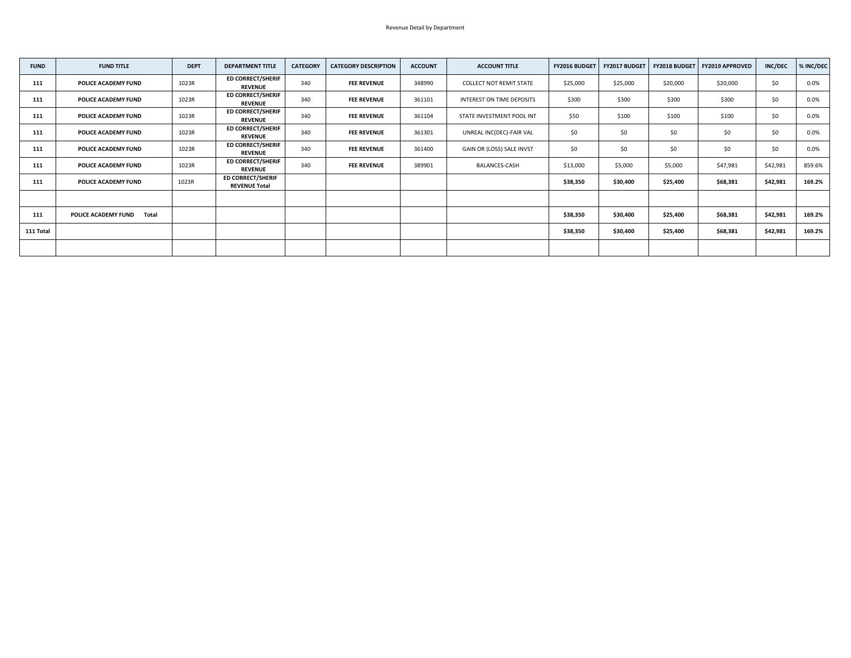| <b>FUND</b> | <b>FUND TITLE</b>                          | <b>DEPT</b> | <b>DEPARTMENT TITLE</b>                          | <b>CATEGORY</b> | <b>CATEGORY DESCRIPTION</b> | <b>ACCOUNT</b> | <b>ACCOUNT TITLE</b>           | FY2016 BUDGET | FY2017 BUDGET |          | FY2018 BUDGET   FY2019 APPROVED | <b>INC/DEC</b> | % INC/DEC |
|-------------|--------------------------------------------|-------------|--------------------------------------------------|-----------------|-----------------------------|----------------|--------------------------------|---------------|---------------|----------|---------------------------------|----------------|-----------|
| 111         | <b>POLICE ACADEMY FUND</b>                 | 1023R       | <b>ED CORRECT/SHERIF</b><br><b>REVENUE</b>       | 340             | <b>FEE REVENUE</b>          | 348990         | <b>COLLECT NOT REMIT STATE</b> | \$25,000      | \$25,000      | \$20,000 | \$20,000                        | \$0            | $0.0\%$   |
| 111         | <b>POLICE ACADEMY FUND</b>                 | 1023R       | <b>ED CORRECT/SHERIF</b><br><b>REVENUE</b>       | 340             | <b>FEE REVENUE</b>          | 361101         | INTEREST ON TIME DEPOSITS      | \$300         | \$300         | \$300    | \$300                           | \$0            | 0.0%      |
| 111         | <b>POLICE ACADEMY FUND</b>                 | 1023R       | <b>ED CORRECT/SHERIF</b><br><b>REVENUE</b>       | 340             | <b>FEE REVENUE</b>          | 361104         | STATE INVESTMENT POOL INT      | \$50          | \$100         | \$100    | \$100                           | \$0            | 0.0%      |
| 111         | <b>POLICE ACADEMY FUND</b>                 | 1023R       | <b>ED CORRECT/SHERIF</b><br><b>REVENUE</b>       | 340             | <b>FEE REVENUE</b>          | 361301         | UNREAL INC(DEC)-FAIR VAL       | \$0\$         | \$0\$         | \$0      | \$0                             | \$0            | $0.0\%$   |
| 111         | <b>POLICE ACADEMY FUND</b>                 | 1023R       | <b>ED CORRECT/SHERIF</b><br><b>REVENUE</b>       | 340             | <b>FEE REVENUE</b>          | 361400         | GAIN OR (LOSS) SALE INVST      | \$0           | \$0           | \$0      | \$0                             | \$0\$          | $0.0\%$   |
| 111         | <b>POLICE ACADEMY FUND</b>                 | 1023R       | <b>ED CORRECT/SHERIF</b><br><b>REVENUE</b>       | 340             | <b>FEE REVENUE</b>          | 389901         | <b>BALANCES-CASH</b>           | \$13,000      | \$5,000       | \$5,000  | \$47,981                        | \$42,981       | 859.6%    |
| 111         | <b>POLICE ACADEMY FUND</b>                 | 1023R       | <b>ED CORRECT/SHERIF</b><br><b>REVENUE Total</b> |                 |                             |                |                                | \$38,350      | \$30,400      | \$25,400 | \$68,381                        | \$42,981       | 169.2%    |
|             |                                            |             |                                                  |                 |                             |                |                                |               |               |          |                                 |                |           |
| 111         | <b>POLICE ACADEMY FUND</b><br><b>Total</b> |             |                                                  |                 |                             |                |                                | \$38,350      | \$30,400      | \$25,400 | \$68,381                        | \$42,981       | 169.2%    |
| 111 Total   |                                            |             |                                                  |                 |                             |                |                                | \$38,350      | \$30,400      | \$25,400 | \$68,381                        | \$42,981       | 169.2%    |
|             |                                            |             |                                                  |                 |                             |                |                                |               |               |          |                                 |                |           |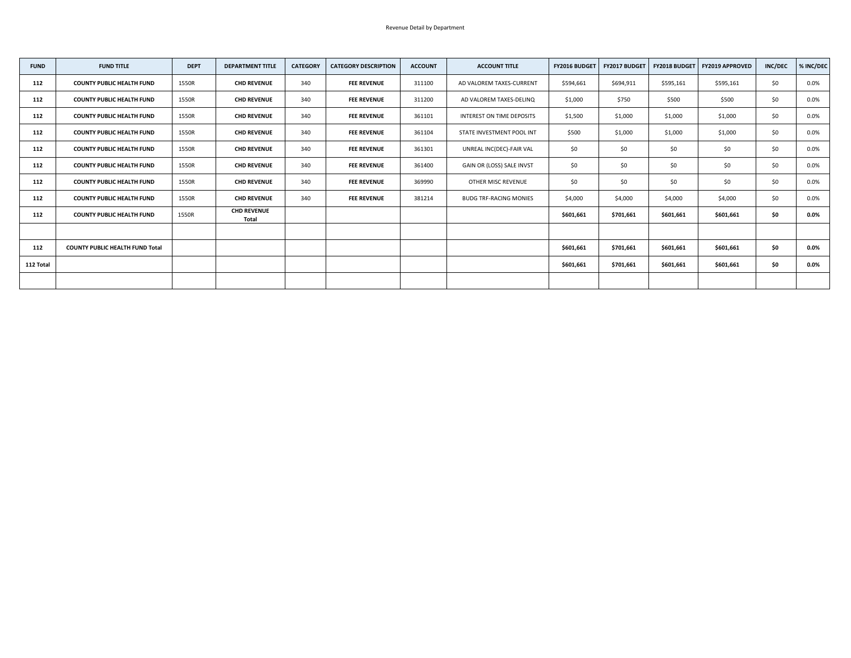| <b>FUND</b> | <b>FUND TITLE</b>                      | <b>DEPT</b> | <b>DEPARTMENT TITLE</b>            | <b>CATEGORY</b> | <b>CATEGORY DESCRIPTION</b> | <b>ACCOUNT</b> | <b>ACCOUNT TITLE</b>          | <b>FY2016 BUDGET</b> | <b>FY2017 BUDGET</b> | <b>FY2018 BUDGET</b> | <b>FY2019 APPROVED</b> | <b>INC/DEC</b> | % INC/DEC |
|-------------|----------------------------------------|-------------|------------------------------------|-----------------|-----------------------------|----------------|-------------------------------|----------------------|----------------------|----------------------|------------------------|----------------|-----------|
| 112         | <b>COUNTY PUBLIC HEALTH FUND</b>       | 1550R       | <b>CHD REVENUE</b>                 | 340             | <b>FEE REVENUE</b>          | 311100         | AD VALOREM TAXES-CURRENT      | \$594,661            | \$694,911            | \$595,161            | \$595,161              | \$0\$          | 0.0%      |
| 112         | <b>COUNTY PUBLIC HEALTH FUND</b>       | 1550R       | <b>CHD REVENUE</b>                 | 340             | <b>FEE REVENUE</b>          | 311200         | AD VALOREM TAXES-DELINQ       | \$1,000              | \$750                | \$500                | \$500                  | \$0            | $0.0\%$   |
| 112         | <b>COUNTY PUBLIC HEALTH FUND</b>       | 1550R       | <b>CHD REVENUE</b>                 | 340             | <b>FEE REVENUE</b>          | 361101         | INTEREST ON TIME DEPOSITS     | \$1,500              | \$1,000              | \$1,000              | \$1,000                | \$0            | 0.0%      |
| 112         | <b>COUNTY PUBLIC HEALTH FUND</b>       | 1550R       | <b>CHD REVENUE</b>                 | 340             | <b>FEE REVENUE</b>          | 361104         | STATE INVESTMENT POOL INT     | \$500                | \$1,000              | \$1,000              | \$1,000                | \$0            | 0.0%      |
| 112         | <b>COUNTY PUBLIC HEALTH FUND</b>       | 1550R       | <b>CHD REVENUE</b>                 | 340             | <b>FEE REVENUE</b>          | 361301         | UNREAL INC(DEC)-FAIR VAL      | \$0\$                | \$0                  | \$0                  | \$0\$                  | \$0\$          | $0.0\%$   |
| 112         | <b>COUNTY PUBLIC HEALTH FUND</b>       | 1550R       | <b>CHD REVENUE</b>                 | 340             | <b>FEE REVENUE</b>          | 361400         | GAIN OR (LOSS) SALE INVST     | \$0\$                | \$0                  | \$0                  | \$0\$                  | \$0            | $0.0\%$   |
| 112         | <b>COUNTY PUBLIC HEALTH FUND</b>       | 1550R       | <b>CHD REVENUE</b>                 | 340             | <b>FEE REVENUE</b>          | 369990         | OTHER MISC REVENUE            | \$0\$                | \$0                  | \$0                  | \$0                    | \$0            | 0.0%      |
| 112         | <b>COUNTY PUBLIC HEALTH FUND</b>       | 1550R       | <b>CHD REVENUE</b>                 | 340             | <b>FEE REVENUE</b>          | 381214         | <b>BUDG TRF-RACING MONIES</b> | \$4,000              | \$4,000              | \$4,000              | \$4,000                | \$0            | 0.0%      |
| 112         | <b>COUNTY PUBLIC HEALTH FUND</b>       | 1550R       | <b>CHD REVENUE</b><br><b>Total</b> |                 |                             |                |                               | \$601,661            | \$701,661            | \$601,661            | \$601,661              | \$0            | $0.0\%$   |
|             |                                        |             |                                    |                 |                             |                |                               |                      |                      |                      |                        |                |           |
| 112         | <b>COUNTY PUBLIC HEALTH FUND Total</b> |             |                                    |                 |                             |                |                               | \$601,661            | \$701,661            | \$601,661            | \$601,661              | \$0            | $0.0\%$   |
| 112 Total   |                                        |             |                                    |                 |                             |                |                               | \$601,661            | \$701,661            | \$601,661            | \$601,661              | \$0\$          | $0.0\%$   |
|             |                                        |             |                                    |                 |                             |                |                               |                      |                      |                      |                        |                |           |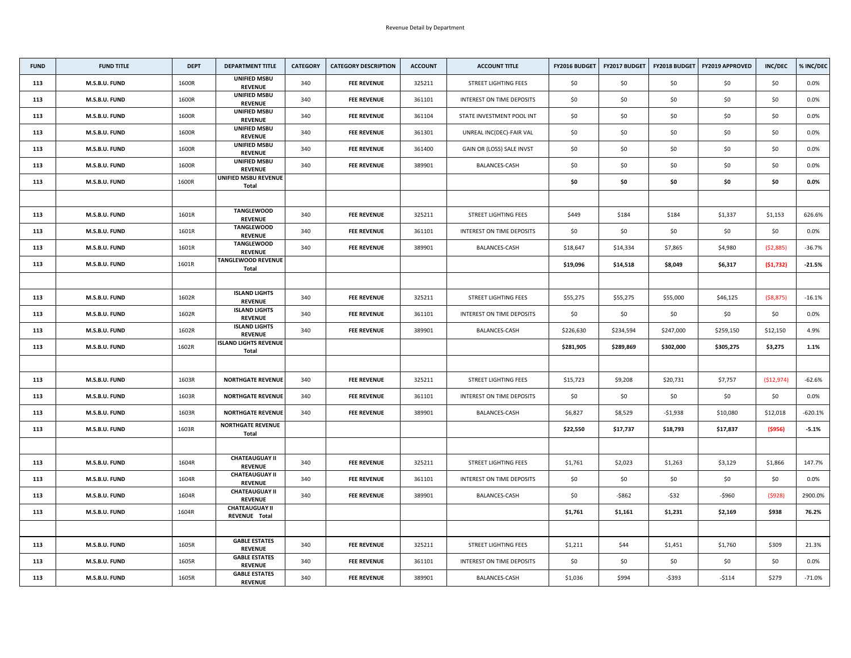| <b>FUND</b> | <b>FUND TITLE</b> | <b>DEPT</b> | <b>DEPARTMENT TITLE</b>                       | <b>CATEGORY</b> | <b>CATEGORY DESCRIPTION</b> | <b>ACCOUNT</b> | <b>ACCOUNT TITLE</b>        | <b>FY2016 BUDGET</b> | <b>FY2017 BUDGET</b> | <b>FY2018 BUDGET</b> | <b>FY2019 APPROVED</b> | <b>INC/DEC</b> | % INC/DEC |
|-------------|-------------------|-------------|-----------------------------------------------|-----------------|-----------------------------|----------------|-----------------------------|----------------------|----------------------|----------------------|------------------------|----------------|-----------|
| 113         | M.S.B.U. FUND     | 1600R       | <b>UNIFIED MSBU</b><br><b>REVENUE</b>         | 340             | <b>FEE REVENUE</b>          | 325211         | <b>STREET LIGHTING FEES</b> | \$0\$                | \$0                  | \$0                  | \$0\$                  | \$0            | $0.0\%$   |
| 113         | M.S.B.U. FUND     | 1600R       | <b>UNIFIED MSBU</b><br><b>REVENUE</b>         | 340             | <b>FEE REVENUE</b>          | 361101         | INTEREST ON TIME DEPOSITS   | \$0\$                | \$0\$                | \$0                  | \$0                    | \$0            | $0.0\%$   |
| 113         | M.S.B.U. FUND     | 1600R       | <b>UNIFIED MSBU</b><br><b>REVENUE</b>         | 340             | <b>FEE REVENUE</b>          | 361104         | STATE INVESTMENT POOL INT   | \$0                  | \$0\$                | \$0                  | \$0                    | \$0\$          | $0.0\%$   |
| 113         | M.S.B.U. FUND     | 1600R       | <b>UNIFIED MSBU</b><br><b>REVENUE</b>         | 340             | <b>FEE REVENUE</b>          | 361301         | UNREAL INC(DEC)-FAIR VAL    | \$0                  | \$0                  | \$0                  | \$0                    | \$0            | 0.0%      |
| 113         | M.S.B.U. FUND     | 1600R       | <b>UNIFIED MSBU</b><br><b>REVENUE</b>         | 340             | <b>FEE REVENUE</b>          | 361400         | GAIN OR (LOSS) SALE INVST   | \$0\$                | \$0                  | \$0                  | \$0                    | \$0            | $0.0\%$   |
| 113         | M.S.B.U. FUND     | 1600R       | <b>UNIFIED MSBU</b><br><b>REVENUE</b>         | 340             | <b>FEE REVENUE</b>          | 389901         | <b>BALANCES-CASH</b>        | \$0\$                | \$0                  | \$0\$                | \$0                    | \$0            | $0.0\%$   |
| 113         | M.S.B.U. FUND     | 1600R       | UNIFIED MSBU REVENUE<br><b>Total</b>          |                 |                             |                |                             | \$0                  | \$0                  | \$0                  | \$0                    | \$0\$          | $0.0\%$   |
|             |                   |             |                                               |                 |                             |                |                             |                      |                      |                      |                        |                |           |
| 113         | M.S.B.U. FUND     | 1601R       | <b>TANGLEWOOD</b><br><b>REVENUE</b>           | 340             | <b>FEE REVENUE</b>          | 325211         | <b>STREET LIGHTING FEES</b> | \$449                | \$184                | \$184                | \$1,337                | \$1,153        | 626.6%    |
| 113         | M.S.B.U. FUND     | 1601R       | <b>TANGLEWOOD</b><br><b>REVENUE</b>           | 340             | <b>FEE REVENUE</b>          | 361101         | INTEREST ON TIME DEPOSITS   | \$0\$                | \$0                  | \$0                  | \$0                    | \$0            | $0.0\%$   |
| 113         | M.S.B.U. FUND     | 1601R       | <b>TANGLEWOOD</b><br><b>REVENUE</b>           | 340             | <b>FEE REVENUE</b>          | 389901         | <b>BALANCES-CASH</b>        | \$18,647             | \$14,334             | \$7,865              | \$4,980                | (52,885)       | $-36.7%$  |
| 113         | M.S.B.U. FUND     | 1601R       | <b>TANGLEWOOD REVENUE</b><br><b>Total</b>     |                 |                             |                |                             | \$19,096             | \$14,518             | \$8,049              | \$6,317                | (51, 732)      | $-21.5%$  |
|             |                   |             |                                               |                 |                             |                |                             |                      |                      |                      |                        |                |           |
| 113         | M.S.B.U. FUND     | 1602R       | <b>ISLAND LIGHTS</b><br><b>REVENUE</b>        | 340             | <b>FEE REVENUE</b>          | 325211         | <b>STREET LIGHTING FEES</b> | \$55,275             | \$55,275             | \$55,000             | \$46,125               | ( \$8,875)     | $-16.1%$  |
| 113         | M.S.B.U. FUND     | 1602R       | <b>ISLAND LIGHTS</b><br><b>REVENUE</b>        | 340             | <b>FEE REVENUE</b>          | 361101         | INTEREST ON TIME DEPOSITS   | \$0                  | \$0                  | \$0                  | \$0                    | \$0            | $0.0\%$   |
| 113         | M.S.B.U. FUND     | 1602R       | <b>ISLAND LIGHTS</b><br><b>REVENUE</b>        | 340             | <b>FEE REVENUE</b>          | 389901         | BALANCES-CASH               | \$226,630            | \$234,594            | \$247,000            | \$259,150              | \$12,150       | 4.9%      |
| 113         | M.S.B.U. FUND     | 1602R       | <b>ISLAND LIGHTS REVENUE</b><br><b>Total</b>  |                 |                             |                |                             | \$281,905            | \$289,869            | \$302,000            | \$305,275              | \$3,275        | 1.1%      |
|             |                   |             |                                               |                 |                             |                |                             |                      |                      |                      |                        |                |           |
| 113         | M.S.B.U. FUND     | 1603R       | <b>NORTHGATE REVENUE</b>                      | 340             | <b>FEE REVENUE</b>          | 325211         | <b>STREET LIGHTING FEES</b> | \$15,723             | \$9,208              | \$20,731             | \$7,757                | ( \$12,974)    | $-62.6%$  |
| 113         | M.S.B.U. FUND     | 1603R       | <b>NORTHGATE REVENUE</b>                      | 340             | <b>FEE REVENUE</b>          | 361101         | INTEREST ON TIME DEPOSITS   | \$0\$                | \$0\$                | \$0                  | \$0                    | \$0\$          | $0.0\%$   |
| 113         | M.S.B.U. FUND     | 1603R       | <b>NORTHGATE REVENUE</b>                      | 340             | <b>FEE REVENUE</b>          | 389901         | <b>BALANCES-CASH</b>        | \$6,827              | \$8,529              | -\$1,938             | \$10,080               | \$12,018       | $-620.1%$ |
| 113         | M.S.B.U. FUND     | 1603R       | <b>NORTHGATE REVENUE</b><br><b>Total</b>      |                 |                             |                |                             | \$22,550             | \$17,737             | \$18,793             | \$17,837               | ( \$956)       | $-5.1%$   |
|             |                   |             |                                               |                 |                             |                |                             |                      |                      |                      |                        |                |           |
| 113         | M.S.B.U. FUND     | 1604R       | <b>CHATEAUGUAY II</b><br><b>REVENUE</b>       | 340             | <b>FEE REVENUE</b>          | 325211         | <b>STREET LIGHTING FEES</b> | \$1,761              | \$2,023              | \$1,263              | \$3,129                | \$1,866        | 147.7%    |
| 113         | M.S.B.U. FUND     | 1604R       | <b>CHATEAUGUAY II</b><br><b>REVENUE</b>       | 340             | <b>FEE REVENUE</b>          | 361101         | INTEREST ON TIME DEPOSITS   | \$0\$                | \$0\$                | \$0                  | \$0\$                  | \$0\$          | $0.0\%$   |
| 113         | M.S.B.U. FUND     | 1604R       | <b>CHATEAUGUAY II</b><br><b>REVENUE</b>       | 340             | <b>FEE REVENUE</b>          | 389901         | <b>BALANCES-CASH</b>        | \$0                  | $-5862$              | $-$ \$32             | -\$960                 | (5928)         | 2900.0%   |
| 113         | M.S.B.U. FUND     | 1604R       | <b>CHATEAUGUAY II</b><br><b>REVENUE Total</b> |                 |                             |                |                             | \$1,761              | \$1,161              | \$1,231              | \$2,169                | \$938          | 76.2%     |
|             |                   |             |                                               |                 |                             |                |                             |                      |                      |                      |                        |                |           |
| 113         | M.S.B.U. FUND     | 1605R       | <b>GABLE ESTATES</b><br><b>REVENUE</b>        | 340             | <b>FEE REVENUE</b>          | 325211         | <b>STREET LIGHTING FEES</b> | \$1,211              | \$44                 | \$1,451              | \$1,760                | \$309          | 21.3%     |
| 113         | M.S.B.U. FUND     | 1605R       | <b>GABLE ESTATES</b><br><b>REVENUE</b>        | 340             | <b>FEE REVENUE</b>          | 361101         | INTEREST ON TIME DEPOSITS   | \$0\$                | \$0                  | \$0                  | \$0                    | \$0            | $0.0\%$   |
| 113         | M.S.B.U. FUND     | 1605R       | <b>GABLE ESTATES</b><br><b>REVENUE</b>        | 340             | <b>FEE REVENUE</b>          | 389901         | <b>BALANCES-CASH</b>        | \$1,036              | \$994                | $-$ \$393            | $-5114$                | \$279          | $-71.0%$  |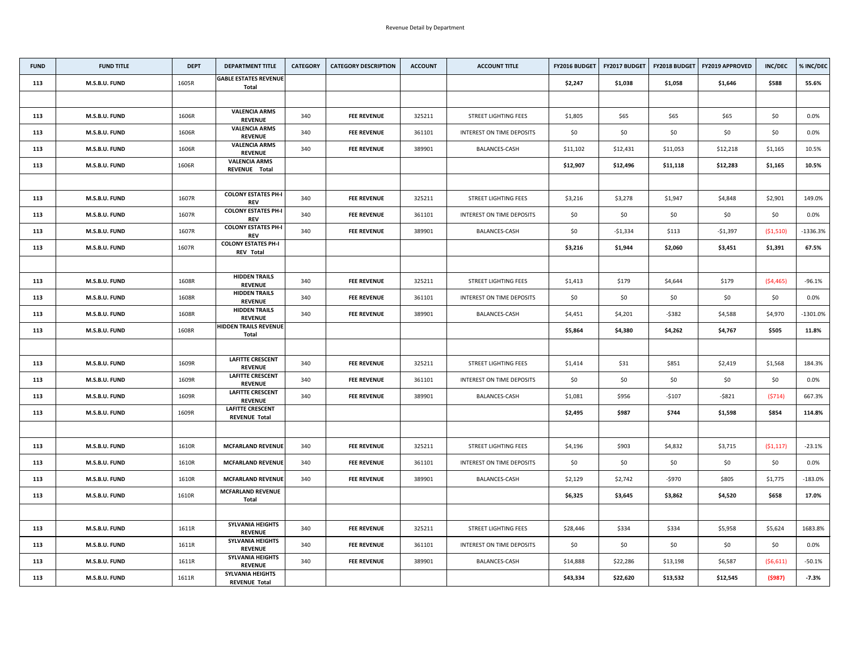| <b>FUND</b> | <b>FUND TITLE</b> | <b>DEPT</b> | <b>DEPARTMENT TITLE</b>                         | <b>CATEGORY</b> | <b>CATEGORY DESCRIPTION</b> | <b>ACCOUNT</b> | <b>ACCOUNT TITLE</b>             | <b>FY2016 BUDGET</b> | <b>FY2017 BUDGET</b> | <b>FY2018 BUDGET</b> | <b>FY2019 APPROVED</b> | <b>INC/DEC</b> | % INC/DEC   |
|-------------|-------------------|-------------|-------------------------------------------------|-----------------|-----------------------------|----------------|----------------------------------|----------------------|----------------------|----------------------|------------------------|----------------|-------------|
| 113         | M.S.B.U. FUND     | 1605R       | <b>GABLE ESTATES REVENUE</b><br><b>Total</b>    |                 |                             |                |                                  | \$2,247              | \$1,038              | \$1,058              | \$1,646                | \$588          | 55.6%       |
|             |                   |             |                                                 |                 |                             |                |                                  |                      |                      |                      |                        |                |             |
| 113         | M.S.B.U. FUND     | 1606R       | <b>VALENCIA ARMS</b><br><b>REVENUE</b>          | 340             | <b>FEE REVENUE</b>          | 325211         | <b>STREET LIGHTING FEES</b>      | \$1,805              | \$65                 | \$65                 | \$65                   | \$0\$          | 0.0%        |
| 113         | M.S.B.U. FUND     | 1606R       | <b>VALENCIA ARMS</b><br><b>REVENUE</b>          | 340             | <b>FEE REVENUE</b>          | 361101         | INTEREST ON TIME DEPOSITS        | \$0                  | \$0                  | \$0                  | \$0\$                  | \$0\$          | $0.0\%$     |
| 113         | M.S.B.U. FUND     | 1606R       | <b>VALENCIA ARMS</b><br><b>REVENUE</b>          | 340             | <b>FEE REVENUE</b>          | 389901         | <b>BALANCES-CASH</b>             | \$11,102             | \$12,431             | \$11,053             | \$12,218               | \$1,165        | 10.5%       |
| 113         | M.S.B.U. FUND     | 1606R       | <b>VALENCIA ARMS</b><br>REVENUE Total           |                 |                             |                |                                  | \$12,907             | \$12,496             | \$11,118             | \$12,283               | \$1,165        | 10.5%       |
|             |                   |             |                                                 |                 |                             |                |                                  |                      |                      |                      |                        |                |             |
| 113         | M.S.B.U. FUND     | 1607R       | <b>COLONY ESTATES PH-I</b><br><b>REV</b>        | 340             | <b>FEE REVENUE</b>          | 325211         | <b>STREET LIGHTING FEES</b>      | \$3,216              | \$3,278              | \$1,947              | \$4,848                | \$2,901        | 149.0%      |
| 113         | M.S.B.U. FUND     | 1607R       | <b>COLONY ESTATES PH-I</b><br><b>REV</b>        | 340             | <b>FEE REVENUE</b>          | 361101         | <b>INTEREST ON TIME DEPOSITS</b> | \$0                  | \$0                  | \$0                  | \$0                    | \$0            | 0.0%        |
| 113         | M.S.B.U. FUND     | 1607R       | <b>COLONY ESTATES PH-I</b><br><b>REV</b>        | 340             | <b>FEE REVENUE</b>          | 389901         | <b>BALANCES-CASH</b>             | \$0                  | $-51,334$            | \$113                | $-$1,397$              | (51,510)       | $-1336.3%$  |
| 113         | M.S.B.U. FUND     | 1607R       | <b>COLONY ESTATES PH-I</b><br><b>REV Total</b>  |                 |                             |                |                                  | \$3,216              | \$1,944              | \$2,060              | \$3,451                | \$1,391        | 67.5%       |
|             |                   |             |                                                 |                 |                             |                |                                  |                      |                      |                      |                        |                |             |
| 113         | M.S.B.U. FUND     | 1608R       | <b>HIDDEN TRAILS</b><br><b>REVENUE</b>          | 340             | <b>FEE REVENUE</b>          | 325211         | <b>STREET LIGHTING FEES</b>      | \$1,413              | \$179                | \$4,644              | \$179                  | (54, 465)      | $-96.1%$    |
| 113         | M.S.B.U. FUND     | 1608R       | <b>HIDDEN TRAILS</b><br><b>REVENUE</b>          | 340             | <b>FEE REVENUE</b>          | 361101         | <b>INTEREST ON TIME DEPOSITS</b> | \$0                  | \$0                  | \$0                  | \$0                    | \$0            | $0.0\%$     |
| 113         | M.S.B.U. FUND     | 1608R       | <b>HIDDEN TRAILS</b><br><b>REVENUE</b>          | 340             | <b>FEE REVENUE</b>          | 389901         | <b>BALANCES-CASH</b>             | \$4,451              | \$4,201              | $-$ \$382            | \$4,588                | \$4,970        | $-1301.0\%$ |
| 113         | M.S.B.U. FUND     | 1608R       | <b>HIDDEN TRAILS REVENUE</b><br><b>Total</b>    |                 |                             |                |                                  | \$5,864              | \$4,380              | \$4,262              | \$4,767                | \$505          | 11.8%       |
|             |                   |             |                                                 |                 |                             |                |                                  |                      |                      |                      |                        |                |             |
| 113         | M.S.B.U. FUND     | 1609R       | <b>LAFITTE CRESCENT</b><br><b>REVENUE</b>       | 340             | <b>FEE REVENUE</b>          | 325211         | <b>STREET LIGHTING FEES</b>      | \$1,414              | \$31                 | \$851                | \$2,419                | \$1,568        | 184.3%      |
| 113         | M.S.B.U. FUND     | 1609R       | <b>LAFITTE CRESCENT</b><br><b>REVENUE</b>       | 340             | <b>FEE REVENUE</b>          | 361101         | INTEREST ON TIME DEPOSITS        | \$0                  | \$0                  | \$0                  | \$0                    | \$0            | $0.0\%$     |
| 113         | M.S.B.U. FUND     | 1609R       | <b>LAFITTE CRESCENT</b><br><b>REVENUE</b>       | 340             | <b>FEE REVENUE</b>          | 389901         | <b>BALANCES-CASH</b>             | \$1,081              | \$956                | -\$107               | $-5821$                | (5714)         | 667.3%      |
| 113         | M.S.B.U. FUND     | 1609R       | <b>LAFITTE CRESCENT</b><br><b>REVENUE Total</b> |                 |                             |                |                                  | \$2,495              | \$987                | \$744                | \$1,598                | \$854          | 114.8%      |
|             |                   |             |                                                 |                 |                             |                |                                  |                      |                      |                      |                        |                |             |
| 113         | M.S.B.U. FUND     | 1610R       | <b>MCFARLAND REVENUE</b>                        | 340             | <b>FEE REVENUE</b>          | 325211         | <b>STREET LIGHTING FEES</b>      | \$4,196              | \$903                | \$4,832              | \$3,715                | (51, 117)      | $-23.1%$    |
| 113         | M.S.B.U. FUND     | 1610R       | <b>MCFARLAND REVENUE</b>                        | 340             | <b>FEE REVENUE</b>          | 361101         | INTEREST ON TIME DEPOSITS        | \$0                  | \$0                  | \$0                  | \$0                    | \$0            | $0.0\%$     |
| 113         | M.S.B.U. FUND     | 1610R       | <b>MCFARLAND REVENUE</b>                        | 340             | <b>FEE REVENUE</b>          | 389901         | BALANCES-CASH                    | \$2,129              | \$2,742              | -\$970               | \$805                  | \$1,775        | $-183.0\%$  |
| 113         | M.S.B.U. FUND     | 1610R       | <b>MCFARLAND REVENUE</b><br><b>Total</b>        |                 |                             |                |                                  | \$6,325              | \$3,645              | \$3,862              | \$4,520                | \$658          | 17.0%       |
|             |                   |             |                                                 |                 |                             |                |                                  |                      |                      |                      |                        |                |             |
| 113         | M.S.B.U. FUND     | 1611R       | <b>SYLVANIA HEIGHTS</b><br><b>REVENUE</b>       | 340             | <b>FEE REVENUE</b>          | 325211         | <b>STREET LIGHTING FEES</b>      | \$28,446             | \$334                | \$334                | \$5,958                | \$5,624        | 1683.8%     |
| 113         | M.S.B.U. FUND     | 1611R       | <b>SYLVANIA HEIGHTS</b><br><b>REVENUE</b>       | 340             | <b>FEE REVENUE</b>          | 361101         | INTEREST ON TIME DEPOSITS        | \$0                  | \$0                  | \$0                  | \$0                    | \$0            | $0.0\%$     |
| 113         | M.S.B.U. FUND     | 1611R       | <b>SYLVANIA HEIGHTS</b><br><b>REVENUE</b>       | 340             | <b>FEE REVENUE</b>          | 389901         | <b>BALANCES-CASH</b>             | \$14,888             | \$22,286             | \$13,198             | \$6,587                | (56, 611)      | $-50.1%$    |
| 113         | M.S.B.U. FUND     | 1611R       | <b>SYLVANIA HEIGHTS</b><br><b>REVENUE Total</b> |                 |                             |                |                                  | \$43,334             | \$22,620             | \$13,532             | \$12,545               | (5987)         | $-7.3%$     |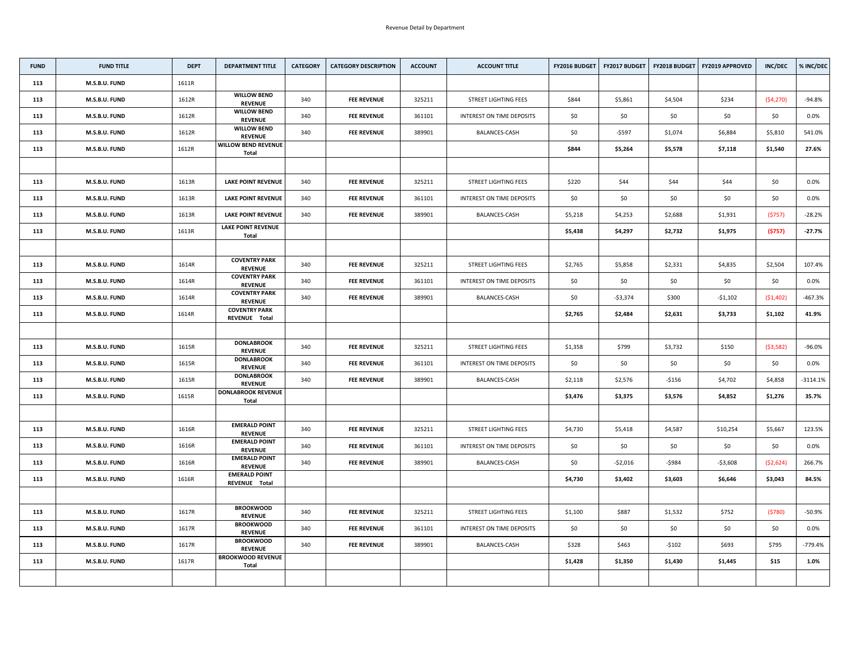| <b>FUND</b> | <b>FUND TITLE</b> | <b>DEPT</b> | <b>DEPARTMENT TITLE</b>                    | <b>CATEGORY</b> | <b>CATEGORY DESCRIPTION</b> | <b>ACCOUNT</b> | <b>ACCOUNT TITLE</b>             | FY2016 BUDGET | <b>FY2017 BUDGET</b> |           | FY2018 BUDGET   FY2019 APPROVED | <b>INC/DEC</b> | % INC/DEC  |
|-------------|-------------------|-------------|--------------------------------------------|-----------------|-----------------------------|----------------|----------------------------------|---------------|----------------------|-----------|---------------------------------|----------------|------------|
| 113         | M.S.B.U. FUND     | 1611R       |                                            |                 |                             |                |                                  |               |                      |           |                                 |                |            |
| 113         | M.S.B.U. FUND     | 1612R       | <b>WILLOW BEND</b><br><b>REVENUE</b>       | 340             | <b>FEE REVENUE</b>          | 325211         | <b>STREET LIGHTING FEES</b>      | \$844         | \$5,861              | \$4,504   | \$234                           | (54, 270)      | $-94.8%$   |
| 113         | M.S.B.U. FUND     | 1612R       | <b>WILLOW BEND</b><br><b>REVENUE</b>       | 340             | <b>FEE REVENUE</b>          | 361101         | <b>INTEREST ON TIME DEPOSITS</b> | \$0\$         | \$0\$                | \$0       | \$0                             | \$0            | $0.0\%$    |
| 113         | M.S.B.U. FUND     | 1612R       | <b>WILLOW BEND</b><br><b>REVENUE</b>       | 340             | <b>FEE REVENUE</b>          | 389901         | <b>BALANCES-CASH</b>             | \$0           | $-5597$              | \$1,074   | \$6,884                         | \$5,810        | 541.0%     |
| 113         | M.S.B.U. FUND     | 1612R       | <b>WILLOW BEND REVENUE</b><br><b>Total</b> |                 |                             |                |                                  | \$844         | \$5,264              | \$5,578   | \$7,118                         | \$1,540        | 27.6%      |
|             |                   |             |                                            |                 |                             |                |                                  |               |                      |           |                                 |                |            |
| 113         | M.S.B.U. FUND     | 1613R       | <b>LAKE POINT REVENUE</b>                  | 340             | <b>FEE REVENUE</b>          | 325211         | <b>STREET LIGHTING FEES</b>      | \$220         | \$44                 | \$44      | \$44                            | \$0\$          | $0.0\%$    |
| 113         | M.S.B.U. FUND     | 1613R       | <b>LAKE POINT REVENUE</b>                  | 340             | <b>FEE REVENUE</b>          | 361101         | INTEREST ON TIME DEPOSITS        | \$0\$         | \$0\$                | \$0       | \$0                             | \$0\$          | $0.0\%$    |
| 113         | M.S.B.U. FUND     | 1613R       | <b>LAKE POINT REVENUE</b>                  | 340             | <b>FEE REVENUE</b>          | 389901         | <b>BALANCES-CASH</b>             | \$5,218       | \$4,253              | \$2,688   | \$1,931                         | (5757)         | $-28.2%$   |
| 113         | M.S.B.U. FUND     | 1613R       | <b>LAKE POINT REVENUE</b><br><b>Total</b>  |                 |                             |                |                                  | \$5,438       | \$4,297              | \$2,732   | \$1,975                         | (5757)         | $-27.7%$   |
|             |                   |             |                                            |                 |                             |                |                                  |               |                      |           |                                 |                |            |
| 113         | M.S.B.U. FUND     | 1614R       | <b>COVENTRY PARK</b><br><b>REVENUE</b>     | 340             | <b>FEE REVENUE</b>          | 325211         | <b>STREET LIGHTING FEES</b>      | \$2,765       | \$5,858              | \$2,331   | \$4,835                         | \$2,504        | 107.4%     |
| 113         | M.S.B.U. FUND     | 1614R       | <b>COVENTRY PARK</b><br><b>REVENUE</b>     | 340             | <b>FEE REVENUE</b>          | 361101         | INTEREST ON TIME DEPOSITS        | \$0           | \$0                  | \$0       | \$0                             | \$0            | $0.0\%$    |
| 113         | M.S.B.U. FUND     | 1614R       | <b>COVENTRY PARK</b><br><b>REVENUE</b>     | 340             | <b>FEE REVENUE</b>          | 389901         | <b>BALANCES-CASH</b>             | \$0           | $-53,374$            | \$300     | $-51,102$                       | (\$1,402)      | -467.3%    |
| 113         | M.S.B.U. FUND     | 1614R       | <b>COVENTRY PARK</b><br>REVENUE Total      |                 |                             |                |                                  | \$2,765       | \$2,484              | \$2,631   | \$3,733                         | \$1,102        | 41.9%      |
|             |                   |             |                                            |                 |                             |                |                                  |               |                      |           |                                 |                |            |
| 113         | M.S.B.U. FUND     | 1615R       | <b>DONLABROOK</b><br><b>REVENUE</b>        | 340             | <b>FEE REVENUE</b>          | 325211         | <b>STREET LIGHTING FEES</b>      | \$1,358       | \$799                | \$3,732   | \$150                           | ( \$3,582)     | $-96.0%$   |
| 113         | M.S.B.U. FUND     | 1615R       | <b>DONLABROOK</b><br><b>REVENUE</b>        | 340             | <b>FEE REVENUE</b>          | 361101         | INTEREST ON TIME DEPOSITS        | \$0           | \$0                  | \$0       | \$0                             | \$0            | $0.0\%$    |
| 113         | M.S.B.U. FUND     | 1615R       | <b>DONLABROOK</b><br><b>REVENUE</b>        | 340             | <b>FEE REVENUE</b>          | 389901         | <b>BALANCES-CASH</b>             | \$2,118       | \$2,576              | $-$ \$156 | \$4,702                         | \$4,858        | $-3114.1%$ |
| 113         | M.S.B.U. FUND     | 1615R       | <b>DONLABROOK REVENUE</b><br><b>Total</b>  |                 |                             |                |                                  | \$3,476       | \$3,375              | \$3,576   | \$4,852                         | \$1,276        | 35.7%      |
|             |                   |             |                                            |                 |                             |                |                                  |               |                      |           |                                 |                |            |
| 113         | M.S.B.U. FUND     | 1616R       | <b>EMERALD POINT</b><br><b>REVENUE</b>     | 340             | <b>FEE REVENUE</b>          | 325211         | <b>STREET LIGHTING FEES</b>      | \$4,730       | \$5,418              | \$4,587   | \$10,254                        | \$5,667        | 123.5%     |
| 113         | M.S.B.U. FUND     | 1616R       | <b>EMERALD POINT</b><br><b>REVENUE</b>     | 340             | <b>FEE REVENUE</b>          | 361101         | INTEREST ON TIME DEPOSITS        | \$0\$         | \$0\$                | \$0       | \$0                             | \$0            | $0.0\%$    |
| 113         | M.S.B.U. FUND     | 1616R       | <b>EMERALD POINT</b><br><b>REVENUE</b>     | 340             | <b>FEE REVENUE</b>          | 389901         | <b>BALANCES-CASH</b>             | \$0           | $-52,016$            | -\$984    | $-53,608$                       | (\$2,624)      | 266.7%     |
| 113         | M.S.B.U. FUND     | 1616R       | <b>EMERALD POINT</b><br>REVENUE Total      |                 |                             |                |                                  | \$4,730       | \$3,402              | \$3,603   | \$6,646                         | \$3,043        | 84.5%      |
|             |                   |             |                                            |                 |                             |                |                                  |               |                      |           |                                 |                |            |
| 113         | M.S.B.U. FUND     | 1617R       | <b>BROOKWOOD</b><br><b>REVENUE</b>         | 340             | <b>FEE REVENUE</b>          | 325211         | <b>STREET LIGHTING FEES</b>      | \$1,100       | \$887                | \$1,532   | \$752                           | (5780)         | $-50.9%$   |
| 113         | M.S.B.U. FUND     | 1617R       | <b>BROOKWOOD</b><br><b>REVENUE</b>         | 340             | <b>FEE REVENUE</b>          | 361101         | <b>INTEREST ON TIME DEPOSITS</b> | \$0\$         | \$0                  | \$0       | \$0                             | \$0\$          | $0.0\%$    |
| 113         | M.S.B.U. FUND     | 1617R       | <b>BROOKWOOD</b><br><b>REVENUE</b>         | 340             | <b>FEE REVENUE</b>          | 389901         | BALANCES-CASH                    | \$328         | \$463                | $-5102$   | \$693                           | \$795          | -779.4%    |
| 113         | M.S.B.U. FUND     | 1617R       | <b>BROOKWOOD REVENUE</b><br><b>Total</b>   |                 |                             |                |                                  | \$1,428       | \$1,350              | \$1,430   | \$1,445                         | \$15           | 1.0%       |
|             |                   |             |                                            |                 |                             |                |                                  |               |                      |           |                                 |                |            |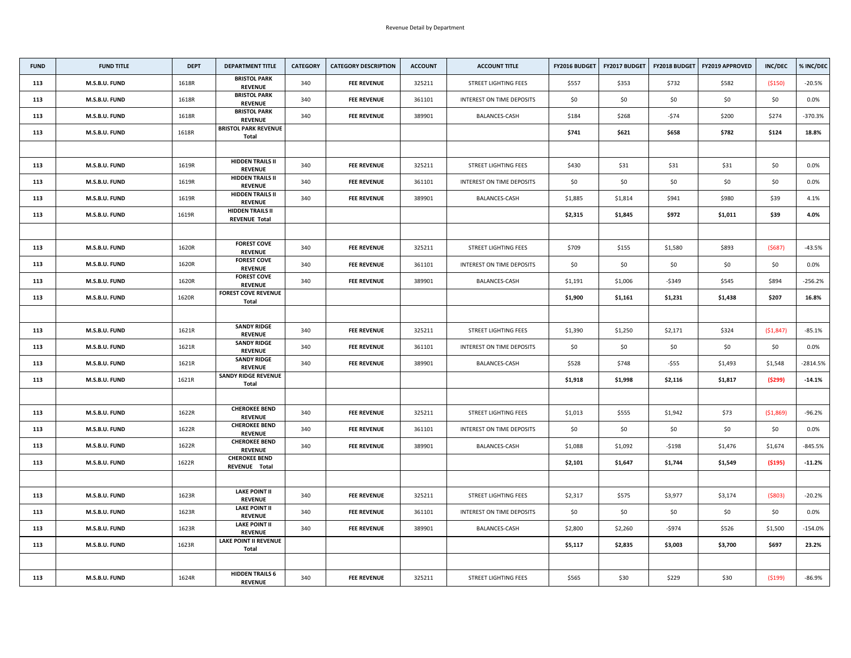| <b>FUND</b> | <b>FUND TITLE</b> | <b>DEPT</b> | <b>DEPARTMENT TITLE</b>                         | <b>CATEGORY</b> | <b>CATEGORY DESCRIPTION</b> | <b>ACCOUNT</b> | <b>ACCOUNT TITLE</b>             | FY2016 BUDGET | <b>FY2017 BUDGET</b> | <b>FY2018 BUDGET</b> | <b>FY2019 APPROVED</b> | <b>INC/DEC</b> | % INC/DEC  |
|-------------|-------------------|-------------|-------------------------------------------------|-----------------|-----------------------------|----------------|----------------------------------|---------------|----------------------|----------------------|------------------------|----------------|------------|
| 113         | M.S.B.U. FUND     | 1618R       | <b>BRISTOL PARK</b><br><b>REVENUE</b>           | 340             | <b>FEE REVENUE</b>          | 325211         | <b>STREET LIGHTING FEES</b>      | \$557         | \$353                | \$732                | \$582                  | ( \$150)       | $-20.5%$   |
| 113         | M.S.B.U. FUND     | 1618R       | <b>BRISTOL PARK</b><br><b>REVENUE</b>           | 340             | <b>FEE REVENUE</b>          | 361101         | INTEREST ON TIME DEPOSITS        | \$0           | \$0                  | \$0                  | \$0                    | \$0\$          | 0.0%       |
| 113         | M.S.B.U. FUND     | 1618R       | <b>BRISTOL PARK</b><br><b>REVENUE</b>           | 340             | <b>FEE REVENUE</b>          | 389901         | <b>BALANCES-CASH</b>             | \$184         | \$268                | $-574$               | \$200                  | \$274          | -370.3%    |
| 113         | M.S.B.U. FUND     | 1618R       | <b>BRISTOL PARK REVENUE</b><br><b>Total</b>     |                 |                             |                |                                  | \$741         | \$621                | \$658                | \$782                  | \$124          | 18.8%      |
|             |                   |             |                                                 |                 |                             |                |                                  |               |                      |                      |                        |                |            |
| 113         | M.S.B.U. FUND     | 1619R       | <b>HIDDEN TRAILS II</b><br><b>REVENUE</b>       | 340             | <b>FEE REVENUE</b>          | 325211         | <b>STREET LIGHTING FEES</b>      | \$430         | \$31                 | \$31                 | \$31                   | \$0\$          | $0.0\%$    |
| 113         | M.S.B.U. FUND     | 1619R       | <b>HIDDEN TRAILS II</b><br><b>REVENUE</b>       | 340             | <b>FEE REVENUE</b>          | 361101         | <b>INTEREST ON TIME DEPOSITS</b> | \$0\$         | \$0                  | \$0                  | \$0\$                  | \$0\$          | $0.0\%$    |
| 113         | M.S.B.U. FUND     | 1619R       | <b>HIDDEN TRAILS II</b><br><b>REVENUE</b>       | 340             | <b>FEE REVENUE</b>          | 389901         | <b>BALANCES-CASH</b>             | \$1,885       | \$1,814              | \$941                | \$980                  | \$39           | 4.1%       |
| 113         | M.S.B.U. FUND     | 1619R       | <b>HIDDEN TRAILS II</b><br><b>REVENUE Total</b> |                 |                             |                |                                  | \$2,315       | \$1,845              | \$972                | \$1,011                | \$39           | 4.0%       |
|             |                   |             |                                                 |                 |                             |                |                                  |               |                      |                      |                        |                |            |
| 113         | M.S.B.U. FUND     | 1620R       | <b>FOREST COVE</b><br><b>REVENUE</b>            | 340             | <b>FEE REVENUE</b>          | 325211         | <b>STREET LIGHTING FEES</b>      | \$709         | \$155                | \$1,580              | \$893                  | (5687)         | $-43.5%$   |
| 113         | M.S.B.U. FUND     | 1620R       | <b>FOREST COVE</b><br><b>REVENUE</b>            | 340             | <b>FEE REVENUE</b>          | 361101         | <b>INTEREST ON TIME DEPOSITS</b> | \$0\$         | \$0                  | \$0                  | \$0                    | \$0\$          | $0.0\%$    |
| 113         | M.S.B.U. FUND     | 1620R       | <b>FOREST COVE</b><br><b>REVENUE</b>            | 340             | <b>FEE REVENUE</b>          | 389901         | <b>BALANCES-CASH</b>             | \$1,191       | \$1,006              | $-$ \$349            | \$545                  | \$894          | $-256.2%$  |
| 113         | M.S.B.U. FUND     | 1620R       | <b>FOREST COVE REVENUE</b><br><b>Total</b>      |                 |                             |                |                                  | \$1,900       | \$1,161              | \$1,231              | \$1,438                | \$207          | 16.8%      |
|             |                   |             |                                                 |                 |                             |                |                                  |               |                      |                      |                        |                |            |
| 113         | M.S.B.U. FUND     | 1621R       | <b>SANDY RIDGE</b><br><b>REVENUE</b>            | 340             | <b>FEE REVENUE</b>          | 325211         | <b>STREET LIGHTING FEES</b>      | \$1,390       | \$1,250              | \$2,171              | \$324                  | ( \$1,847)     | $-85.1%$   |
| 113         | M.S.B.U. FUND     | 1621R       | <b>SANDY RIDGE</b><br><b>REVENUE</b>            | 340             | <b>FEE REVENUE</b>          | 361101         | INTEREST ON TIME DEPOSITS        | \$0           | \$0                  | \$0                  | \$0                    | \$0\$          | $0.0\%$    |
| 113         | M.S.B.U. FUND     | 1621R       | <b>SANDY RIDGE</b><br><b>REVENUE</b>            | 340             | <b>FEE REVENUE</b>          | 389901         | BALANCES-CASH                    | \$528         | \$748                | $-$ \$55             | \$1,493                | \$1,548        | $-2814.5%$ |
| 113         | M.S.B.U. FUND     | 1621R       | <b>SANDY RIDGE REVENUE</b><br><b>Total</b>      |                 |                             |                |                                  | \$1,918       | \$1,998              | \$2,116              | \$1,817                | (5299)         | $-14.1%$   |
|             |                   |             |                                                 |                 |                             |                |                                  |               |                      |                      |                        |                |            |
| 113         | M.S.B.U. FUND     | 1622R       | <b>CHEROKEE BEND</b><br><b>REVENUE</b>          | 340             | <b>FEE REVENUE</b>          | 325211         | <b>STREET LIGHTING FEES</b>      | \$1,013       | \$555                | \$1,942              | \$73                   | ( \$1,869)     | $-96.2%$   |
| 113         | M.S.B.U. FUND     | 1622R       | <b>CHEROKEE BEND</b><br><b>REVENUE</b>          | 340             | <b>FEE REVENUE</b>          | 361101         | <b>INTEREST ON TIME DEPOSITS</b> | \$0\$         | \$0                  | \$0                  | \$0                    | \$0            | $0.0\%$    |
| 113         | M.S.B.U. FUND     | 1622R       | <b>CHEROKEE BEND</b><br><b>REVENUE</b>          | 340             | <b>FEE REVENUE</b>          | 389901         | <b>BALANCES-CASH</b>             | \$1,088       | \$1,092              | $-$ \$198            | \$1,476                | \$1,674        | $-845.5%$  |
| 113         | M.S.B.U. FUND     | 1622R       | <b>CHEROKEE BEND</b><br>REVENUE Total           |                 |                             |                |                                  | \$2,101       | \$1,647              | \$1,744              | \$1,549                | ( \$195)       | $-11.2%$   |
|             |                   |             |                                                 |                 |                             |                |                                  |               |                      |                      |                        |                |            |
| 113         | M.S.B.U. FUND     | 1623R       | <b>LAKE POINT II</b><br><b>REVENUE</b>          | 340             | <b>FEE REVENUE</b>          | 325211         | <b>STREET LIGHTING FEES</b>      | \$2,317       | \$575                | \$3,977              | \$3,174                | ( \$803)       | $-20.2%$   |
| 113         | M.S.B.U. FUND     | 1623R       | <b>LAKE POINT II</b><br><b>REVENUE</b>          | 340             | <b>FEE REVENUE</b>          | 361101         | <b>INTEREST ON TIME DEPOSITS</b> | \$0           | \$0                  | \$0                  | \$0                    | \$0            | $0.0\%$    |
| 113         | M.S.B.U. FUND     | 1623R       | <b>LAKE POINT II</b><br><b>REVENUE</b>          | 340             | <b>FEE REVENUE</b>          | 389901         | <b>BALANCES-CASH</b>             | \$2,800       | \$2,260              | -\$974               | \$526                  | \$1,500        | $-154.0\%$ |
| 113         | M.S.B.U. FUND     | 1623R       | <b>LAKE POINT II REVENUE</b><br>Total           |                 |                             |                |                                  | \$5,117       | \$2,835              | \$3,003              | \$3,700                | \$697          | 23.2%      |
|             |                   |             |                                                 |                 |                             |                |                                  |               |                      |                      |                        |                |            |
| 113         | M.S.B.U. FUND     | 1624R       | <b>HIDDEN TRAILS 6</b><br><b>REVENUE</b>        | 340             | <b>FEE REVENUE</b>          | 325211         | <b>STREET LIGHTING FEES</b>      | \$565         | \$30                 | \$229                | \$30                   | (5199)         | $-86.9%$   |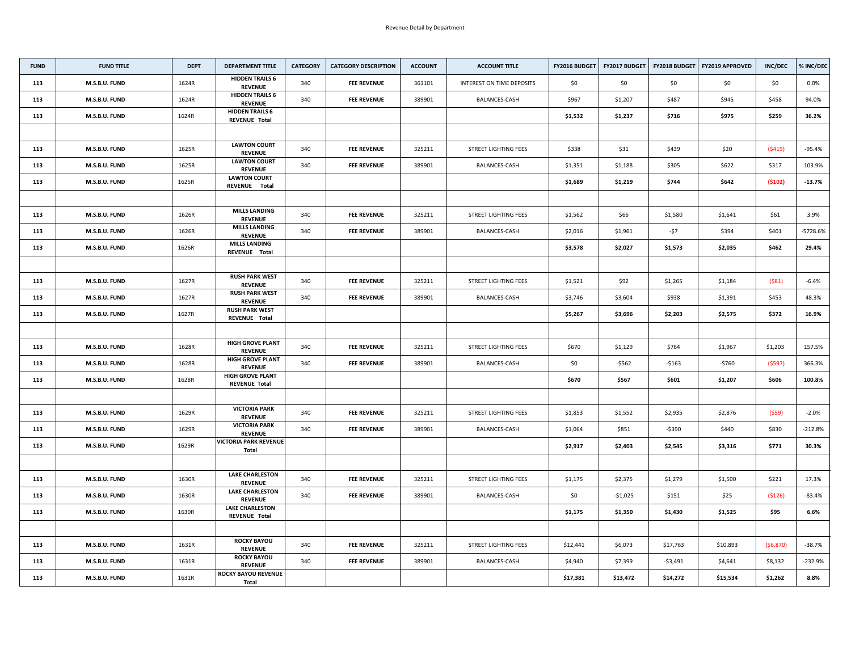| <b>FUND</b> | <b>FUND TITLE</b>    | <b>DEPT</b> | <b>DEPARTMENT TITLE</b>                         | <b>CATEGORY</b> | <b>CATEGORY DESCRIPTION</b> | <b>ACCOUNT</b> | <b>ACCOUNT TITLE</b>             | <b>FY2016 BUDGET</b> | FY2017 BUDGET | <b>FY2018 BUDGET</b> | <b>FY2019 APPROVED</b> | <b>INC/DEC</b> | % INC/DEC |
|-------------|----------------------|-------------|-------------------------------------------------|-----------------|-----------------------------|----------------|----------------------------------|----------------------|---------------|----------------------|------------------------|----------------|-----------|
| 113         | M.S.B.U. FUND        | 1624R       | <b>HIDDEN TRAILS 6</b><br><b>REVENUE</b>        | 340             | <b>FEE REVENUE</b>          | 361101         | <b>INTEREST ON TIME DEPOSITS</b> | \$0                  | \$0           | \$0                  | \$0                    | \$0\$          | $0.0\%$   |
| 113         | <b>M.S.B.U. FUND</b> | 1624R       | <b>HIDDEN TRAILS 6</b><br><b>REVENUE</b>        | 340             | <b>FEE REVENUE</b>          | 389901         | <b>BALANCES-CASH</b>             | \$967                | \$1,207       | \$487                | \$945                  | \$458          | 94.0%     |
| 113         | M.S.B.U. FUND        | 1624R       | <b>HIDDEN TRAILS 6</b><br><b>REVENUE Total</b>  |                 |                             |                |                                  | \$1,532              | \$1,237       | \$716                | \$975                  | \$259          | 36.2%     |
|             |                      |             |                                                 |                 |                             |                |                                  |                      |               |                      |                        |                |           |
| 113         | M.S.B.U. FUND        | 1625R       | <b>LAWTON COURT</b><br><b>REVENUE</b>           | 340             | <b>FEE REVENUE</b>          | 325211         | <b>STREET LIGHTING FEES</b>      | \$338                | \$31          | \$439                | \$20                   | (5419)         | $-95.4%$  |
| 113         | M.S.B.U. FUND        | 1625R       | <b>LAWTON COURT</b><br><b>REVENUE</b>           | 340             | <b>FEE REVENUE</b>          | 389901         | <b>BALANCES-CASH</b>             | \$1,351              | \$1,188       | \$305                | \$622                  | \$317          | 103.9%    |
| 113         | M.S.B.U. FUND        | 1625R       | <b>LAWTON COURT</b><br>REVENUE Total            |                 |                             |                |                                  | \$1,689              | \$1,219       | \$744                | \$642                  | (5102)         | $-13.7%$  |
|             |                      |             |                                                 |                 |                             |                |                                  |                      |               |                      |                        |                |           |
| 113         | M.S.B.U. FUND        | 1626R       | <b>MILLS LANDING</b><br><b>REVENUE</b>          | 340             | <b>FEE REVENUE</b>          | 325211         | <b>STREET LIGHTING FEES</b>      | \$1,562              | \$66          | \$1,580              | \$1,641                | \$61           | 3.9%      |
| 113         | M.S.B.U. FUND        | 1626R       | <b>MILLS LANDING</b><br><b>REVENUE</b>          | 340             | <b>FEE REVENUE</b>          | 389901         | <b>BALANCES-CASH</b>             | \$2,016              | \$1,961       | -\$7                 | \$394                  | \$401          | -5728.6%  |
| 113         | M.S.B.U. FUND        | 1626R       | <b>MILLS LANDING</b><br>REVENUE Total           |                 |                             |                |                                  | \$3,578              | \$2,027       | \$1,573              | \$2,035                | \$462          | 29.4%     |
|             |                      |             |                                                 |                 |                             |                |                                  |                      |               |                      |                        |                |           |
| 113         | M.S.B.U. FUND        | 1627R       | <b>RUSH PARK WEST</b><br><b>REVENUE</b>         | 340             | <b>FEE REVENUE</b>          | 325211         | <b>STREET LIGHTING FEES</b>      | \$1,521              | \$92          | \$1,265              | \$1,184                | (581)          | $-6.4%$   |
| 113         | M.S.B.U. FUND        | 1627R       | <b>RUSH PARK WEST</b><br><b>REVENUE</b>         | 340             | <b>FEE REVENUE</b>          | 389901         | <b>BALANCES-CASH</b>             | \$3,746              | \$3,604       | \$938                | \$1,391                | \$453          | 48.3%     |
| 113         | M.S.B.U. FUND        | 1627R       | <b>RUSH PARK WEST</b><br><b>REVENUE Total</b>   |                 |                             |                |                                  | \$5,267              | \$3,696       | \$2,203              | \$2,575                | \$372          | 16.9%     |
|             |                      |             |                                                 |                 |                             |                |                                  |                      |               |                      |                        |                |           |
| 113         | M.S.B.U. FUND        | 1628R       | <b>HIGH GROVE PLANT</b><br><b>REVENUE</b>       | 340             | <b>FEE REVENUE</b>          | 325211         | <b>STREET LIGHTING FEES</b>      | \$670                | \$1,129       | \$764                | \$1,967                | \$1,203        | 157.5%    |
| 113         | M.S.B.U. FUND        | 1628R       | <b>HIGH GROVE PLANT</b><br><b>REVENUE</b>       | 340             | <b>FEE REVENUE</b>          | 389901         | <b>BALANCES-CASH</b>             | \$0\$                | -\$562        | $-5163$              | -\$760                 | (5597)         | 366.3%    |
| 113         | M.S.B.U. FUND        | 1628R       | <b>HIGH GROVE PLANT</b><br><b>REVENUE Total</b> |                 |                             |                |                                  | \$670                | \$567         | \$601                | \$1,207                | \$606          | 100.8%    |
|             |                      |             |                                                 |                 |                             |                |                                  |                      |               |                      |                        |                |           |
| 113         | M.S.B.U. FUND        | 1629R       | <b>VICTORIA PARK</b><br><b>REVENUE</b>          | 340             | <b>FEE REVENUE</b>          | 325211         | <b>STREET LIGHTING FEES</b>      | \$1,853              | \$1,552       | \$2,935              | \$2,876                | (559)          | $-2.0%$   |
| 113         | M.S.B.U. FUND        | 1629R       | <b>VICTORIA PARK</b><br><b>REVENUE</b>          | 340             | <b>FEE REVENUE</b>          | 389901         | <b>BALANCES-CASH</b>             | \$1,064              | \$851         | -\$390               | \$440                  | \$830          | $-212.8%$ |
| 113         | M.S.B.U. FUND        | 1629R       | <b>VICTORIA PARK REVENUE</b><br>Total           |                 |                             |                |                                  | \$2,917              | \$2,403       | \$2,545              | \$3,316                | \$771          | 30.3%     |
|             |                      |             |                                                 |                 |                             |                |                                  |                      |               |                      |                        |                |           |
| 113         | M.S.B.U. FUND        | 1630R       | <b>LAKE CHARLESTON</b><br><b>REVENUE</b>        | 340             | <b>FEE REVENUE</b>          | 325211         | <b>STREET LIGHTING FEES</b>      | \$1,175              | \$2,375       | \$1,279              | \$1,500                | \$221          | 17.3%     |
| 113         | M.S.B.U. FUND        | 1630R       | <b>LAKE CHARLESTON</b><br><b>REVENUE</b>        | 340             | <b>FEE REVENUE</b>          | 389901         | <b>BALANCES-CASH</b>             | \$0                  | $-51,025$     | \$151                | \$25                   | (5126)         | $-83.4%$  |
| 113         | M.S.B.U. FUND        | 1630R       | <b>LAKE CHARLESTON</b><br><b>REVENUE Total</b>  |                 |                             |                |                                  | \$1,175              | \$1,350       | \$1,430              | \$1,525                | \$95           | 6.6%      |
|             |                      |             |                                                 |                 |                             |                |                                  |                      |               |                      |                        |                |           |
| 113         | M.S.B.U. FUND        | 1631R       | <b>ROCKY BAYOU</b><br><b>REVENUE</b>            | 340             | <b>FEE REVENUE</b>          | 325211         | <b>STREET LIGHTING FEES</b>      | \$12,441             | \$6,073       | \$17,763             | \$10,893               | (\$6,870)      | $-38.7%$  |
| 113         | M.S.B.U. FUND        | 1631R       | <b>ROCKY BAYOU</b><br><b>REVENUE</b>            | 340             | <b>FEE REVENUE</b>          | 389901         | <b>BALANCES-CASH</b>             | \$4,940              | \$7,399       | $-$ \$3,491          | \$4,641                | \$8,132        | -232.9%   |
| 113         | M.S.B.U. FUND        | 1631R       | <b>ROCKY BAYOU REVENUE</b><br><b>Total</b>      |                 |                             |                |                                  | \$17,381             | \$13,472      | \$14,272             | \$15,534               | \$1,262        | 8.8%      |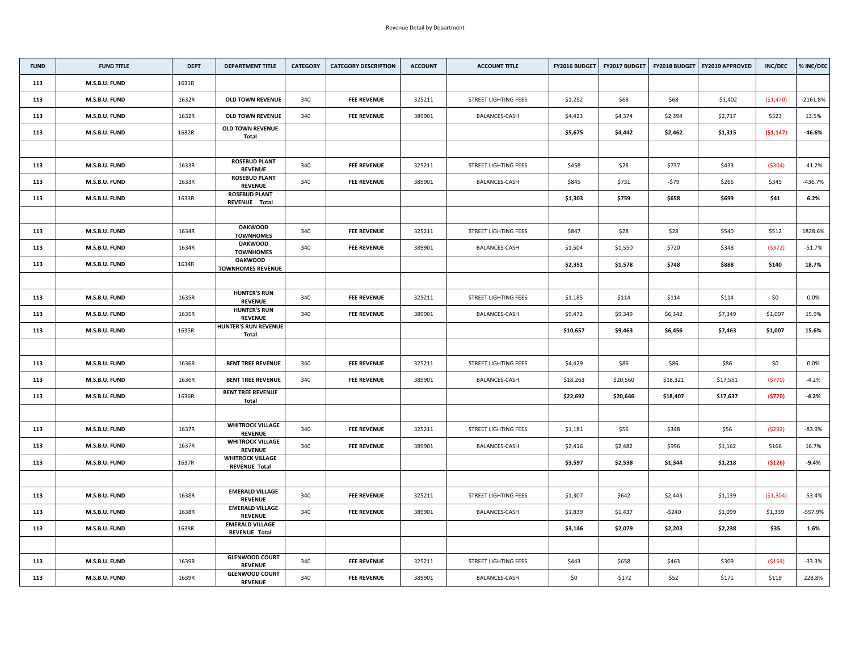| <b>FUND</b> | <b>FUND TITLE</b> | <b>DEPT</b> | <b>DEPARTMENT TITLE</b>                         | <b>CATEGORY</b> | <b>CATEGORY DESCRIPTION</b> | <b>ACCOUNT</b> | <b>ACCOUNT TITLE</b>        | <b>FY2016 BUDGET</b> | <b>FY2017 BUDGET</b> | <b>FY2018 BUDGET</b> | <b>FY2019 APPROVED</b> | <b>INC/DEC</b> | % INC/DEC  |
|-------------|-------------------|-------------|-------------------------------------------------|-----------------|-----------------------------|----------------|-----------------------------|----------------------|----------------------|----------------------|------------------------|----------------|------------|
| 113         | M.S.B.U. FUND     | 1631R       |                                                 |                 |                             |                |                             |                      |                      |                      |                        |                |            |
| 113         | M.S.B.U. FUND     | 1632R       | <b>OLD TOWN REVENUE</b>                         | 340             | <b>FEE REVENUE</b>          | 325211         | <b>STREET LIGHTING FEES</b> | \$1,252              | \$68                 | \$68                 | $-$1,402$              | ( \$1,470)     | $-2161.8%$ |
| 113         | M.S.B.U. FUND     | 1632R       | <b>OLD TOWN REVENUE</b>                         | 340             | <b>FEE REVENUE</b>          | 389901         | <b>BALANCES-CASH</b>        | \$4,423              | \$4,374              | \$2,394              | \$2,717                | \$323          | 13.5%      |
| 113         | M.S.B.U. FUND     | 1632R       | <b>OLD TOWN REVENUE</b><br><b>Total</b>         |                 |                             |                |                             | \$5,675              | \$4,442              | \$2,462              | \$1,315                | (51, 147)      | $-46.6%$   |
|             |                   |             |                                                 |                 |                             |                |                             |                      |                      |                      |                        |                |            |
| 113         | M.S.B.U. FUND     | 1633R       | <b>ROSEBUD PLANT</b><br><b>REVENUE</b>          | 340             | <b>FEE REVENUE</b>          | 325211         | <b>STREET LIGHTING FEES</b> | \$458                | \$28                 | \$737                | \$433                  | (5304)         | $-41.2%$   |
| 113         | M.S.B.U. FUND     | 1633R       | <b>ROSEBUD PLANT</b><br><b>REVENUE</b>          | 340             | <b>FEE REVENUE</b>          | 389901         | <b>BALANCES-CASH</b>        | \$845                | \$731                | -\$79                | \$266                  | \$345          | $-436.7%$  |
| 113         | M.S.B.U. FUND     | 1633R       | <b>ROSEBUD PLANT</b><br>REVENUE Total           |                 |                             |                |                             | \$1,303              | \$759                | \$658                | \$699                  | \$41           | 6.2%       |
|             |                   |             |                                                 |                 |                             |                |                             |                      |                      |                      |                        |                |            |
| 113         | M.S.B.U. FUND     | 1634R       | <b>OAKWOOD</b><br><b>TOWNHOMES</b>              | 340             | <b>FEE REVENUE</b>          | 325211         | <b>STREET LIGHTING FEES</b> | \$847                | \$28                 | \$28                 | \$540                  | \$512          | 1828.6%    |
| 113         | M.S.B.U. FUND     | 1634R       | <b>OAKWOOD</b><br><b>TOWNHOMES</b>              | 340             | <b>FEE REVENUE</b>          | 389901         | <b>BALANCES-CASH</b>        | \$1,504              | \$1,550              | \$720                | \$348                  | (5372)         | $-51.7%$   |
| 113         | M.S.B.U. FUND     | 1634R       | <b>OAKWOOD</b><br><b>TOWNHOMES REVENUE</b>      |                 |                             |                |                             | \$2,351              | \$1,578              | \$748                | \$888                  | \$140          | 18.7%      |
|             |                   |             |                                                 |                 |                             |                |                             |                      |                      |                      |                        |                |            |
| 113         | M.S.B.U. FUND     | 1635R       | <b>HUNTER'S RUN</b><br><b>REVENUE</b>           | 340             | <b>FEE REVENUE</b>          | 325211         | <b>STREET LIGHTING FEES</b> | \$1,185              | \$114                | \$114                | \$114                  | \$0            | $0.0\%$    |
| 113         | M.S.B.U. FUND     | 1635R       | <b>HUNTER'S RUN</b><br><b>REVENUE</b>           | 340             | <b>FEE REVENUE</b>          | 389901         | <b>BALANCES-CASH</b>        | \$9,472              | \$9,349              | \$6,342              | \$7,349                | \$1,007        | 15.9%      |
| 113         | M.S.B.U. FUND     | 1635R       | <b>HUNTER'S RUN REVENUE</b><br><b>Total</b>     |                 |                             |                |                             | \$10,657             | \$9,463              | \$6,456              | \$7,463                | \$1,007        | 15.6%      |
|             |                   |             |                                                 |                 |                             |                |                             |                      |                      |                      |                        |                |            |
| 113         | M.S.B.U. FUND     | 1636R       | <b>BENT TREE REVENUE</b>                        | 340             | <b>FEE REVENUE</b>          | 325211         | <b>STREET LIGHTING FEES</b> | \$4,429              | \$86                 | \$86                 | \$86                   | \$0\$          | $0.0\%$    |
| 113         | M.S.B.U. FUND     | 1636R       | <b>BENT TREE REVENUE</b>                        | 340             | <b>FEE REVENUE</b>          | 389901         | <b>BALANCES-CASH</b>        | \$18,263             | \$20,560             | \$18,321             | \$17,551               | (5770)         | $-4.2%$    |
| 113         | M.S.B.U. FUND     | 1636R       | <b>BENT TREE REVENUE</b><br><b>Total</b>        |                 |                             |                |                             | \$22,692             | \$20,646             | \$18,407             | \$17,637               | (5770)         | $-4.2%$    |
|             |                   |             |                                                 |                 |                             |                |                             |                      |                      |                      |                        |                |            |
| 113         | M.S.B.U. FUND     | 1637R       | <b>WHITROCK VILLAGE</b><br><b>REVENUE</b>       | 340             | <b>FEE REVENUE</b>          | 325211         | <b>STREET LIGHTING FEES</b> | \$1,181              | \$56                 | \$348                | \$56                   | (5292)         | $-83.9%$   |
| 113         | M.S.B.U. FUND     | 1637R       | <b>WHITROCK VILLAGE</b><br><b>REVENUE</b>       | 340             | <b>FEE REVENUE</b>          | 389901         | <b>BALANCES-CASH</b>        | \$2,416              | \$2,482              | \$996                | \$1,162                | \$166          | 16.7%      |
| 113         | M.S.B.U. FUND     | 1637R       | <b>WHITROCK VILLAGE</b><br><b>REVENUE Total</b> |                 |                             |                |                             | \$3,597              | \$2,538              | \$1,344              | \$1,218                | ( \$126)       | $-9.4%$    |
|             |                   |             |                                                 |                 |                             |                |                             |                      |                      |                      |                        |                |            |
| 113         | M.S.B.U. FUND     | 1638R       | <b>EMERALD VILLAGE</b><br><b>REVENUE</b>        | 340             | <b>FEE REVENUE</b>          | 325211         | <b>STREET LIGHTING FEES</b> | \$1,307              | \$642                | \$2,443              | \$1,139                | ( \$1,304)     | $-53.4%$   |
| 113         | M.S.B.U. FUND     | 1638R       | <b>EMERALD VILLAGE</b><br><b>REVENUE</b>        | 340             | <b>FEE REVENUE</b>          | 389901         | <b>BALANCES-CASH</b>        | \$1,839              | \$1,437              | -\$240               | \$1,099                | \$1,339        | $-557.9%$  |
| 113         | M.S.B.U. FUND     | 1638R       | <b>EMERALD VILLAGE</b><br><b>REVENUE Total</b>  |                 |                             |                |                             | \$3,146              | \$2,079              | \$2,203              | \$2,238                | \$35           | 1.6%       |
|             |                   |             |                                                 |                 |                             |                |                             |                      |                      |                      |                        |                |            |
| 113         | M.S.B.U. FUND     | 1639R       | <b>GLENWOOD COURT</b><br><b>REVENUE</b>         | 340             | <b>FEE REVENUE</b>          | 325211         | <b>STREET LIGHTING FEES</b> | \$443                | \$658                | \$463                | \$309                  | ( \$154)       | $-33.3%$   |
| 113         | M.S.B.U. FUND     | 1639R       | <b>GLENWOOD COURT</b><br><b>REVENUE</b>         | 340             | <b>FEE REVENUE</b>          | 389901         | <b>BALANCES-CASH</b>        | \$0                  | $-5172$              | \$52                 | \$171                  | \$119          | 228.8%     |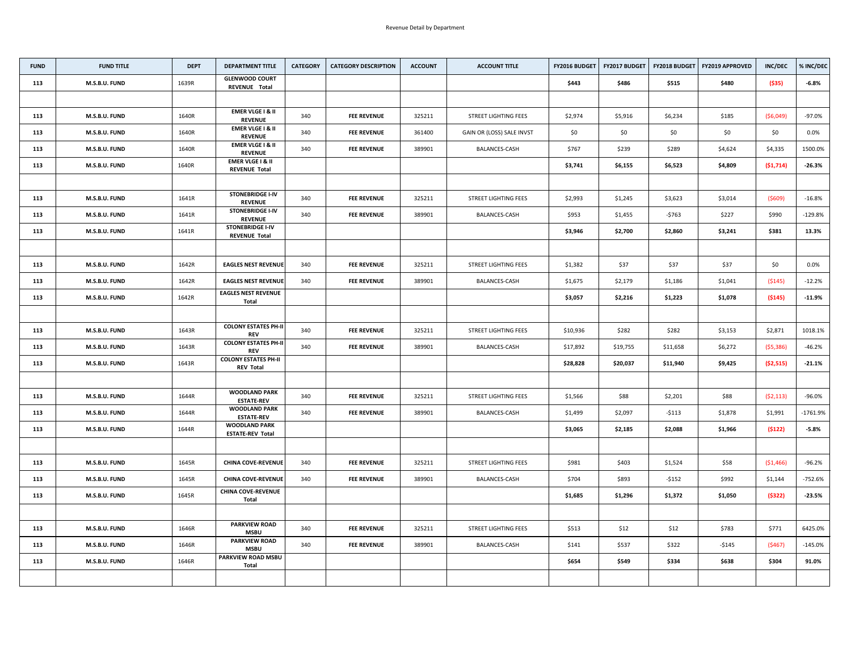| <b>FUND</b> | <b>FUND TITLE</b>    | <b>DEPT</b> | <b>DEPARTMENT TITLE</b>                             | <b>CATEGORY</b> | <b>CATEGORY DESCRIPTION</b> | <b>ACCOUNT</b> | <b>ACCOUNT TITLE</b>        | <b>FY2016 BUDGET</b> | FY2017 BUDGET | <b>FY2018 BUDGET</b> | <b>FY2019 APPROVED</b> | <b>INC/DEC</b> | % INC/DEC  |
|-------------|----------------------|-------------|-----------------------------------------------------|-----------------|-----------------------------|----------------|-----------------------------|----------------------|---------------|----------------------|------------------------|----------------|------------|
| 113         | M.S.B.U. FUND        | 1639R       | <b>GLENWOOD COURT</b><br><b>REVENUE Total</b>       |                 |                             |                |                             | \$443                | \$486         | \$515                | \$480                  | ( \$35)        | $-6.8%$    |
|             |                      |             |                                                     |                 |                             |                |                             |                      |               |                      |                        |                |            |
| 113         | M.S.B.U. FUND        | 1640R       | <b>EMER VLGE I &amp; II</b><br><b>REVENUE</b>       | 340             | <b>FEE REVENUE</b>          | 325211         | <b>STREET LIGHTING FEES</b> | \$2,974              | \$5,916       | \$6,234              | \$185                  | (56,049)       | $-97.0%$   |
| 113         | M.S.B.U. FUND        | 1640R       | <b>EMER VLGE I &amp; II</b><br><b>REVENUE</b>       | 340             | <b>FEE REVENUE</b>          | 361400         | GAIN OR (LOSS) SALE INVST   | \$0\$                | \$0\$         | \$0                  | \$0\$                  | \$0            | 0.0%       |
| 113         | M.S.B.U. FUND        | 1640R       | <b>EMER VLGE I &amp; II</b><br><b>REVENUE</b>       | 340             | <b>FEE REVENUE</b>          | 389901         | <b>BALANCES-CASH</b>        | \$767                | \$239         | \$289                | \$4,624                | \$4,335        | 1500.0%    |
| 113         | <b>M.S.B.U. FUND</b> | 1640R       | <b>EMER VLGE I &amp; II</b><br><b>REVENUE Total</b> |                 |                             |                |                             | \$3,741              | \$6,155       | \$6,523              | \$4,809                | (51, 714)      | $-26.3%$   |
|             |                      |             |                                                     |                 |                             |                |                             |                      |               |                      |                        |                |            |
| 113         | M.S.B.U. FUND        | 1641R       | <b>STONEBRIDGE I-IV</b><br><b>REVENUE</b>           | 340             | <b>FEE REVENUE</b>          | 325211         | <b>STREET LIGHTING FEES</b> | \$2,993              | \$1,245       | \$3,623              | \$3,014                | (5609)         | $-16.8%$   |
| 113         | <b>M.S.B.U. FUND</b> | 1641R       | <b>STONEBRIDGE I-IV</b><br><b>REVENUE</b>           | 340             | <b>FEE REVENUE</b>          | 389901         | <b>BALANCES-CASH</b>        | \$953                | \$1,455       | $-5763$              | \$227                  | \$990          | $-129.8%$  |
| 113         | M.S.B.U. FUND        | 1641R       | <b>STONEBRIDGE I-IV</b><br><b>REVENUE Total</b>     |                 |                             |                |                             | \$3,946              | \$2,700       | \$2,860              | \$3,241                | \$381          | 13.3%      |
|             |                      |             |                                                     |                 |                             |                |                             |                      |               |                      |                        |                |            |
| 113         | M.S.B.U. FUND        | 1642R       | <b>EAGLES NEST REVENUE</b>                          | 340             | <b>FEE REVENUE</b>          | 325211         | <b>STREET LIGHTING FEES</b> | \$1,382              | \$37          | \$37                 | \$37                   | \$0            | $0.0\%$    |
| 113         | M.S.B.U. FUND        | 1642R       | <b>EAGLES NEST REVENUE</b>                          | 340             | <b>FEE REVENUE</b>          | 389901         | <b>BALANCES-CASH</b>        | \$1,675              | \$2,179       | \$1,186              | \$1,041                | (5145)         | $-12.2%$   |
| 113         | M.S.B.U. FUND        | 1642R       | <b>EAGLES NEST REVENUE</b><br><b>Total</b>          |                 |                             |                |                             | \$3,057              | \$2,216       | \$1,223              | \$1,078                | ( \$145)       | $-11.9%$   |
|             |                      |             |                                                     |                 |                             |                |                             |                      |               |                      |                        |                |            |
| 113         | M.S.B.U. FUND        | 1643R       | <b>COLONY ESTATES PH-II</b><br><b>REV</b>           | 340             | <b>FEE REVENUE</b>          | 325211         | <b>STREET LIGHTING FEES</b> | \$10,936             | \$282         | \$282                | \$3,153                | \$2,871        | 1018.1%    |
| 113         | <b>M.S.B.U. FUND</b> | 1643R       | <b>COLONY ESTATES PH-II</b><br><b>REV</b>           | 340             | <b>FEE REVENUE</b>          | 389901         | <b>BALANCES-CASH</b>        | \$17,892             | \$19,755      | \$11,658             | \$6,272                | (55,386)       | $-46.2%$   |
| 113         | M.S.B.U. FUND        | 1643R       | <b>COLONY ESTATES PH-II</b><br><b>REV Total</b>     |                 |                             |                |                             | \$28,828             | \$20,037      | \$11,940             | \$9,425                | (52, 515)      | $-21.1%$   |
|             |                      |             |                                                     |                 |                             |                |                             |                      |               |                      |                        |                |            |
| 113         | M.S.B.U. FUND        | 1644R       | <b>WOODLAND PARK</b><br><b>ESTATE-REV</b>           | 340             | <b>FEE REVENUE</b>          | 325211         | <b>STREET LIGHTING FEES</b> | \$1,566              | \$88          | \$2,201              | \$88                   | (52, 113)      | $-96.0%$   |
| 113         | M.S.B.U. FUND        | 1644R       | <b>WOODLAND PARK</b><br><b>ESTATE-REV</b>           | 340             | <b>FEE REVENUE</b>          | 389901         | <b>BALANCES-CASH</b>        | \$1,499              | \$2,097       | $-5113$              | \$1,878                | \$1,991        | $-1761.9%$ |
| 113         | M.S.B.U. FUND        | 1644R       | <b>WOODLAND PARK</b><br><b>ESTATE-REV Total</b>     |                 |                             |                |                             | \$3,065              | \$2,185       | \$2,088              | \$1,966                | (5122)         | $-5.8%$    |
|             |                      |             |                                                     |                 |                             |                |                             |                      |               |                      |                        |                |            |
| 113         | M.S.B.U. FUND        | 1645R       | <b>CHINA COVE-REVENUE</b>                           | 340             | <b>FEE REVENUE</b>          | 325211         | <b>STREET LIGHTING FEES</b> | \$981                | \$403         | \$1,524              | \$58                   | ( \$1,466)     | $-96.2%$   |
| 113         | M.S.B.U. FUND        | 1645R       | <b>CHINA COVE-REVENUE</b>                           | 340             | <b>FEE REVENUE</b>          | 389901         | <b>BALANCES-CASH</b>        | \$704                | \$893         | $-$ \$152            | \$992                  | \$1,144        | -752.6%    |
| 113         | M.S.B.U. FUND        | 1645R       | <b>CHINA COVE-REVENUE</b><br>Total                  |                 |                             |                |                             | \$1,685              | \$1,296       | \$1,372              | \$1,050                | (5322)         | $-23.5%$   |
|             |                      |             |                                                     |                 |                             |                |                             |                      |               |                      |                        |                |            |
| 113         | M.S.B.U. FUND        | 1646R       | <b>PARKVIEW ROAD</b><br><b>MSBU</b>                 | 340             | <b>FEE REVENUE</b>          | 325211         | <b>STREET LIGHTING FEES</b> | \$513                | \$12          | \$12                 | \$783                  | \$771          | 6425.0%    |
| 113         | M.S.B.U. FUND        | 1646R       | <b>PARKVIEW ROAD</b><br><b>MSBU</b>                 | 340             | <b>FEE REVENUE</b>          | 389901         | <b>BALANCES-CASH</b>        | \$141                | \$537         | \$322                | -\$145                 | (5467)         | $-145.0%$  |
| 113         | M.S.B.U. FUND        | 1646R       | <b>PARKVIEW ROAD MSBU</b><br><b>Total</b>           |                 |                             |                |                             | \$654                | \$549         | \$334                | \$638                  | \$304          | 91.0%      |
|             |                      |             |                                                     |                 |                             |                |                             |                      |               |                      |                        |                |            |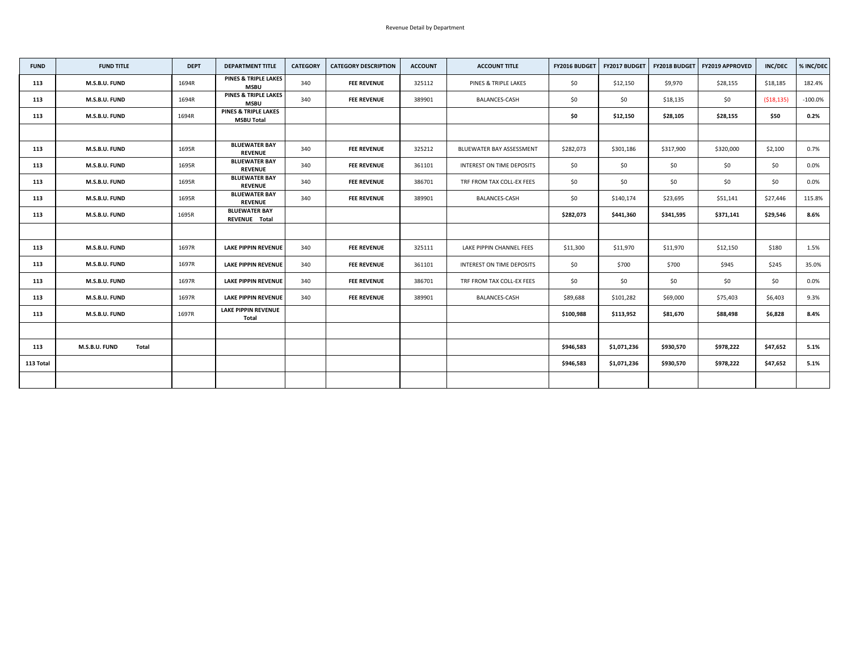| <b>FUND</b> | <b>FUND TITLE</b>             | <b>DEPT</b> | <b>DEPARTMENT TITLE</b>                              | <b>CATEGORY</b> | <b>CATEGORY DESCRIPTION</b> | <b>ACCOUNT</b> | <b>ACCOUNT TITLE</b>      | <b>FY2016 BUDGET</b> | <b>FY2017 BUDGET</b> |           | <b>FY2018 BUDGET   FY2019 APPROVED</b> | <b>INC/DEC</b> | % INC/DEC  |
|-------------|-------------------------------|-------------|------------------------------------------------------|-----------------|-----------------------------|----------------|---------------------------|----------------------|----------------------|-----------|----------------------------------------|----------------|------------|
| 113         | M.S.B.U. FUND                 | 1694R       | <b>PINES &amp; TRIPLE LAKES</b><br><b>MSBU</b>       | 340             | <b>FEE REVENUE</b>          | 325112         | PINES & TRIPLE LAKES      | \$0                  | \$12,150             | \$9,970   | \$28,155                               | \$18,185       | 182.4%     |
| 113         | M.S.B.U. FUND                 | 1694R       | <b>PINES &amp; TRIPLE LAKES</b><br><b>MSBU</b>       | 340             | <b>FEE REVENUE</b>          | 389901         | <b>BALANCES-CASH</b>      | \$0                  | \$0                  | \$18,135  | \$0                                    | (518, 135)     | $-100.0\%$ |
| 113         | M.S.B.U. FUND                 | 1694R       | <b>PINES &amp; TRIPLE LAKES</b><br><b>MSBU Total</b> |                 |                             |                |                           | \$0                  | \$12,150             | \$28,105  | \$28,155                               | \$50           | 0.2%       |
|             |                               |             |                                                      |                 |                             |                |                           |                      |                      |           |                                        |                |            |
| 113         | M.S.B.U. FUND                 | 1695R       | <b>BLUEWATER BAY</b><br><b>REVENUE</b>               | 340             | <b>FEE REVENUE</b>          | 325212         | BLUEWATER BAY ASSESSMENT  | \$282,073            | \$301,186            | \$317,900 | \$320,000                              | \$2,100        | 0.7%       |
| 113         | M.S.B.U. FUND                 | 1695R       | <b>BLUEWATER BAY</b><br><b>REVENUE</b>               | 340             | <b>FEE REVENUE</b>          | 361101         | INTEREST ON TIME DEPOSITS | \$0                  | \$0\$                | \$0       | \$0                                    | \$0\$          | $0.0\%$    |
| 113         | M.S.B.U. FUND                 | 1695R       | <b>BLUEWATER BAY</b><br><b>REVENUE</b>               | 340             | <b>FEE REVENUE</b>          | 386701         | TRF FROM TAX COLL-EX FEES | \$0                  | \$0                  | \$0       | \$0                                    | \$0            | $0.0\%$    |
| 113         | M.S.B.U. FUND                 | 1695R       | <b>BLUEWATER BAY</b><br><b>REVENUE</b>               | 340             | <b>FEE REVENUE</b>          | 389901         | <b>BALANCES-CASH</b>      | \$0                  | \$140,174            | \$23,695  | \$51,141                               | \$27,446       | 115.8%     |
| 113         | M.S.B.U. FUND                 | 1695R       | <b>BLUEWATER BAY</b><br>REVENUE Total                |                 |                             |                |                           | \$282,073            | \$441,360            | \$341,595 | \$371,141                              | \$29,546       | 8.6%       |
|             |                               |             |                                                      |                 |                             |                |                           |                      |                      |           |                                        |                |            |
| 113         | M.S.B.U. FUND                 | 1697R       | <b>LAKE PIPPIN REVENUE</b>                           | 340             | <b>FEE REVENUE</b>          | 325111         | LAKE PIPPIN CHANNEL FEES  | \$11,300             | \$11,970             | \$11,970  | \$12,150                               | \$180          | 1.5%       |
| 113         | M.S.B.U. FUND                 | 1697R       | <b>LAKE PIPPIN REVENUE</b>                           | 340             | <b>FEE REVENUE</b>          | 361101         | INTEREST ON TIME DEPOSITS | \$0\$                | \$700                | \$700     | \$945                                  | \$245          | 35.0%      |
| 113         | M.S.B.U. FUND                 | 1697R       | <b>LAKE PIPPIN REVENUE</b>                           | 340             | <b>FEE REVENUE</b>          | 386701         | TRF FROM TAX COLL-EX FEES | \$0                  | \$0                  | \$0       | \$0                                    | \$0            | $0.0\%$    |
| 113         | M.S.B.U. FUND                 | 1697R       | <b>LAKE PIPPIN REVENUE</b>                           | 340             | <b>FEE REVENUE</b>          | 389901         | <b>BALANCES-CASH</b>      | \$89,688             | \$101,282            | \$69,000  | \$75,403                               | \$6,403        | 9.3%       |
| 113         | M.S.B.U. FUND                 | 1697R       | <b>LAKE PIPPIN REVENUE</b><br><b>Total</b>           |                 |                             |                |                           | \$100,988            | \$113,952            | \$81,670  | \$88,498                               | \$6,828        | 8.4%       |
|             |                               |             |                                                      |                 |                             |                |                           |                      |                      |           |                                        |                |            |
| 113         | M.S.B.U. FUND<br><b>Total</b> |             |                                                      |                 |                             |                |                           | \$946,583            | \$1,071,236          | \$930,570 | \$978,222                              | \$47,652       | 5.1%       |
| 113 Total   |                               |             |                                                      |                 |                             |                |                           | \$946,583            | \$1,071,236          | \$930,570 | \$978,222                              | \$47,652       | 5.1%       |
|             |                               |             |                                                      |                 |                             |                |                           |                      |                      |           |                                        |                |            |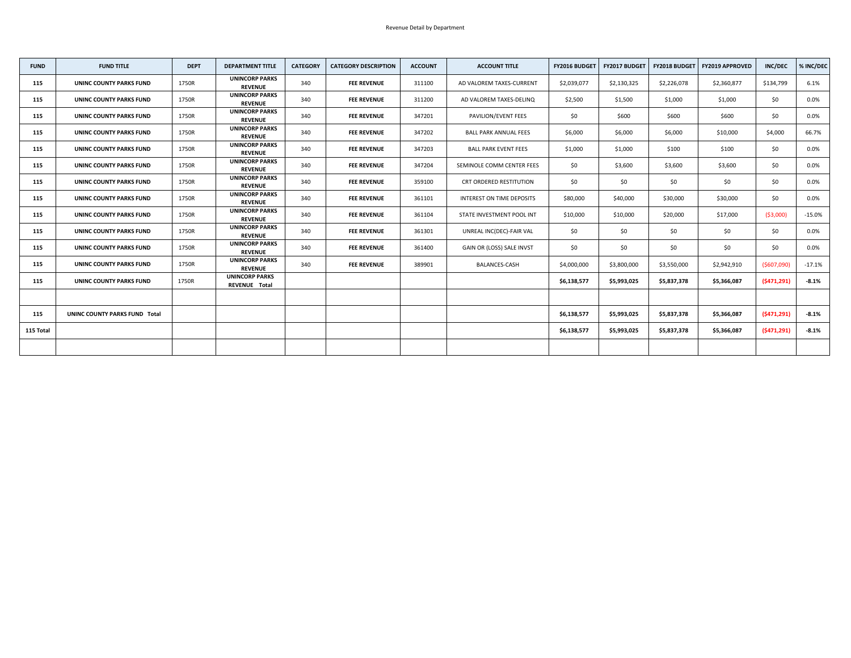| <b>FUND</b> | <b>FUND TITLE</b>              | <b>DEPT</b> | <b>DEPARTMENT TITLE</b>                       | <b>CATEGORY</b> | <b>CATEGORY DESCRIPTION</b> | <b>ACCOUNT</b> | <b>ACCOUNT TITLE</b>           | FY2016 BUDGET | <b>FY2017 BUDGET</b> | <b>FY2018 BUDGET</b> | <b>FY2019 APPROVED</b> | <b>INC/DEC</b> | % INC/DEC |
|-------------|--------------------------------|-------------|-----------------------------------------------|-----------------|-----------------------------|----------------|--------------------------------|---------------|----------------------|----------------------|------------------------|----------------|-----------|
| 115         | <b>UNINC COUNTY PARKS FUND</b> | 1750R       | <b>UNINCORP PARKS</b><br><b>REVENUE</b>       | 340             | <b>FEE REVENUE</b>          | 311100         | AD VALOREM TAXES-CURRENT       | \$2,039,077   | \$2,130,325          | \$2,226,078          | \$2,360,877            | \$134,799      | 6.1%      |
| 115         | <b>UNINC COUNTY PARKS FUND</b> | 1750R       | <b>UNINCORP PARKS</b><br><b>REVENUE</b>       | 340             | <b>FEE REVENUE</b>          | 311200         | AD VALOREM TAXES-DELINQ        | \$2,500       | \$1,500              | \$1,000              | \$1,000                | \$0            | $0.0\%$   |
| 115         | <b>UNINC COUNTY PARKS FUND</b> | 1750R       | <b>UNINCORP PARKS</b><br><b>REVENUE</b>       | 340             | <b>FEE REVENUE</b>          | 347201         | PAVILION/EVENT FEES            | \$0\$         | \$600                | \$600                | \$600                  | \$0            | $0.0\%$   |
| 115         | UNINC COUNTY PARKS FUND        | 1750R       | <b>UNINCORP PARKS</b><br><b>REVENUE</b>       | 340             | <b>FEE REVENUE</b>          | 347202         | <b>BALL PARK ANNUAL FEES</b>   | \$6,000       | \$6,000              | \$6,000              | \$10,000               | \$4,000        | 66.7%     |
| 115         | <b>UNINC COUNTY PARKS FUND</b> | 1750R       | <b>UNINCORP PARKS</b><br><b>REVENUE</b>       | 340             | <b>FEE REVENUE</b>          | 347203         | <b>BALL PARK EVENT FEES</b>    | \$1,000       | \$1,000              | \$100                | \$100                  | \$0\$          | $0.0\%$   |
| 115         | <b>UNINC COUNTY PARKS FUND</b> | 1750R       | <b>UNINCORP PARKS</b><br><b>REVENUE</b>       | 340             | <b>FEE REVENUE</b>          | 347204         | SEMINOLE COMM CENTER FEES      | \$0\$         | \$3,600              | \$3,600              | \$3,600                | \$0\$          | $0.0\%$   |
| 115         | <b>UNINC COUNTY PARKS FUND</b> | 1750R       | <b>UNINCORP PARKS</b><br><b>REVENUE</b>       | 340             | <b>FEE REVENUE</b>          | 359100         | <b>CRT ORDERED RESTITUTION</b> | \$0\$         | \$0\$                | \$0                  | \$0                    | \$0\$          | $0.0\%$   |
| 115         | <b>UNINC COUNTY PARKS FUND</b> | 1750R       | <b>UNINCORP PARKS</b><br><b>REVENUE</b>       | 340             | <b>FEE REVENUE</b>          | 361101         | INTEREST ON TIME DEPOSITS      | \$80,000      | \$40,000             | \$30,000             | \$30,000               | \$0\$          | $0.0\%$   |
| 115         | <b>UNINC COUNTY PARKS FUND</b> | 1750R       | <b>UNINCORP PARKS</b><br><b>REVENUE</b>       | 340             | <b>FEE REVENUE</b>          | 361104         | STATE INVESTMENT POOL INT      | \$10,000      | \$10,000             | \$20,000             | \$17,000               | ( \$3,000)     | $-15.0%$  |
| 115         | <b>UNINC COUNTY PARKS FUND</b> | 1750R       | <b>UNINCORP PARKS</b><br><b>REVENUE</b>       | 340             | <b>FEE REVENUE</b>          | 361301         | UNREAL INC(DEC)-FAIR VAL       | \$0\$         | \$0                  | \$0\$                | \$0\$                  | \$0            | 0.0%      |
| 115         | UNINC COUNTY PARKS FUND        | 1750R       | <b>UNINCORP PARKS</b><br><b>REVENUE</b>       | 340             | <b>FEE REVENUE</b>          | 361400         | GAIN OR (LOSS) SALE INVST      | \$0\$         | \$0\$                | \$0                  | \$0\$                  | \$0\$          | $0.0\%$   |
| 115         | <b>UNINC COUNTY PARKS FUND</b> | 1750R       | <b>UNINCORP PARKS</b><br><b>REVENUE</b>       | 340             | <b>FEE REVENUE</b>          | 389901         | <b>BALANCES-CASH</b>           | \$4,000,000   | \$3,800,000          | \$3,550,000          | \$2,942,910            | (5607,090)     | $-17.1%$  |
| 115         | <b>UNINC COUNTY PARKS FUND</b> | 1750R       | <b>UNINCORP PARKS</b><br><b>REVENUE Total</b> |                 |                             |                |                                | \$6,138,577   | \$5,993,025          | \$5,837,378          | \$5,366,087            | (5471, 291)    | $-8.1%$   |
|             |                                |             |                                               |                 |                             |                |                                |               |                      |                      |                        |                |           |
| 115         | UNINC COUNTY PARKS FUND Total  |             |                                               |                 |                             |                |                                | \$6,138,577   | \$5,993,025          | \$5,837,378          | \$5,366,087            | (5471, 291)    | $-8.1%$   |
| 115 Total   |                                |             |                                               |                 |                             |                |                                | \$6,138,577   | \$5,993,025          | \$5,837,378          | \$5,366,087            | (5471, 291)    | $-8.1%$   |
|             |                                |             |                                               |                 |                             |                |                                |               |                      |                      |                        |                |           |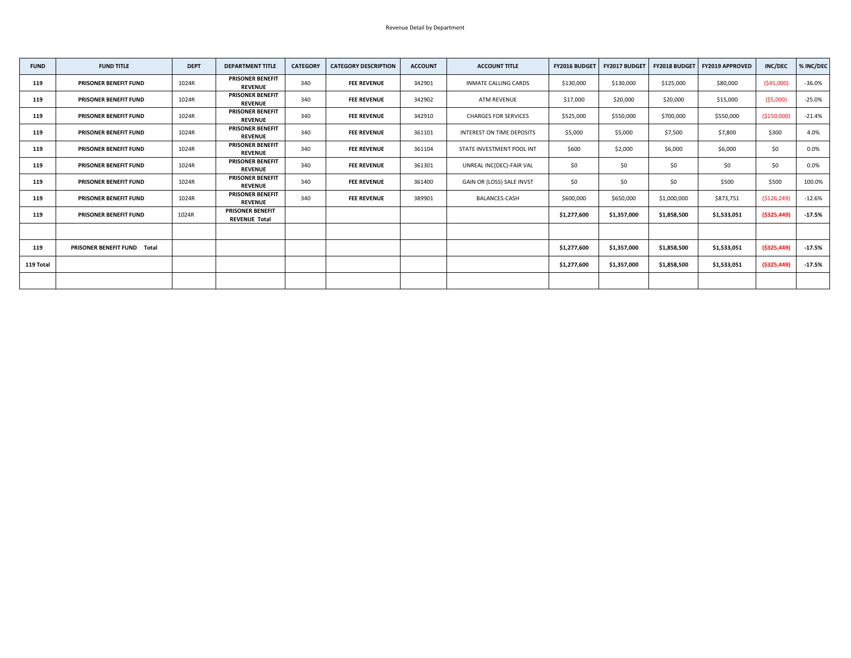| <b>FUND</b> | <b>FUND TITLE</b>                  | <b>DEPT</b> | <b>DEPARTMENT TITLE</b>                         | <b>CATEGORY</b> | <b>CATEGORY DESCRIPTION</b> | <b>ACCOUNT</b> | <b>ACCOUNT TITLE</b>        | <b>FY2016 BUDGET</b> | FY2017 BUDGET | <b>FY2018 BUDGET</b> | <b>FY2019 APPROVED</b> | <b>INC/DEC</b> | % INC/DEC |
|-------------|------------------------------------|-------------|-------------------------------------------------|-----------------|-----------------------------|----------------|-----------------------------|----------------------|---------------|----------------------|------------------------|----------------|-----------|
| 119         | <b>PRISONER BENEFIT FUND</b>       | 1024R       | <b>PRISONER BENEFIT</b><br><b>REVENUE</b>       | 340             | <b>FEE REVENUE</b>          | 342901         | <b>INMATE CALLING CARDS</b> | \$130,000            | \$130,000     | \$125,000            | \$80,000               | ( \$45,000)    | $-36.0%$  |
| 119         | <b>PRISONER BENEFIT FUND</b>       | 1024R       | <b>PRISONER BENEFIT</b><br><b>REVENUE</b>       | 340             | <b>FEE REVENUE</b>          | 342902         | <b>ATM REVENUE</b>          | \$17,000             | \$20,000      | \$20,000             | \$15,000               | (55,000)       | $-25.0%$  |
| 119         | <b>PRISONER BENEFIT FUND</b>       | 1024R       | <b>PRISONER BENEFIT</b><br><b>REVENUE</b>       | 340             | <b>FEE REVENUE</b>          | 342910         | <b>CHARGES FOR SERVICES</b> | \$525,000            | \$550,000     | \$700,000            | \$550,000              | ( \$150,000)   | $-21.4%$  |
| 119         | <b>PRISONER BENEFIT FUND</b>       | 1024R       | <b>PRISONER BENEFIT</b><br><b>REVENUE</b>       | 340             | <b>FEE REVENUE</b>          | 361101         | INTEREST ON TIME DEPOSITS   | \$5,000              | \$5,000       | \$7,500              | \$7,800                | \$300          | 4.0%      |
| 119         | <b>PRISONER BENEFIT FUND</b>       | 1024R       | <b>PRISONER BENEFIT</b><br><b>REVENUE</b>       | 340             | <b>FEE REVENUE</b>          | 361104         | STATE INVESTMENT POOL INT   | \$600                | \$2,000       | \$6,000              | \$6,000                | \$0            | 0.0%      |
| 119         | <b>PRISONER BENEFIT FUND</b>       | 1024R       | PRISONER BENEFIT<br><b>REVENUE</b>              | 340             | <b>FEE REVENUE</b>          | 361301         | UNREAL INC(DEC)-FAIR VAL    | \$0\$                | \$0           | \$0                  | \$0                    | \$0            | 0.0%      |
| 119         | <b>PRISONER BENEFIT FUND</b>       | 1024R       | <b>PRISONER BENEFIT</b><br><b>REVENUE</b>       | 340             | <b>FEE REVENUE</b>          | 361400         | GAIN OR (LOSS) SALE INVST   | \$0\$                | \$0           | \$0                  | \$500                  | \$500          | 100.0%    |
| 119         | <b>PRISONER BENEFIT FUND</b>       | 1024R       | <b>PRISONER BENEFIT</b><br><b>REVENUE</b>       | 340             | <b>FEE REVENUE</b>          | 389901         | <b>BALANCES-CASH</b>        | \$600,000            | \$650,000     | \$1,000,000          | \$873,751              | ( \$126, 249)  | $-12.6%$  |
| 119         | <b>PRISONER BENEFIT FUND</b>       | 1024R       | <b>PRISONER BENEFIT</b><br><b>REVENUE Total</b> |                 |                             |                |                             | \$1,277,600          | \$1,357,000   | \$1,858,500          | \$1,533,051            | ( \$325, 449)  | $-17.5%$  |
|             |                                    |             |                                                 |                 |                             |                |                             |                      |               |                      |                        |                |           |
| 119         | <b>PRISONER BENEFIT FUND Total</b> |             |                                                 |                 |                             |                |                             | \$1,277,600          | \$1,357,000   | \$1,858,500          | \$1,533,051            | ( \$325,449)   | $-17.5%$  |
| 119 Total   |                                    |             |                                                 |                 |                             |                |                             | \$1,277,600          | \$1,357,000   | \$1,858,500          | \$1,533,051            | ( \$325, 449)  | $-17.5%$  |
|             |                                    |             |                                                 |                 |                             |                |                             |                      |               |                      |                        |                |           |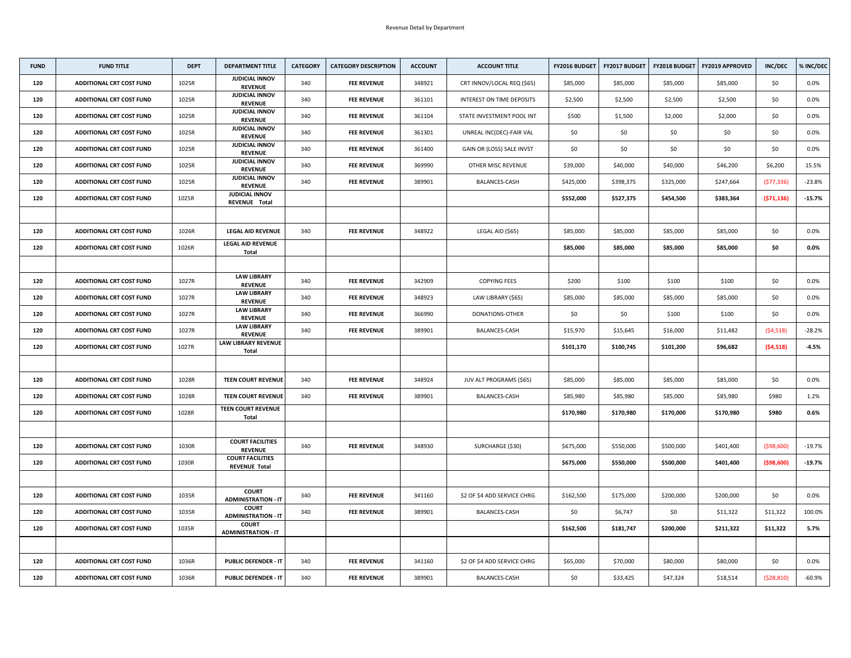| <b>FUND</b> | <b>FUND TITLE</b>               | <b>DEPT</b> | <b>DEPARTMENT TITLE</b>                         | <b>CATEGORY</b> | <b>CATEGORY DESCRIPTION</b> | <b>ACCOUNT</b> | <b>ACCOUNT TITLE</b>        | <b>FY2016 BUDGET</b> | <b>FY2017 BUDGET</b> | <b>FY2018 BUDGET</b> | <b>FY2019 APPROVED</b> | <b>INC/DEC</b> | % INC/DEC |
|-------------|---------------------------------|-------------|-------------------------------------------------|-----------------|-----------------------------|----------------|-----------------------------|----------------------|----------------------|----------------------|------------------------|----------------|-----------|
| 120         | <b>ADDITIONAL CRT COST FUND</b> | 1025R       | <b>JUDICIAL INNOV</b><br><b>REVENUE</b>         | 340             | <b>FEE REVENUE</b>          | 348921         | CRT INNOV/LOCAL REQ (\$65)  | \$85,000             | \$85,000             | \$85,000             | \$85,000               | \$0            | $0.0\%$   |
| 120         | <b>ADDITIONAL CRT COST FUND</b> | 1025R       | <b>JUDICIAL INNOV</b><br><b>REVENUE</b>         | 340             | <b>FEE REVENUE</b>          | 361101         | INTEREST ON TIME DEPOSITS   | \$2,500              | \$2,500              | \$2,500              | \$2,500                | \$0            | $0.0\%$   |
| 120         | <b>ADDITIONAL CRT COST FUND</b> | 1025R       | <b>JUDICIAL INNOV</b><br><b>REVENUE</b>         | 340             | <b>FEE REVENUE</b>          | 361104         | STATE INVESTMENT POOL INT   | \$500                | \$1,500              | \$2,000              | \$2,000                | \$0\$          | $0.0\%$   |
| 120         | <b>ADDITIONAL CRT COST FUND</b> | 1025R       | <b>JUDICIAL INNOV</b><br><b>REVENUE</b>         | 340             | <b>FEE REVENUE</b>          | 361301         | UNREAL INC(DEC)-FAIR VAL    | \$0                  | \$0                  | \$0                  | \$0                    | \$0            | $0.0\%$   |
| 120         | <b>ADDITIONAL CRT COST FUND</b> | 1025R       | <b>JUDICIAL INNOV</b><br><b>REVENUE</b>         | 340             | <b>FEE REVENUE</b>          | 361400         | GAIN OR (LOSS) SALE INVST   | \$0\$                | \$0                  | \$0                  | \$0                    | \$0            | $0.0\%$   |
| 120         | <b>ADDITIONAL CRT COST FUND</b> | 1025R       | <b>JUDICIAL INNOV</b><br><b>REVENUE</b>         | 340             | <b>FEE REVENUE</b>          | 369990         | OTHER MISC REVENUE          | \$39,000             | \$40,000             | \$40,000             | \$46,200               | \$6,200        | 15.5%     |
| 120         | <b>ADDITIONAL CRT COST FUND</b> | 1025R       | <b>JUDICIAL INNOV</b><br><b>REVENUE</b>         | 340             | <b>FEE REVENUE</b>          | 389901         | <b>BALANCES-CASH</b>        | \$425,000            | \$398,375            | \$325,000            | \$247,664              | (577, 336)     | $-23.8%$  |
| 120         | <b>ADDITIONAL CRT COST FUND</b> | 1025R       | <b>JUDICIAL INNOV</b><br>REVENUE Total          |                 |                             |                |                             | \$552,000            | \$527,375            | \$454,500            | \$383,364              | (571, 136)     | $-15.7%$  |
|             |                                 |             |                                                 |                 |                             |                |                             |                      |                      |                      |                        |                |           |
| 120         | <b>ADDITIONAL CRT COST FUND</b> | 1026R       | <b>LEGAL AID REVENUE</b>                        | 340             | <b>FEE REVENUE</b>          | 348922         | LEGAL AID (\$65)            | \$85,000             | \$85,000             | \$85,000             | \$85,000               | \$0            | $0.0\%$   |
| 120         | <b>ADDITIONAL CRT COST FUND</b> | 1026R       | <b>LEGAL AID REVENUE</b><br><b>Total</b>        |                 |                             |                |                             | \$85,000             | \$85,000             | \$85,000             | \$85,000               | \$0            | $0.0\%$   |
|             |                                 |             |                                                 |                 |                             |                |                             |                      |                      |                      |                        |                |           |
| 120         | <b>ADDITIONAL CRT COST FUND</b> | 1027R       | <b>LAW LIBRARY</b><br><b>REVENUE</b>            | 340             | <b>FEE REVENUE</b>          | 342909         | <b>COPYING FEES</b>         | \$200                | \$100                | \$100                | \$100                  | \$0            | $0.0\%$   |
| 120         | <b>ADDITIONAL CRT COST FUND</b> | 1027R       | <b>LAW LIBRARY</b><br><b>REVENUE</b>            | 340             | <b>FEE REVENUE</b>          | 348923         | LAW LIBRARY (\$65)          | \$85,000             | \$85,000             | \$85,000             | \$85,000               | \$0            | $0.0\%$   |
| 120         | <b>ADDITIONAL CRT COST FUND</b> | 1027R       | <b>LAW LIBRARY</b><br><b>REVENUE</b>            | 340             | <b>FEE REVENUE</b>          | 366990         | DONATIONS-OTHER             | \$0                  | \$0                  | \$100                | \$100                  | \$0            | $0.0\%$   |
| 120         | <b>ADDITIONAL CRT COST FUND</b> | 1027R       | <b>LAW LIBRARY</b><br><b>REVENUE</b>            | 340             | <b>FEE REVENUE</b>          | 389901         | <b>BALANCES-CASH</b>        | \$15,970             | \$15,645             | \$16,000             | \$11,482               | (54,518)       | $-28.2%$  |
| 120         | <b>ADDITIONAL CRT COST FUND</b> | 1027R       | <b>LAW LIBRARY REVENUE</b><br><b>Total</b>      |                 |                             |                |                             | \$101,170            | \$100,745            | \$101,200            | \$96,682               | (54, 518)      | $-4.5%$   |
|             |                                 |             |                                                 |                 |                             |                |                             |                      |                      |                      |                        |                |           |
| 120         | <b>ADDITIONAL CRT COST FUND</b> | 1028R       | <b>TEEN COURT REVENUE</b>                       | 340             | <b>FEE REVENUE</b>          | 348924         | JUV ALT PROGRAMS (\$65)     | \$85,000             | \$85,000             | \$85,000             | \$85,000               | \$0            | $0.0\%$   |
| 120         | <b>ADDITIONAL CRT COST FUND</b> | 1028R       | <b>TEEN COURT REVENUE</b>                       | 340             | <b>FEE REVENUE</b>          | 389901         | <b>BALANCES-CASH</b>        | \$85,980             | \$85,980             | \$85,000             | \$85,980               | \$980          | 1.2%      |
| 120         | <b>ADDITIONAL CRT COST FUND</b> | 1028R       | <b>TEEN COURT REVENUE</b><br><b>Total</b>       |                 |                             |                |                             | \$170,980            | \$170,980            | \$170,000            | \$170,980              | \$980          | 0.6%      |
|             |                                 |             |                                                 |                 |                             |                |                             |                      |                      |                      |                        |                |           |
| 120         | <b>ADDITIONAL CRT COST FUND</b> | 1030R       | <b>COURT FACILITIES</b><br><b>REVENUE</b>       | 340             | <b>FEE REVENUE</b>          | 348930         | SURCHARGE (\$30)            | \$675,000            | \$550,000            | \$500,000            | \$401,400              | ( \$98,600)    | $-19.7%$  |
| 120         | <b>ADDITIONAL CRT COST FUND</b> | 1030R       | <b>COURT FACILITIES</b><br><b>REVENUE Total</b> |                 |                             |                |                             | \$675,000            | \$550,000            | \$500,000            | \$401,400              | ( \$98,600)    | $-19.7%$  |
|             |                                 |             |                                                 |                 |                             |                |                             |                      |                      |                      |                        |                |           |
| 120         | <b>ADDITIONAL CRT COST FUND</b> | 1035R       | <b>COURT</b><br><b>ADMINISTRATION - IT</b>      | 340             | <b>FEE REVENUE</b>          | 341160         | \$2 OF \$4 ADD SERVICE CHRG | \$162,500            | \$175,000            | \$200,000            | \$200,000              | \$0\$          | $0.0\%$   |
| 120         | <b>ADDITIONAL CRT COST FUND</b> | 1035R       | <b>COURT</b><br><b>ADMINISTRATION - IT</b>      | 340             | <b>FEE REVENUE</b>          | 389901         | <b>BALANCES-CASH</b>        | \$0                  | \$6,747              | \$0                  | \$11,322               | \$11,322       | 100.0%    |
| 120         | <b>ADDITIONAL CRT COST FUND</b> | 1035R       | <b>COURT</b><br><b>ADMINISTRATION - IT</b>      |                 |                             |                |                             | \$162,500            | \$181,747            | \$200,000            | \$211,322              | \$11,322       | 5.7%      |
|             |                                 |             |                                                 |                 |                             |                |                             |                      |                      |                      |                        |                |           |
| 120         | <b>ADDITIONAL CRT COST FUND</b> | 1036R       | <b>PUBLIC DEFENDER - IT</b>                     | 340             | <b>FEE REVENUE</b>          | 341160         | \$2 OF \$4 ADD SERVICE CHRG | \$65,000             | \$70,000             | \$80,000             | \$80,000               | \$0\$          | $0.0\%$   |
| 120         | <b>ADDITIONAL CRT COST FUND</b> | 1036R       | <b>PUBLIC DEFENDER - IT</b>                     | 340             | <b>FEE REVENUE</b>          | 389901         | <b>BALANCES-CASH</b>        | \$0                  | \$33,425             | \$47,324             | \$18,514               | (528, 810)     | $-60.9%$  |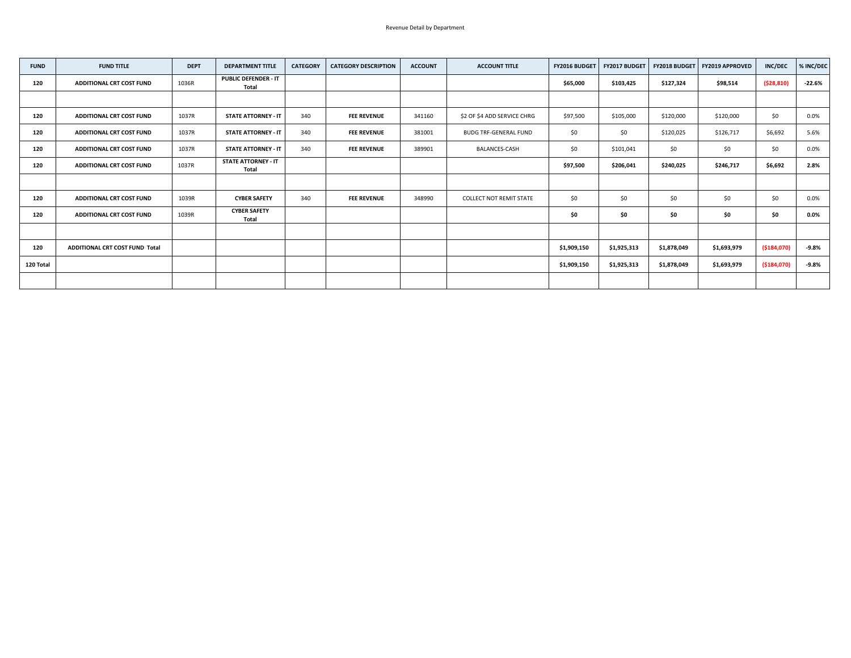| <b>FUND</b> | <b>FUND TITLE</b>                     | <b>DEPT</b> | <b>DEPARTMENT TITLE</b>                     | <b>CATEGORY</b> | <b>CATEGORY DESCRIPTION</b> | <b>ACCOUNT</b> | <b>ACCOUNT TITLE</b>           | <b>FY2016 BUDGET</b> | FY2017 BUDGET |             | <b>FY2018 BUDGET   FY2019 APPROVED</b> | <b>INC/DEC</b> | % INC/DEC |
|-------------|---------------------------------------|-------------|---------------------------------------------|-----------------|-----------------------------|----------------|--------------------------------|----------------------|---------------|-------------|----------------------------------------|----------------|-----------|
| 120         | <b>ADDITIONAL CRT COST FUND</b>       | 1036R       | <b>PUBLIC DEFENDER - IT</b><br><b>Total</b> |                 |                             |                |                                | \$65,000             | \$103,425     | \$127,324   | \$98,514                               | (528, 810)     | $-22.6%$  |
|             |                                       |             |                                             |                 |                             |                |                                |                      |               |             |                                        |                |           |
| 120         | <b>ADDITIONAL CRT COST FUND</b>       | 1037R       | <b>STATE ATTORNEY - IT</b>                  | 340             | <b>FEE REVENUE</b>          | 341160         | \$2 OF \$4 ADD SERVICE CHRG    | \$97,500             | \$105,000     | \$120,000   | \$120,000                              | \$0\$          | 0.0%      |
| 120         | <b>ADDITIONAL CRT COST FUND</b>       | 1037R       | <b>STATE ATTORNEY - IT</b>                  | 340             | <b>FEE REVENUE</b>          | 381001         | <b>BUDG TRF-GENERAL FUND</b>   | \$0\$                | \$0           | \$120,025   | \$126,717                              | \$6,692        | 5.6%      |
| 120         | <b>ADDITIONAL CRT COST FUND</b>       | 1037R       | <b>STATE ATTORNEY - IT</b>                  | 340             | <b>FEE REVENUE</b>          | 389901         | <b>BALANCES-CASH</b>           | \$0\$                | \$101,041     | \$0         | \$0\$                                  | \$0\$          | 0.0%      |
| 120         | <b>ADDITIONAL CRT COST FUND</b>       | 1037R       | <b>STATE ATTORNEY - IT</b><br><b>Total</b>  |                 |                             |                |                                | \$97,500             | \$206,041     | \$240,025   | \$246,717                              | \$6,692        | 2.8%      |
|             |                                       |             |                                             |                 |                             |                |                                |                      |               |             |                                        |                |           |
| 120         | <b>ADDITIONAL CRT COST FUND</b>       | 1039R       | <b>CYBER SAFETY</b>                         | 340             | <b>FEE REVENUE</b>          | 348990         | <b>COLLECT NOT REMIT STATE</b> | \$0\$                | \$0           | \$0         | \$0                                    | \$0            | 0.0%      |
| 120         | <b>ADDITIONAL CRT COST FUND</b>       | 1039R       | <b>CYBER SAFETY</b><br><b>Total</b>         |                 |                             |                |                                | \$0                  | \$0           | \$0         | \$0                                    | \$0            | $0.0\%$   |
|             |                                       |             |                                             |                 |                             |                |                                |                      |               |             |                                        |                |           |
| 120         | <b>ADDITIONAL CRT COST FUND Total</b> |             |                                             |                 |                             |                |                                | \$1,909,150          | \$1,925,313   | \$1,878,049 | \$1,693,979                            | ( \$184,070)   | $-9.8%$   |
| 120 Total   |                                       |             |                                             |                 |                             |                |                                | \$1,909,150          | \$1,925,313   | \$1,878,049 | \$1,693,979                            | ( \$184,070)   | $-9.8%$   |
|             |                                       |             |                                             |                 |                             |                |                                |                      |               |             |                                        |                |           |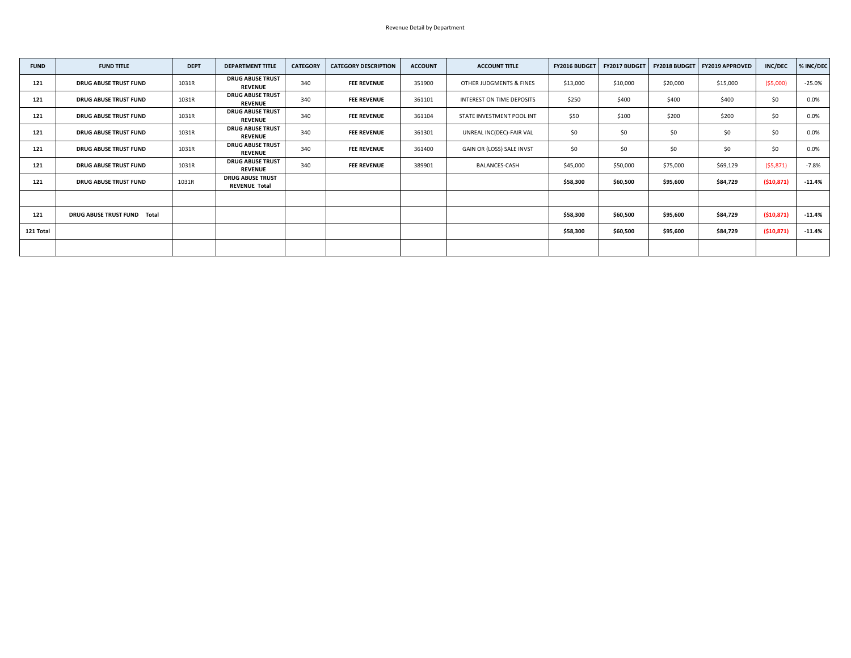| <b>FUND</b> | <b>FUND TITLE</b>                  | <b>DEPT</b> | <b>DEPARTMENT TITLE</b>                         | <b>CATEGORY</b> | <b>CATEGORY DESCRIPTION</b> | <b>ACCOUNT</b> | <b>ACCOUNT TITLE</b>      | FY2016 BUDGET | <b>FY2017 BUDGET</b> |          | FY2018 BUDGET   FY2019 APPROVED | <b>INC/DEC</b> | % INC/DEC |
|-------------|------------------------------------|-------------|-------------------------------------------------|-----------------|-----------------------------|----------------|---------------------------|---------------|----------------------|----------|---------------------------------|----------------|-----------|
| 121         | <b>DRUG ABUSE TRUST FUND</b>       | 1031R       | <b>DRUG ABUSE TRUST</b><br><b>REVENUE</b>       | 340             | <b>FEE REVENUE</b>          | 351900         | OTHER JUDGMENTS & FINES   | \$13,000      | \$10,000             | \$20,000 | \$15,000                        | ( \$5,000)     | $-25.0%$  |
| 121         | <b>DRUG ABUSE TRUST FUND</b>       | 1031R       | <b>DRUG ABUSE TRUST</b><br><b>REVENUE</b>       | 340             | <b>FEE REVENUE</b>          | 361101         | INTEREST ON TIME DEPOSITS | \$250         | \$400                | \$400    | \$400                           | \$0            | 0.0%      |
| 121         | <b>DRUG ABUSE TRUST FUND</b>       | 1031R       | <b>DRUG ABUSE TRUST</b><br><b>REVENUE</b>       | 340             | <b>FEE REVENUE</b>          | 361104         | STATE INVESTMENT POOL INT | \$50          | \$100                | \$200    | \$200                           | \$0            | 0.0%      |
| 121         | <b>DRUG ABUSE TRUST FUND</b>       | 1031R       | <b>DRUG ABUSE TRUST</b><br><b>REVENUE</b>       | 340             | <b>FEE REVENUE</b>          | 361301         | UNREAL INC(DEC)-FAIR VAL  | \$0\$         | \$0                  | \$0      | \$0                             | \$0            | $0.0\%$   |
| 121         | <b>DRUG ABUSE TRUST FUND</b>       | 1031R       | <b>DRUG ABUSE TRUST</b><br><b>REVENUE</b>       | 340             | <b>FEE REVENUE</b>          | 361400         | GAIN OR (LOSS) SALE INVST | \$0\$         | \$0                  | \$0      | \$0                             | \$0            | $0.0\%$   |
| 121         | <b>DRUG ABUSE TRUST FUND</b>       | 1031R       | <b>DRUG ABUSE TRUST</b><br><b>REVENUE</b>       | 340             | <b>FEE REVENUE</b>          | 389901         | <b>BALANCES-CASH</b>      | \$45,000      | \$50,000             | \$75,000 | \$69,129                        | (\$5,871)      | $-7.8%$   |
| 121         | <b>DRUG ABUSE TRUST FUND</b>       | 1031R       | <b>DRUG ABUSE TRUST</b><br><b>REVENUE Total</b> |                 |                             |                |                           | \$58,300      | \$60,500             | \$95,600 | \$84,729                        | (510, 871)     | $-11.4%$  |
|             |                                    |             |                                                 |                 |                             |                |                           |               |                      |          |                                 |                |           |
| 121         | <b>DRUG ABUSE TRUST FUND Total</b> |             |                                                 |                 |                             |                |                           | \$58,300      | \$60,500             | \$95,600 | \$84,729                        | (510, 871)     | $-11.4%$  |
| 121 Total   |                                    |             |                                                 |                 |                             |                |                           | \$58,300      | \$60,500             | \$95,600 | \$84,729                        | (510, 871)     | $-11.4%$  |
|             |                                    |             |                                                 |                 |                             |                |                           |               |                      |          |                                 |                |           |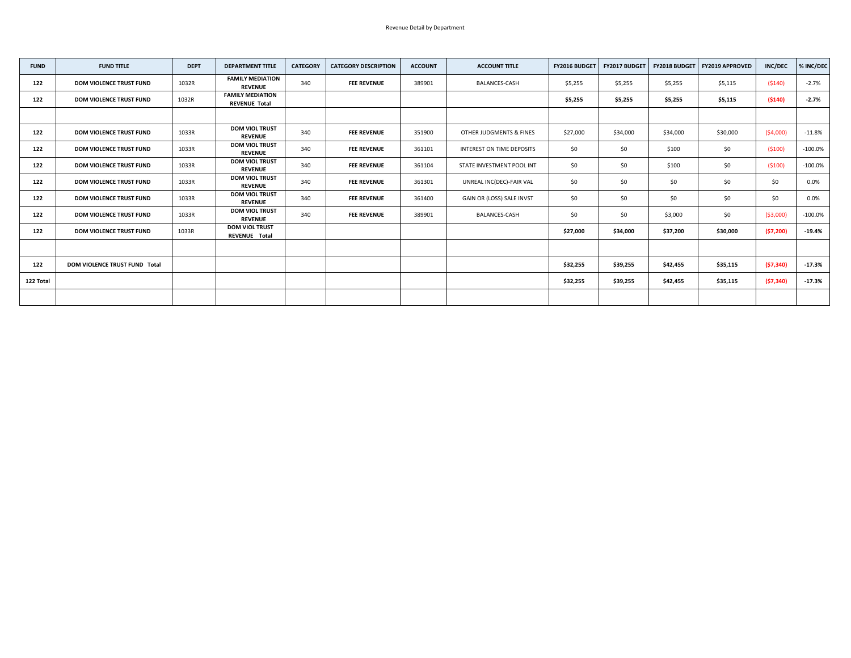| <b>FUND</b> | <b>FUND TITLE</b>                    | <b>DEPT</b> | <b>DEPARTMENT TITLE</b>                         | <b>CATEGORY</b> | <b>CATEGORY DESCRIPTION</b> | <b>ACCOUNT</b> | <b>ACCOUNT TITLE</b>      | <b>FY2016 BUDGET</b> | <b>FY2017 BUDGET</b> | <b>FY2018 BUDGET</b> | FY2019 APPROVED | <b>INC/DEC</b> | % INC/DEC  |
|-------------|--------------------------------------|-------------|-------------------------------------------------|-----------------|-----------------------------|----------------|---------------------------|----------------------|----------------------|----------------------|-----------------|----------------|------------|
| 122         | <b>DOM VIOLENCE TRUST FUND</b>       | 1032R       | <b>FAMILY MEDIATION</b><br><b>REVENUE</b>       | 340             | <b>FEE REVENUE</b>          | 389901         | <b>BALANCES-CASH</b>      | \$5,255              | \$5,255              | \$5,255              | \$5,115         | (5140)         | $-2.7%$    |
| 122         | <b>DOM VIOLENCE TRUST FUND</b>       | 1032R       | <b>FAMILY MEDIATION</b><br><b>REVENUE Total</b> |                 |                             |                |                           | \$5,255              | \$5,255              | \$5,255              | \$5,115         | ( \$140)       | $-2.7%$    |
|             |                                      |             |                                                 |                 |                             |                |                           |                      |                      |                      |                 |                |            |
| 122         | <b>DOM VIOLENCE TRUST FUND</b>       | 1033R       | <b>DOM VIOL TRUST</b><br><b>REVENUE</b>         | 340             | <b>FEE REVENUE</b>          | 351900         | OTHER JUDGMENTS & FINES   | \$27,000             | \$34,000             | \$34,000             | \$30,000        | ( \$4,000)     | $-11.8%$   |
| 122         | <b>DOM VIOLENCE TRUST FUND</b>       | 1033R       | <b>DOM VIOL TRUST</b><br><b>REVENUE</b>         | 340             | <b>FEE REVENUE</b>          | 361101         | INTEREST ON TIME DEPOSITS | \$0\$                | \$0                  | \$100                | \$0             | (5100)         | $-100.0\%$ |
| 122         | <b>DOM VIOLENCE TRUST FUND</b>       | 1033R       | <b>DOM VIOL TRUST</b><br><b>REVENUE</b>         | 340             | <b>FEE REVENUE</b>          | 361104         | STATE INVESTMENT POOL INT | \$0\$                | \$0                  | \$100                | \$0             | (5100)         | $-100.0\%$ |
| 122         | <b>DOM VIOLENCE TRUST FUND</b>       | 1033R       | <b>DOM VIOL TRUST</b><br><b>REVENUE</b>         | 340             | <b>FEE REVENUE</b>          | 361301         | UNREAL INC(DEC)-FAIR VAL  | \$0\$                | \$0                  | \$0                  | \$0\$           | \$0\$          | $0.0\%$    |
| 122         | <b>DOM VIOLENCE TRUST FUND</b>       | 1033R       | <b>DOM VIOL TRUST</b><br><b>REVENUE</b>         | 340             | <b>FEE REVENUE</b>          | 361400         | GAIN OR (LOSS) SALE INVST | \$0\$                | \$0                  | \$0                  | \$0\$           | \$0\$          | $0.0\%$    |
| 122         | <b>DOM VIOLENCE TRUST FUND</b>       | 1033R       | <b>DOM VIOL TRUST</b><br><b>REVENUE</b>         | 340             | <b>FEE REVENUE</b>          | 389901         | <b>BALANCES-CASH</b>      | \$0\$                | \$0                  | \$3,000              | \$0\$           | ( \$3,000)     | $-100.0\%$ |
| 122         | <b>DOM VIOLENCE TRUST FUND</b>       | 1033R       | <b>DOM VIOL TRUST</b><br><b>REVENUE Total</b>   |                 |                             |                |                           | \$27,000             | \$34,000             | \$37,200             | \$30,000        | (57, 200)      | $-19.4%$   |
|             |                                      |             |                                                 |                 |                             |                |                           |                      |                      |                      |                 |                |            |
| 122         | <b>DOM VIOLENCE TRUST FUND Total</b> |             |                                                 |                 |                             |                |                           | \$32,255             | \$39,255             | \$42,455             | \$35,115        | (57, 340)      | $-17.3%$   |
| 122 Total   |                                      |             |                                                 |                 |                             |                |                           | \$32,255             | \$39,255             | \$42,455             | \$35,115        | (57, 340)      | $-17.3%$   |
|             |                                      |             |                                                 |                 |                             |                |                           |                      |                      |                      |                 |                |            |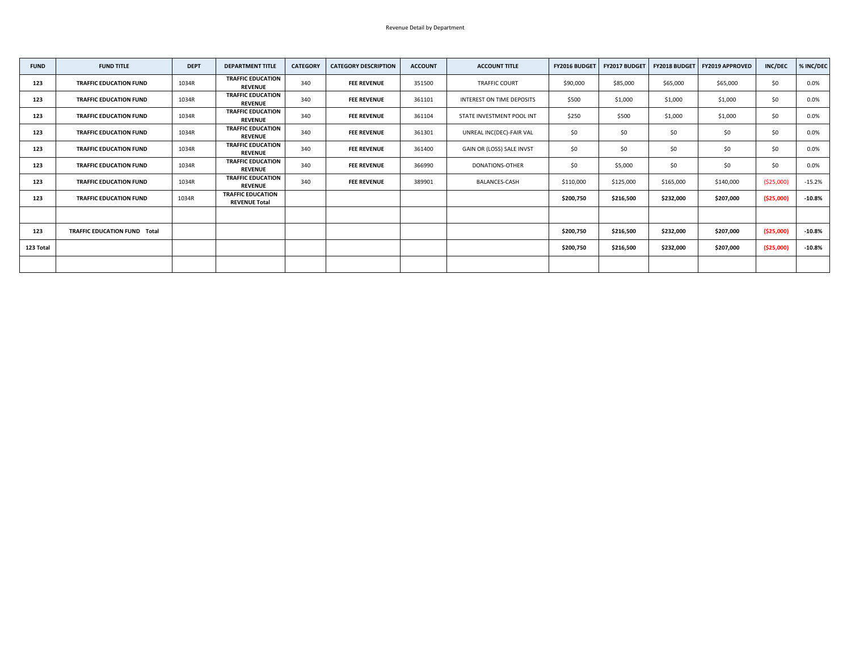| <b>FUND</b> | <b>FUND TITLE</b>                   | <b>DEPT</b> | <b>DEPARTMENT TITLE</b>                          | <b>CATEGORY</b> | <b>CATEGORY DESCRIPTION</b> | <b>ACCOUNT</b> | <b>ACCOUNT TITLE</b>             | <b>FY2016 BUDGET</b> | <b>FY2017 BUDGET</b> |           | <b>FY2018 BUDGET   FY2019 APPROVED</b> | <b>INC/DEC</b> | % INC/DEC |
|-------------|-------------------------------------|-------------|--------------------------------------------------|-----------------|-----------------------------|----------------|----------------------------------|----------------------|----------------------|-----------|----------------------------------------|----------------|-----------|
| 123         | <b>TRAFFIC EDUCATION FUND</b>       | 1034R       | <b>TRAFFIC EDUCATION</b><br><b>REVENUE</b>       | 340             | <b>FEE REVENUE</b>          | 351500         | <b>TRAFFIC COURT</b>             | \$90,000             | \$85,000             | \$65,000  | \$65,000                               | \$0            | $0.0\%$   |
| 123         | <b>TRAFFIC EDUCATION FUND</b>       | 1034R       | <b>TRAFFIC EDUCATION</b><br><b>REVENUE</b>       | 340             | <b>FEE REVENUE</b>          | 361101         | <b>INTEREST ON TIME DEPOSITS</b> | \$500                | \$1,000              | \$1,000   | \$1,000                                | \$0            | $0.0\%$   |
| 123         | <b>TRAFFIC EDUCATION FUND</b>       | 1034R       | <b>TRAFFIC EDUCATION</b><br><b>REVENUE</b>       | 340             | <b>FEE REVENUE</b>          | 361104         | STATE INVESTMENT POOL INT        | \$250                | \$500                | \$1,000   | \$1,000                                | \$0            | 0.0%      |
| 123         | <b>TRAFFIC EDUCATION FUND</b>       | 1034R       | <b>TRAFFIC EDUCATION</b><br><b>REVENUE</b>       | 340             | <b>FEE REVENUE</b>          | 361301         | UNREAL INC(DEC)-FAIR VAL         | \$0                  | \$0\$                | \$0       | \$0                                    | \$0            | $0.0\%$   |
| 123         | <b>TRAFFIC EDUCATION FUND</b>       | 1034R       | <b>TRAFFIC EDUCATION</b><br><b>REVENUE</b>       | 340             | <b>FEE REVENUE</b>          | 361400         | GAIN OR (LOSS) SALE INVST        | \$0\$                | \$0\$                | \$0       | \$0                                    | \$0            | 0.0%      |
| 123         | <b>TRAFFIC EDUCATION FUND</b>       | 1034R       | <b>TRAFFIC EDUCATION</b><br><b>REVENUE</b>       | 340             | <b>FEE REVENUE</b>          | 366990         | DONATIONS-OTHER                  | \$0                  | \$5,000              | \$0       | \$0                                    | \$0\$          | $0.0\%$   |
| 123         | <b>TRAFFIC EDUCATION FUND</b>       | 1034R       | <b>TRAFFIC EDUCATION</b><br><b>REVENUE</b>       | 340             | <b>FEE REVENUE</b>          | 389901         | <b>BALANCES-CASH</b>             | \$110,000            | \$125,000            | \$165,000 | \$140,000                              | ( \$25,000)    | $-15.2%$  |
| 123         | <b>TRAFFIC EDUCATION FUND</b>       | 1034R       | <b>TRAFFIC EDUCATION</b><br><b>REVENUE Total</b> |                 |                             |                |                                  | \$200,750            | \$216,500            | \$232,000 | \$207,000                              | ( \$25,000)    | $-10.8%$  |
|             |                                     |             |                                                  |                 |                             |                |                                  |                      |                      |           |                                        |                |           |
| 123         | <b>TRAFFIC EDUCATION FUND Total</b> |             |                                                  |                 |                             |                |                                  | \$200,750            | \$216,500            | \$232,000 | \$207,000                              | ( \$25,000)    | $-10.8%$  |
| 123 Total   |                                     |             |                                                  |                 |                             |                |                                  | \$200,750            | \$216,500            | \$232,000 | \$207,000                              | ( \$25,000)    | $-10.8%$  |
|             |                                     |             |                                                  |                 |                             |                |                                  |                      |                      |           |                                        |                |           |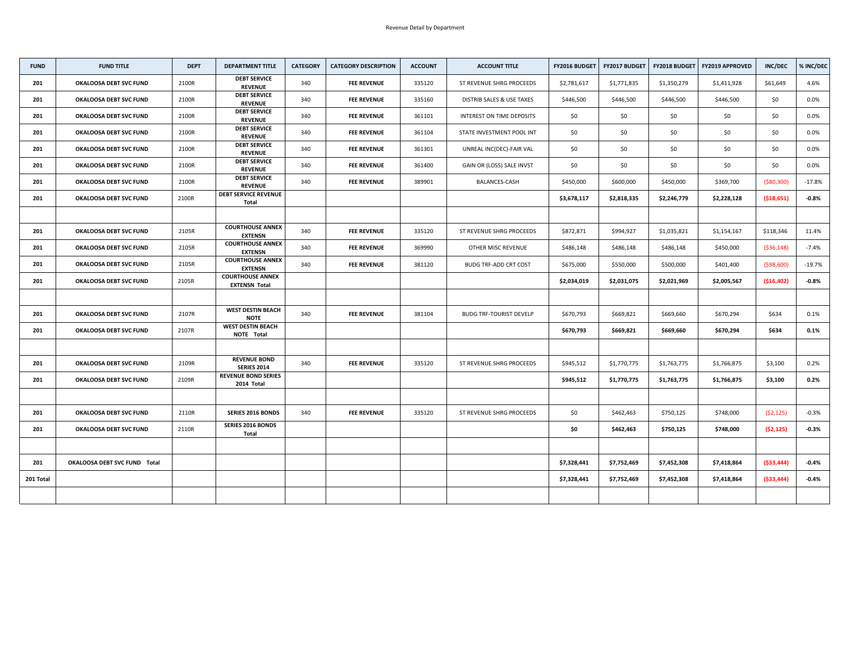| <b>FUND</b> | <b>FUND TITLE</b>                   | <b>DEPT</b> | <b>DEPARTMENT TITLE</b>                         | <b>CATEGORY</b> | <b>CATEGORY DESCRIPTION</b> | <b>ACCOUNT</b> | <b>ACCOUNT TITLE</b>                 | <b>FY2016 BUDGET</b> | <b>FY2017 BUDGET</b> | <b>FY2018 BUDGET</b> | <b>FY2019 APPROVED</b> | <b>INC/DEC</b> | % INC/DEC |
|-------------|-------------------------------------|-------------|-------------------------------------------------|-----------------|-----------------------------|----------------|--------------------------------------|----------------------|----------------------|----------------------|------------------------|----------------|-----------|
| 201         | <b>OKALOOSA DEBT SVC FUND</b>       | 2100R       | <b>DEBT SERVICE</b><br><b>REVENUE</b>           | 340             | <b>FEE REVENUE</b>          | 335120         | ST REVENUE SHRG PROCEEDS             | \$2,781,617          | \$1,771,835          | \$1,350,279          | \$1,411,928            | \$61,649       | 4.6%      |
| 201         | <b>OKALOOSA DEBT SVC FUND</b>       | 2100R       | <b>DEBT SERVICE</b><br><b>REVENUE</b>           | 340             | <b>FEE REVENUE</b>          | 335160         | <b>DISTRIB SALES &amp; USE TAXES</b> | \$446,500            | \$446,500            | \$446,500            | \$446,500              | \$0            | 0.0%      |
| 201         | <b>OKALOOSA DEBT SVC FUND</b>       | 2100R       | <b>DEBT SERVICE</b><br><b>REVENUE</b>           | 340             | <b>FEE REVENUE</b>          | 361101         | <b>INTEREST ON TIME DEPOSITS</b>     | \$0\$                | \$0                  | \$0                  | \$0                    | \$0            | $0.0\%$   |
| 201         | <b>OKALOOSA DEBT SVC FUND</b>       | 2100R       | <b>DEBT SERVICE</b><br><b>REVENUE</b>           | 340             | <b>FEE REVENUE</b>          | 361104         | STATE INVESTMENT POOL INT            | \$0\$                | \$0                  | \$0                  | \$0                    | \$0\$          | $0.0\%$   |
| 201         | <b>OKALOOSA DEBT SVC FUND</b>       | 2100R       | <b>DEBT SERVICE</b><br><b>REVENUE</b>           | 340             | <b>FEE REVENUE</b>          | 361301         | UNREAL INC(DEC)-FAIR VAL             | \$0\$                | \$0                  | \$0                  | \$0                    | \$0            | 0.0%      |
| 201         | <b>OKALOOSA DEBT SVC FUND</b>       | 2100R       | <b>DEBT SERVICE</b><br><b>REVENUE</b>           | 340             | <b>FEE REVENUE</b>          | 361400         | GAIN OR (LOSS) SALE INVST            | \$0                  | \$0                  | \$0                  | \$0                    | \$0            | $0.0\%$   |
| 201         | <b>OKALOOSA DEBT SVC FUND</b>       | 2100R       | <b>DEBT SERVICE</b><br><b>REVENUE</b>           | 340             | <b>FEE REVENUE</b>          | 389901         | <b>BALANCES-CASH</b>                 | \$450,000            | \$600,000            | \$450,000            | \$369,700              | ( \$80, 300)   | $-17.8%$  |
| 201         | <b>OKALOOSA DEBT SVC FUND</b>       | 2100R       | <b>DEBT SERVICE REVENUE</b><br><b>Total</b>     |                 |                             |                |                                      | \$3,678,117          | \$2,818,335          | \$2,246,779          | \$2,228,128            | ( \$18,651)    | $-0.8%$   |
|             |                                     |             |                                                 |                 |                             |                |                                      |                      |                      |                      |                        |                |           |
| 201         | <b>OKALOOSA DEBT SVC FUND</b>       | 2105R       | <b>COURTHOUSE ANNEX</b><br><b>EXTENSN</b>       | 340             | <b>FEE REVENUE</b>          | 335120         | ST REVENUE SHRG PROCEEDS             | \$872,871            | \$994,927            | \$1,035,821          | \$1,154,167            | \$118,346      | 11.4%     |
| 201         | <b>OKALOOSA DEBT SVC FUND</b>       | 2105R       | <b>COURTHOUSE ANNEX</b><br><b>EXTENSN</b>       | 340             | <b>FEE REVENUE</b>          | 369990         | <b>OTHER MISC REVENUE</b>            | \$486,148            | \$486,148            | \$486,148            | \$450,000              | ( \$36, 148)   | $-7.4%$   |
| 201         | <b>OKALOOSA DEBT SVC FUND</b>       | 2105R       | <b>COURTHOUSE ANNEX</b><br><b>EXTENSN</b>       | 340             | <b>FEE REVENUE</b>          | 381120         | <b>BUDG TRF-ADD CRT COST</b>         | \$675,000            | \$550,000            | \$500,000            | \$401,400              | ( \$98,600)    | $-19.7%$  |
| 201         | <b>OKALOOSA DEBT SVC FUND</b>       | 2105R       | <b>COURTHOUSE ANNEX</b><br><b>EXTENSN Total</b> |                 |                             |                |                                      | \$2,034,019          | \$2,031,075          | \$2,021,969          | \$2,005,567            | (\$16,402)     | $-0.8%$   |
|             |                                     |             |                                                 |                 |                             |                |                                      |                      |                      |                      |                        |                |           |
| 201         | <b>OKALOOSA DEBT SVC FUND</b>       | 2107R       | <b>WEST DESTIN BEACH</b><br><b>NOTE</b>         | 340             | <b>FEE REVENUE</b>          | 381104         | <b>BUDG TRF-TOURIST DEVELP</b>       | \$670,793            | \$669,821            | \$669,660            | \$670,294              | \$634          | 0.1%      |
| 201         | <b>OKALOOSA DEBT SVC FUND</b>       | 2107R       | <b>WEST DESTIN BEACH</b><br><b>NOTE Total</b>   |                 |                             |                |                                      | \$670,793            | \$669,821            | \$669,660            | \$670,294              | \$634          | 0.1%      |
|             |                                     |             |                                                 |                 |                             |                |                                      |                      |                      |                      |                        |                |           |
| 201         | <b>OKALOOSA DEBT SVC FUND</b>       | 2109R       | <b>REVENUE BOND</b><br><b>SERIES 2014</b>       | 340             | <b>FEE REVENUE</b>          | 335120         | ST REVENUE SHRG PROCEEDS             | \$945,512            | \$1,770,775          | \$1,763,775          | \$1,766,875            | \$3,100        | 0.2%      |
| 201         | <b>OKALOOSA DEBT SVC FUND</b>       | 2109R       | <b>REVENUE BOND SERIES</b><br>2014 Total        |                 |                             |                |                                      | \$945,512            | \$1,770,775          | \$1,763,775          | \$1,766,875            | \$3,100        | 0.2%      |
|             |                                     |             |                                                 |                 |                             |                |                                      |                      |                      |                      |                        |                |           |
| 201         | <b>OKALOOSA DEBT SVC FUND</b>       | 2110R       | <b>SERIES 2016 BONDS</b>                        | 340             | <b>FEE REVENUE</b>          | 335120         | ST REVENUE SHRG PROCEEDS             | \$0\$                | \$462,463            | \$750,125            | \$748,000              | (52, 125)      | $-0.3%$   |
| 201         | <b>OKALOOSA DEBT SVC FUND</b>       | 2110R       | <b>SERIES 2016 BONDS</b><br><b>Total</b>        |                 |                             |                |                                      | \$0                  | \$462,463            | \$750,125            | \$748,000              | (52, 125)      | $-0.3%$   |
|             |                                     |             |                                                 |                 |                             |                |                                      |                      |                      |                      |                        |                |           |
| 201         | <b>OKALOOSA DEBT SVC FUND Total</b> |             |                                                 |                 |                             |                |                                      | \$7,328,441          | \$7,752,469          | \$7,452,308          | \$7,418,864            | ( \$33,444)    | $-0.4%$   |
| 201 Total   |                                     |             |                                                 |                 |                             |                |                                      | \$7,328,441          | \$7,752,469          | \$7,452,308          | \$7,418,864            | ( \$33,444)    | $-0.4%$   |
|             |                                     |             |                                                 |                 |                             |                |                                      |                      |                      |                      |                        |                |           |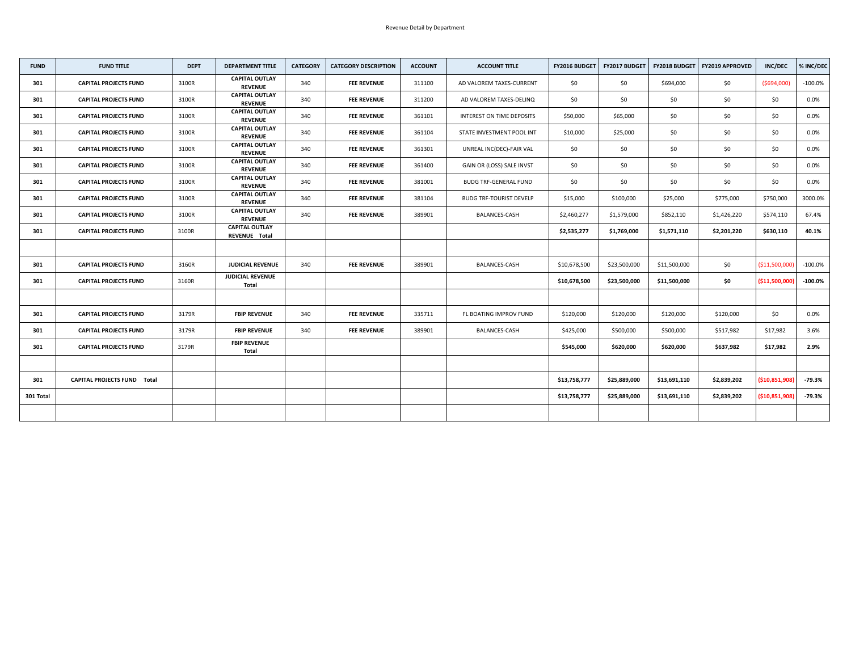| <b>FUND</b> | <b>FUND TITLE</b>                  | <b>DEPT</b> | <b>DEPARTMENT TITLE</b>                       | <b>CATEGORY</b> | <b>CATEGORY DESCRIPTION</b> | <b>ACCOUNT</b> | <b>ACCOUNT TITLE</b>           | FY2016 BUDGET | <b>FY2017 BUDGET</b> | <b>FY2018 BUDGET</b> | <b>FY2019 APPROVED</b> | <b>INC/DEC</b>  | % INC/DEC  |
|-------------|------------------------------------|-------------|-----------------------------------------------|-----------------|-----------------------------|----------------|--------------------------------|---------------|----------------------|----------------------|------------------------|-----------------|------------|
| 301         | <b>CAPITAL PROJECTS FUND</b>       | 3100R       | <b>CAPITAL OUTLAY</b><br><b>REVENUE</b>       | 340             | <b>FEE REVENUE</b>          | 311100         | AD VALOREM TAXES-CURRENT       | \$0           | \$0                  | \$694,000            | \$0                    | ( \$694,000)    | $-100.0\%$ |
| 301         | <b>CAPITAL PROJECTS FUND</b>       | 3100R       | <b>CAPITAL OUTLAY</b><br><b>REVENUE</b>       | 340             | <b>FEE REVENUE</b>          | 311200         | AD VALOREM TAXES-DELINQ        | \$0           | \$0                  | \$0                  | \$0                    | \$0\$           | $0.0\%$    |
| 301         | <b>CAPITAL PROJECTS FUND</b>       | 3100R       | <b>CAPITAL OUTLAY</b><br><b>REVENUE</b>       | 340             | <b>FEE REVENUE</b>          | 361101         | INTEREST ON TIME DEPOSITS      | \$50,000      | \$65,000             | \$0                  | \$0                    | \$0             | $0.0\%$    |
| 301         | <b>CAPITAL PROJECTS FUND</b>       | 3100R       | <b>CAPITAL OUTLAY</b><br><b>REVENUE</b>       | 340             | <b>FEE REVENUE</b>          | 361104         | STATE INVESTMENT POOL INT      | \$10,000      | \$25,000             | \$0                  | \$0                    | \$0\$           | $0.0\%$    |
| 301         | <b>CAPITAL PROJECTS FUND</b>       | 3100R       | <b>CAPITAL OUTLAY</b><br><b>REVENUE</b>       | 340             | <b>FEE REVENUE</b>          | 361301         | UNREAL INC(DEC)-FAIR VAL       | \$0           | \$0                  | \$0                  | \$0\$                  | \$0             | 0.0%       |
| 301         | <b>CAPITAL PROJECTS FUND</b>       | 3100R       | <b>CAPITAL OUTLAY</b><br><b>REVENUE</b>       | 340             | <b>FEE REVENUE</b>          | 361400         | GAIN OR (LOSS) SALE INVST      | \$0           | \$0                  | \$0                  | \$0                    | \$0             | 0.0%       |
| 301         | <b>CAPITAL PROJECTS FUND</b>       | 3100R       | <b>CAPITAL OUTLAY</b><br><b>REVENUE</b>       | 340             | <b>FEE REVENUE</b>          | 381001         | <b>BUDG TRF-GENERAL FUND</b>   | \$0\$         | \$0                  | \$0                  | \$0                    | \$0\$           | $0.0\%$    |
| 301         | <b>CAPITAL PROJECTS FUND</b>       | 3100R       | <b>CAPITAL OUTLAY</b><br><b>REVENUE</b>       | 340             | <b>FEE REVENUE</b>          | 381104         | <b>BUDG TRF-TOURIST DEVELP</b> | \$15,000      | \$100,000            | \$25,000             | \$775,000              | \$750,000       | 3000.0%    |
| 301         | <b>CAPITAL PROJECTS FUND</b>       | 3100R       | <b>CAPITAL OUTLAY</b><br><b>REVENUE</b>       | 340             | <b>FEE REVENUE</b>          | 389901         | <b>BALANCES-CASH</b>           | \$2,460,277   | \$1,579,000          | \$852,110            | \$1,426,220            | \$574,110       | 67.4%      |
| 301         | <b>CAPITAL PROJECTS FUND</b>       | 3100R       | <b>CAPITAL OUTLAY</b><br><b>REVENUE Total</b> |                 |                             |                |                                | \$2,535,277   | \$1,769,000          | \$1,571,110          | \$2,201,220            | \$630,110       | 40.1%      |
|             |                                    |             |                                               |                 |                             |                |                                |               |                      |                      |                        |                 |            |
| 301         | <b>CAPITAL PROJECTS FUND</b>       | 3160R       | <b>JUDICIAL REVENUE</b>                       | 340             | <b>FEE REVENUE</b>          | 389901         | <b>BALANCES-CASH</b>           | \$10,678,500  | \$23,500,000         | \$11,500,000         | \$0                    | ( \$11,500,000] | $-100.0\%$ |
| 301         | <b>CAPITAL PROJECTS FUND</b>       | 3160R       | <b>JUDICIAL REVENUE</b><br><b>Total</b>       |                 |                             |                |                                | \$10,678,500  | \$23,500,000         | \$11,500,000         | \$0                    | (\$11,500,000]  | $-100.0\%$ |
|             |                                    |             |                                               |                 |                             |                |                                |               |                      |                      |                        |                 |            |
| 301         | <b>CAPITAL PROJECTS FUND</b>       | 3179R       | <b>FBIP REVENUE</b>                           | 340             | <b>FEE REVENUE</b>          | 335711         | FL BOATING IMPROV FUND         | \$120,000     | \$120,000            | \$120,000            | \$120,000              | \$0\$           | 0.0%       |
| 301         | <b>CAPITAL PROJECTS FUND</b>       | 3179R       | <b>FBIP REVENUE</b>                           | 340             | <b>FEE REVENUE</b>          | 389901         | BALANCES-CASH                  | \$425,000     | \$500,000            | \$500,000            | \$517,982              | \$17,982        | 3.6%       |
| 301         | <b>CAPITAL PROJECTS FUND</b>       | 3179R       | <b>FBIP REVENUE</b><br><b>Total</b>           |                 |                             |                |                                | \$545,000     | \$620,000            | \$620,000            | \$637,982              | \$17,982        | 2.9%       |
|             |                                    |             |                                               |                 |                             |                |                                |               |                      |                      |                        |                 |            |
| 301         | <b>CAPITAL PROJECTS FUND Total</b> |             |                                               |                 |                             |                |                                | \$13,758,777  | \$25,889,000         | \$13,691,110         | \$2,839,202            | ( \$10,851,908) | $-79.3%$   |
| 301 Total   |                                    |             |                                               |                 |                             |                |                                | \$13,758,777  | \$25,889,000         | \$13,691,110         | \$2,839,202            | ( \$10,851,908) | $-79.3%$   |
|             |                                    |             |                                               |                 |                             |                |                                |               |                      |                      |                        |                 |            |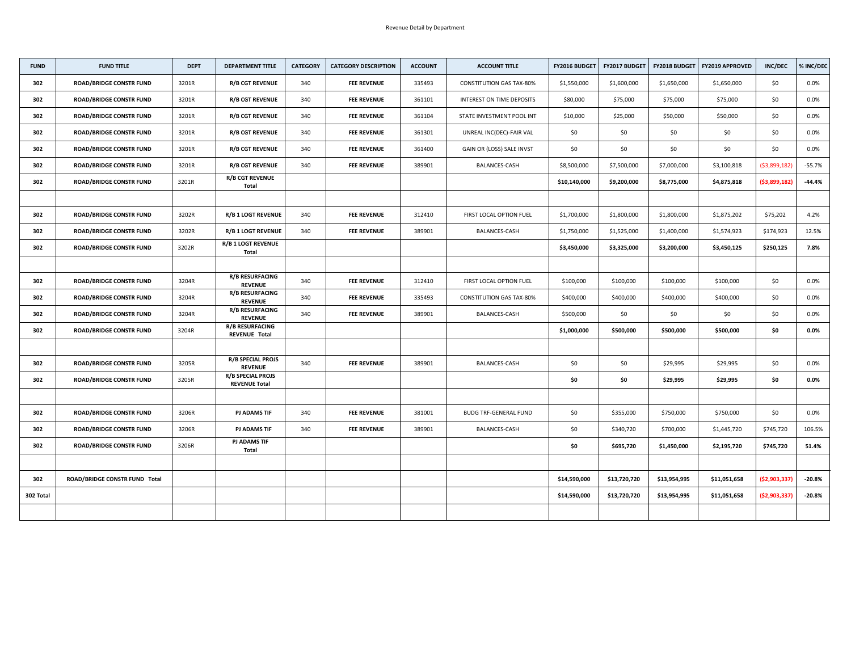| <b>FUND</b> | <b>FUND TITLE</b>                    | <b>DEPT</b> | <b>DEPARTMENT TITLE</b>                          | <b>CATEGORY</b> | <b>CATEGORY DESCRIPTION</b> | <b>ACCOUNT</b> | <b>ACCOUNT TITLE</b>            | FY2016 BUDGET | FY2017 BUDGET | <b>FY2018 BUDGET</b> | <b>FY2019 APPROVED</b> | <b>INC/DEC</b> | % INC/DEC |
|-------------|--------------------------------------|-------------|--------------------------------------------------|-----------------|-----------------------------|----------------|---------------------------------|---------------|---------------|----------------------|------------------------|----------------|-----------|
| 302         | <b>ROAD/BRIDGE CONSTR FUND</b>       | 3201R       | <b>R/B CGT REVENUE</b>                           | 340             | <b>FEE REVENUE</b>          | 335493         | <b>CONSTITUTION GAS TAX-80%</b> | \$1,550,000   | \$1,600,000   | \$1,650,000          | \$1,650,000            | \$0            | $0.0\%$   |
| 302         | <b>ROAD/BRIDGE CONSTR FUND</b>       | 3201R       | <b>R/B CGT REVENUE</b>                           | 340             | <b>FEE REVENUE</b>          | 361101         | INTEREST ON TIME DEPOSITS       | \$80,000      | \$75,000      | \$75,000             | \$75,000               | \$0\$          | $0.0\%$   |
| 302         | <b>ROAD/BRIDGE CONSTR FUND</b>       | 3201R       | <b>R/B CGT REVENUE</b>                           | 340             | <b>FEE REVENUE</b>          | 361104         | STATE INVESTMENT POOL INT       | \$10,000      | \$25,000      | \$50,000             | \$50,000               | \$0\$          | $0.0\%$   |
| 302         | <b>ROAD/BRIDGE CONSTR FUND</b>       | 3201R       | <b>R/B CGT REVENUE</b>                           | 340             | <b>FEE REVENUE</b>          | 361301         | UNREAL INC(DEC)-FAIR VAL        | \$0\$         | \$0           | \$0                  | \$0                    | \$0            | $0.0\%$   |
| 302         | <b>ROAD/BRIDGE CONSTR FUND</b>       | 3201R       | <b>R/B CGT REVENUE</b>                           | 340             | <b>FEE REVENUE</b>          | 361400         | GAIN OR (LOSS) SALE INVST       | \$0\$         | \$0           | \$0                  | \$0                    | \$0\$          | $0.0\%$   |
| 302         | <b>ROAD/BRIDGE CONSTR FUND</b>       | 3201R       | <b>R/B CGT REVENUE</b>                           | 340             | <b>FEE REVENUE</b>          | 389901         | <b>BALANCES-CASH</b>            | \$8,500,000   | \$7,500,000   | \$7,000,000          | \$3,100,818            | ( \$3,899,182) | $-55.7%$  |
| 302         | <b>ROAD/BRIDGE CONSTR FUND</b>       | 3201R       | <b>R/B CGT REVENUE</b><br><b>Total</b>           |                 |                             |                |                                 | \$10,140,000  | \$9,200,000   | \$8,775,000          | \$4,875,818            | ( \$3,899,182) | $-44.4%$  |
|             |                                      |             |                                                  |                 |                             |                |                                 |               |               |                      |                        |                |           |
| 302         | <b>ROAD/BRIDGE CONSTR FUND</b>       | 3202R       | <b>R/B 1 LOGT REVENUE</b>                        | 340             | <b>FEE REVENUE</b>          | 312410         | FIRST LOCAL OPTION FUEL         | \$1,700,000   | \$1,800,000   | \$1,800,000          | \$1,875,202            | \$75,202       | 4.2%      |
| 302         | <b>ROAD/BRIDGE CONSTR FUND</b>       | 3202R       | <b>R/B 1 LOGT REVENUE</b>                        | 340             | <b>FEE REVENUE</b>          | 389901         | <b>BALANCES-CASH</b>            | \$1,750,000   | \$1,525,000   | \$1,400,000          | \$1,574,923            | \$174,923      | 12.5%     |
| 302         | <b>ROAD/BRIDGE CONSTR FUND</b>       | 3202R       | <b>R/B 1 LOGT REVENUE</b><br><b>Total</b>        |                 |                             |                |                                 | \$3,450,000   | \$3,325,000   | \$3,200,000          | \$3,450,125            | \$250,125      | 7.8%      |
|             |                                      |             |                                                  |                 |                             |                |                                 |               |               |                      |                        |                |           |
| 302         | <b>ROAD/BRIDGE CONSTR FUND</b>       | 3204R       | <b>R/B RESURFACING</b><br><b>REVENUE</b>         | 340             | <b>FEE REVENUE</b>          | 312410         | FIRST LOCAL OPTION FUEL         | \$100,000     | \$100,000     | \$100,000            | \$100,000              | \$0            | $0.0\%$   |
| 302         | <b>ROAD/BRIDGE CONSTR FUND</b>       | 3204R       | <b>R/B RESURFACING</b><br><b>REVENUE</b>         | 340             | <b>FEE REVENUE</b>          | 335493         | <b>CONSTITUTION GAS TAX-80%</b> | \$400,000     | \$400,000     | \$400,000            | \$400,000              | \$0            | $0.0\%$   |
| 302         | <b>ROAD/BRIDGE CONSTR FUND</b>       | 3204R       | <b>R/B RESURFACING</b><br><b>REVENUE</b>         | 340             | <b>FEE REVENUE</b>          | 389901         | <b>BALANCES-CASH</b>            | \$500,000     | \$0           | \$0                  | \$0                    | \$0            | $0.0\%$   |
| 302         | <b>ROAD/BRIDGE CONSTR FUND</b>       | 3204R       | <b>R/B RESURFACING</b><br><b>REVENUE Total</b>   |                 |                             |                |                                 | \$1,000,000   | \$500,000     | \$500,000            | \$500,000              | \$0            | $0.0\%$   |
|             |                                      |             |                                                  |                 |                             |                |                                 |               |               |                      |                        |                |           |
| 302         | <b>ROAD/BRIDGE CONSTR FUND</b>       | 3205R       | <b>R/B SPECIAL PROJS</b><br><b>REVENUE</b>       | 340             | <b>FEE REVENUE</b>          | 389901         | <b>BALANCES-CASH</b>            | \$0\$         | \$0\$         | \$29,995             | \$29,995               | \$0            | $0.0\%$   |
| 302         | <b>ROAD/BRIDGE CONSTR FUND</b>       | 3205R       | <b>R/B SPECIAL PROJS</b><br><b>REVENUE Total</b> |                 |                             |                |                                 | \$0           | \$0           | \$29,995             | \$29,995               | \$0            | $0.0\%$   |
|             |                                      |             |                                                  |                 |                             |                |                                 |               |               |                      |                        |                |           |
| 302         | <b>ROAD/BRIDGE CONSTR FUND</b>       | 3206R       | <b>PJ ADAMS TIF</b>                              | 340             | <b>FEE REVENUE</b>          | 381001         | <b>BUDG TRF-GENERAL FUND</b>    | \$0           | \$355,000     | \$750,000            | \$750,000              | \$0            | $0.0\%$   |
| 302         | <b>ROAD/BRIDGE CONSTR FUND</b>       | 3206R       | <b>PJ ADAMS TIF</b>                              | 340             | <b>FEE REVENUE</b>          | 389901         | <b>BALANCES-CASH</b>            | \$0\$         | \$340,720     | \$700,000            | \$1,445,720            | \$745,720      | 106.5%    |
| 302         | <b>ROAD/BRIDGE CONSTR FUND</b>       | 3206R       | <b>PJ ADAMS TIF</b><br><b>Total</b>              |                 |                             |                |                                 | \$0           | \$695,720     | \$1,450,000          | \$2,195,720            | \$745,720      | 51.4%     |
|             |                                      |             |                                                  |                 |                             |                |                                 |               |               |                      |                        |                |           |
| 302         | <b>ROAD/BRIDGE CONSTR FUND Total</b> |             |                                                  |                 |                             |                |                                 | \$14,590,000  | \$13,720,720  | \$13,954,995         | \$11,051,658           | ( \$2,903,337) | $-20.8%$  |
| 302 Total   |                                      |             |                                                  |                 |                             |                |                                 | \$14,590,000  | \$13,720,720  | \$13,954,995         | \$11,051,658           | ( \$2,903,337) | $-20.8%$  |
|             |                                      |             |                                                  |                 |                             |                |                                 |               |               |                      |                        |                |           |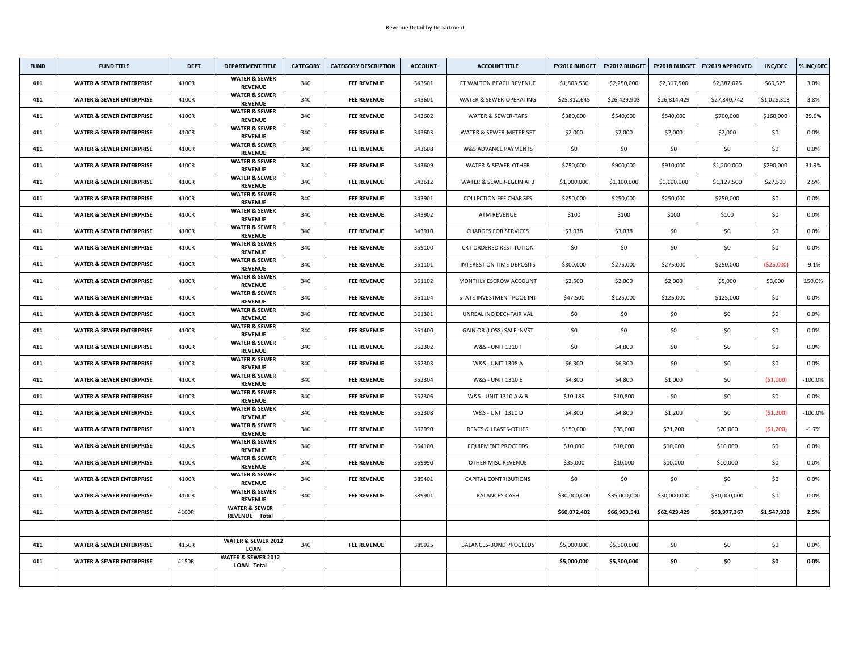| <b>FUND</b> | <b>FUND TITLE</b>                   | <b>DEPT</b> | <b>DEPARTMENT TITLE</b>                            | <b>CATEGORY</b> | <b>CATEGORY DESCRIPTION</b> | <b>ACCOUNT</b> | <b>ACCOUNT TITLE</b>             | <b>FY2016 BUDGET</b> | <b>FY2017 BUDGET</b> | <b>FY2018 BUDGET</b> | <b>FY2019 APPROVED</b> | <b>INC/DEC</b> | % INC/DEC  |
|-------------|-------------------------------------|-------------|----------------------------------------------------|-----------------|-----------------------------|----------------|----------------------------------|----------------------|----------------------|----------------------|------------------------|----------------|------------|
| 411         | <b>WATER &amp; SEWER ENTERPRISE</b> | 4100R       | <b>WATER &amp; SEWER</b><br><b>REVENUE</b>         | 340             | <b>FEE REVENUE</b>          | 343501         | FT WALTON BEACH REVENUE          | \$1,803,530          | \$2,250,000          | \$2,317,500          | \$2,387,025            | \$69,525       | 3.0%       |
| 411         | <b>WATER &amp; SEWER ENTERPRISE</b> | 4100R       | <b>WATER &amp; SEWER</b><br><b>REVENUE</b>         | 340             | <b>FEE REVENUE</b>          | 343601         | WATER & SEWER-OPERATING          | \$25,312,645         | \$26,429,903         | \$26,814,429         | \$27,840,742           | \$1,026,313    | 3.8%       |
| 411         | <b>WATER &amp; SEWER ENTERPRISE</b> | 4100R       | <b>WATER &amp; SEWER</b><br><b>REVENUE</b>         | 340             | <b>FEE REVENUE</b>          | 343602         | <b>WATER &amp; SEWER-TAPS</b>    | \$380,000            | \$540,000            | \$540,000            | \$700,000              | \$160,000      | 29.6%      |
| 411         | <b>WATER &amp; SEWER ENTERPRISE</b> | 4100R       | <b>WATER &amp; SEWER</b><br><b>REVENUE</b>         | 340             | <b>FEE REVENUE</b>          | 343603         | WATER & SEWER-METER SET          | \$2,000              | \$2,000              | \$2,000              | \$2,000                | \$0\$          | $0.0\%$    |
| 411         | <b>WATER &amp; SEWER ENTERPRISE</b> | 4100R       | <b>WATER &amp; SEWER</b><br><b>REVENUE</b>         | 340             | <b>FEE REVENUE</b>          | 343608         | W&S ADVANCE PAYMENTS             | \$0\$                | \$0                  | \$0                  | \$0                    | \$0\$          | $0.0\%$    |
| 411         | <b>WATER &amp; SEWER ENTERPRISE</b> | 4100R       | <b>WATER &amp; SEWER</b><br><b>REVENUE</b>         | 340             | <b>FEE REVENUE</b>          | 343609         | <b>WATER &amp; SEWER-OTHER</b>   | \$750,000            | \$900,000            | \$910,000            | \$1,200,000            | \$290,000      | 31.9%      |
| 411         | <b>WATER &amp; SEWER ENTERPRISE</b> | 4100R       | <b>WATER &amp; SEWER</b><br><b>REVENUE</b>         | 340             | <b>FEE REVENUE</b>          | 343612         | WATER & SEWER-EGLIN AFB          | \$1,000,000          | \$1,100,000          | \$1,100,000          | \$1,127,500            | \$27,500       | 2.5%       |
| 411         | <b>WATER &amp; SEWER ENTERPRISE</b> | 4100R       | <b>WATER &amp; SEWER</b><br><b>REVENUE</b>         | 340             | <b>FEE REVENUE</b>          | 343901         | <b>COLLECTION FEE CHARGES</b>    | \$250,000            | \$250,000            | \$250,000            | \$250,000              | \$0\$          | $0.0\%$    |
| 411         | <b>WATER &amp; SEWER ENTERPRISE</b> | 4100R       | <b>WATER &amp; SEWER</b><br><b>REVENUE</b>         | 340             | <b>FEE REVENUE</b>          | 343902         | <b>ATM REVENUE</b>               | \$100                | \$100                | \$100                | \$100                  | \$0            | $0.0\%$    |
| 411         | <b>WATER &amp; SEWER ENTERPRISE</b> | 4100R       | <b>WATER &amp; SEWER</b><br><b>REVENUE</b>         | 340             | <b>FEE REVENUE</b>          | 343910         | <b>CHARGES FOR SERVICES</b>      | \$3,038              | \$3,038              | \$0                  | \$0                    | \$0            | $0.0\%$    |
| 411         | <b>WATER &amp; SEWER ENTERPRISE</b> | 4100R       | <b>WATER &amp; SEWER</b><br><b>REVENUE</b>         | 340             | <b>FEE REVENUE</b>          | 359100         | <b>CRT ORDERED RESTITUTION</b>   | \$0\$                | \$0                  | \$0                  | \$0                    | \$0            | $0.0\%$    |
| 411         | <b>WATER &amp; SEWER ENTERPRISE</b> | 4100R       | <b>WATER &amp; SEWER</b><br><b>REVENUE</b>         | 340             | <b>FEE REVENUE</b>          | 361101         | <b>INTEREST ON TIME DEPOSITS</b> | \$300,000            | \$275,000            | \$275,000            | \$250,000              | ( \$25,000)    | $-9.1%$    |
| 411         | <b>WATER &amp; SEWER ENTERPRISE</b> | 4100R       | <b>WATER &amp; SEWER</b><br><b>REVENUE</b>         | 340             | <b>FEE REVENUE</b>          | 361102         | MONTHLY ESCROW ACCOUNT           | \$2,500              | \$2,000              | \$2,000              | \$5,000                | \$3,000        | 150.0%     |
| 411         | <b>WATER &amp; SEWER ENTERPRISE</b> | 4100R       | <b>WATER &amp; SEWER</b><br><b>REVENUE</b>         | 340             | <b>FEE REVENUE</b>          | 361104         | STATE INVESTMENT POOL INT        | \$47,500             | \$125,000            | \$125,000            | \$125,000              | \$0\$          | $0.0\%$    |
| 411         | <b>WATER &amp; SEWER ENTERPRISE</b> | 4100R       | <b>WATER &amp; SEWER</b><br><b>REVENUE</b>         | 340             | <b>FEE REVENUE</b>          | 361301         | UNREAL INC(DEC)-FAIR VAL         | \$0                  | \$0                  | \$0                  | \$0                    | \$0            | $0.0\%$    |
| 411         | <b>WATER &amp; SEWER ENTERPRISE</b> | 4100R       | <b>WATER &amp; SEWER</b><br><b>REVENUE</b>         | 340             | <b>FEE REVENUE</b>          | 361400         | GAIN OR (LOSS) SALE INVST        | \$0\$                | \$0                  | \$0                  | \$0                    | \$0\$          | $0.0\%$    |
| 411         | <b>WATER &amp; SEWER ENTERPRISE</b> | 4100R       | <b>WATER &amp; SEWER</b><br><b>REVENUE</b>         | 340             | <b>FEE REVENUE</b>          | 362302         | W&S - UNIT 1310 F                | \$0\$                | \$4,800              | \$0                  | \$0                    | \$0\$          | $0.0\%$    |
| 411         | <b>WATER &amp; SEWER ENTERPRISE</b> | 4100R       | <b>WATER &amp; SEWER</b><br><b>REVENUE</b>         | 340             | <b>FEE REVENUE</b>          | 362303         | W&S - UNIT 1308 A                | \$6,300              | \$6,300              | \$0\$                | \$0                    | \$0            | $0.0\%$    |
| 411         | <b>WATER &amp; SEWER ENTERPRISE</b> | 4100R       | <b>WATER &amp; SEWER</b><br><b>REVENUE</b>         | 340             | <b>FEE REVENUE</b>          | 362304         | <b>W&amp;S - UNIT 1310 E</b>     | \$4,800              | \$4,800              | \$1,000              | \$0                    | ( \$1,000)     | $-100.0\%$ |
| 411         | <b>WATER &amp; SEWER ENTERPRISE</b> | 4100R       | <b>WATER &amp; SEWER</b><br><b>REVENUE</b>         | 340             | <b>FEE REVENUE</b>          | 362306         | W&S - UNIT 1310 A & B            | \$10,189             | \$10,800             | \$0\$                | \$0                    | \$0\$          | $0.0\%$    |
| 411         | <b>WATER &amp; SEWER ENTERPRISE</b> | 4100R       | <b>WATER &amp; SEWER</b><br><b>REVENUE</b>         | 340             | <b>FEE REVENUE</b>          | 362308         | W&S - UNIT 1310 D                | \$4,800              | \$4,800              | \$1,200              | \$0                    | (51,200)       | $-100.0\%$ |
| 411         | <b>WATER &amp; SEWER ENTERPRISE</b> | 4100R       | <b>WATER &amp; SEWER</b><br><b>REVENUE</b>         | 340             | <b>FEE REVENUE</b>          | 362990         | <b>RENTS &amp; LEASES-OTHER</b>  | \$150,000            | \$35,000             | \$71,200             | \$70,000               | (51,200)       | $-1.7%$    |
| 411         | <b>WATER &amp; SEWER ENTERPRISE</b> | 4100R       | <b>WATER &amp; SEWER</b><br><b>REVENUE</b>         | 340             | <b>FEE REVENUE</b>          | 364100         | <b>EQUIPMENT PROCEEDS</b>        | \$10,000             | \$10,000             | \$10,000             | \$10,000               | \$0\$          | $0.0\%$    |
| 411         | <b>WATER &amp; SEWER ENTERPRISE</b> | 4100R       | <b>WATER &amp; SEWER</b><br><b>REVENUE</b>         | 340             | <b>FEE REVENUE</b>          | 369990         | OTHER MISC REVENUE               | \$35,000             | \$10,000             | \$10,000             | \$10,000               | \$0\$          | $0.0\%$    |
| 411         | <b>WATER &amp; SEWER ENTERPRISE</b> | 4100R       | <b>WATER &amp; SEWER</b><br><b>REVENUE</b>         | 340             | <b>FEE REVENUE</b>          | 389401         | <b>CAPITAL CONTRIBUTIONS</b>     | \$0\$                | \$0                  | \$0                  | \$0                    | \$0            | $0.0\%$    |
| 411         | <b>WATER &amp; SEWER ENTERPRISE</b> | 4100R       | <b>WATER &amp; SEWER</b><br><b>REVENUE</b>         | 340             | <b>FEE REVENUE</b>          | 389901         | BALANCES-CASH                    | \$30,000,000         | \$35,000,000         | \$30,000,000         | \$30,000,000           | \$0\$          | $0.0\%$    |
| 411         | <b>WATER &amp; SEWER ENTERPRISE</b> | 4100R       | <b>WATER &amp; SEWER</b><br>REVENUE Total          |                 |                             |                |                                  | \$60,072,402         | \$66,963,541         | \$62,429,429         | \$63,977,367           | \$1,547,938    | 2.5%       |
|             |                                     |             |                                                    |                 |                             |                |                                  |                      |                      |                      |                        |                |            |
| 411         | <b>WATER &amp; SEWER ENTERPRISE</b> | 4150R       | <b>WATER &amp; SEWER 2012</b><br><b>LOAN</b>       | 340             | <b>FEE REVENUE</b>          | 389925         | <b>BALANCES-BOND PROCEEDS</b>    | \$5,000,000          | \$5,500,000          | \$0\$                | \$0                    | \$0            | $0.0\%$    |
| 411         | <b>WATER &amp; SEWER ENTERPRISE</b> | 4150R       | <b>WATER &amp; SEWER 2012</b><br><b>LOAN Total</b> |                 |                             |                |                                  | \$5,000,000          | \$5,500,000          | \$0                  | \$0                    | \$0            | $0.0\%$    |
|             |                                     |             |                                                    |                 |                             |                |                                  |                      |                      |                      |                        |                |            |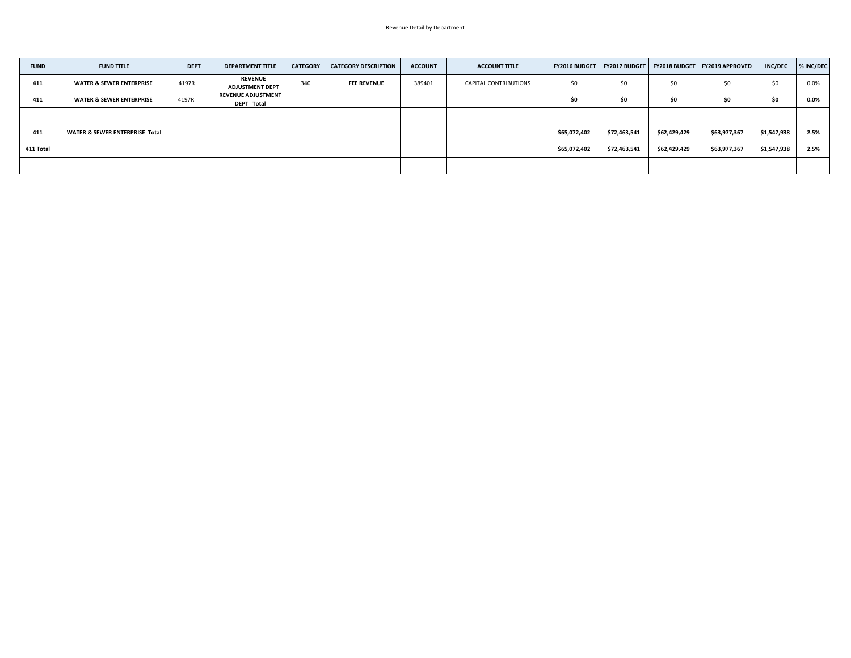| <b>FUND</b> | <b>FUND TITLE</b>                         | <b>DEPT</b> | <b>DEPARTMENT TITLE</b>                        | <b>CATEGORY</b> | <b>CATEGORY DESCRIPTION</b> | <b>ACCOUNT</b> | <b>ACCOUNT TITLE</b>         | <b>FY2016 BUDGET</b> |              |              | FY2017 BUDGET   FY2018 BUDGET   FY2019 APPROVED | <b>INC/DEC</b> | % INC/DEC |
|-------------|-------------------------------------------|-------------|------------------------------------------------|-----------------|-----------------------------|----------------|------------------------------|----------------------|--------------|--------------|-------------------------------------------------|----------------|-----------|
| 411         | <b>WATER &amp; SEWER ENTERPRISE</b>       | 4197R       | <b>REVENUE</b><br><b>ADJUSTMENT DEPT</b>       | 340             | <b>FEE REVENUE</b>          | 389401         | <b>CAPITAL CONTRIBUTIONS</b> | \$0                  | \$0          | \$0          | \$0                                             | \$0            | 0.0%      |
| 411         | <b>WATER &amp; SEWER ENTERPRISE</b>       | 4197R       | <b>REVENUE ADJUSTMENT</b><br><b>DEPT Total</b> |                 |                             |                |                              |                      | \$0          | \$0          | \$0                                             | \$0            | 0.0%      |
|             |                                           |             |                                                |                 |                             |                |                              |                      |              |              |                                                 |                |           |
| 411         | <b>WATER &amp; SEWER ENTERPRISE Total</b> |             |                                                |                 |                             |                |                              | \$65,072,402         | \$72,463,541 | \$62,429,429 | \$63,977,367                                    | \$1,547,938    | 2.5%      |
| 411 Total   |                                           |             |                                                |                 |                             |                |                              | \$65,072,402         | \$72,463,541 | \$62,429,429 | \$63,977,367                                    | \$1,547,938    | 2.5%      |
|             |                                           |             |                                                |                 |                             |                |                              |                      |              |              |                                                 |                |           |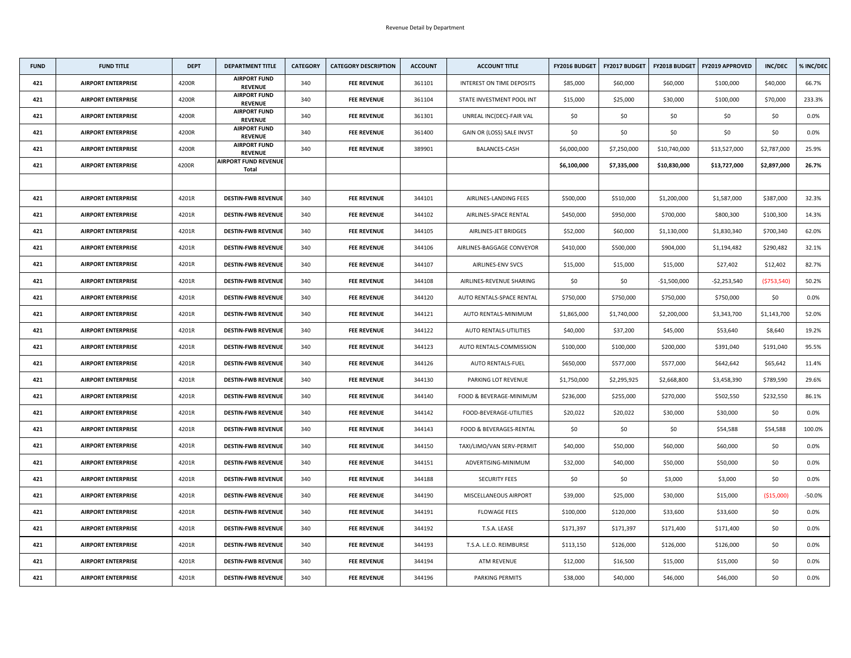| <b>FUND</b> | <b>FUND TITLE</b>         | <b>DEPT</b> | <b>DEPARTMENT TITLE</b>                     | <b>CATEGORY</b> | <b>CATEGORY DESCRIPTION</b> | <b>ACCOUNT</b> | <b>ACCOUNT TITLE</b>             | <b>FY2016 BUDGET</b> | <b>FY2017 BUDGET</b> | <b>FY2018 BUDGET</b> | <b>FY2019 APPROVED</b> | <b>INC/DEC</b> | % INC/DEC |
|-------------|---------------------------|-------------|---------------------------------------------|-----------------|-----------------------------|----------------|----------------------------------|----------------------|----------------------|----------------------|------------------------|----------------|-----------|
| 421         | <b>AIRPORT ENTERPRISE</b> | 4200R       | <b>AIRPORT FUND</b><br><b>REVENUE</b>       | 340             | <b>FEE REVENUE</b>          | 361101         | <b>INTEREST ON TIME DEPOSITS</b> | \$85,000             | \$60,000             | \$60,000             | \$100,000              | \$40,000       | 66.7%     |
| 421         | <b>AIRPORT ENTERPRISE</b> | 4200R       | <b>AIRPORT FUND</b><br><b>REVENUE</b>       | 340             | <b>FEE REVENUE</b>          | 361104         | STATE INVESTMENT POOL INT        | \$15,000             | \$25,000             | \$30,000             | \$100,000              | \$70,000       | 233.3%    |
| 421         | <b>AIRPORT ENTERPRISE</b> | 4200R       | <b>AIRPORT FUND</b><br><b>REVENUE</b>       | 340             | <b>FEE REVENUE</b>          | 361301         | UNREAL INC(DEC)-FAIR VAL         | \$0                  | \$0                  | \$0                  | \$0                    | \$0            | $0.0\%$   |
| 421         | <b>AIRPORT ENTERPRISE</b> | 4200R       | <b>AIRPORT FUND</b><br><b>REVENUE</b>       | 340             | <b>FEE REVENUE</b>          | 361400         | GAIN OR (LOSS) SALE INVST        | \$0                  | \$0                  | \$0                  | \$0                    | \$0            | 0.0%      |
| 421         | <b>AIRPORT ENTERPRISE</b> | 4200R       | <b>AIRPORT FUND</b><br><b>REVENUE</b>       | 340             | <b>FEE REVENUE</b>          | 389901         | <b>BALANCES-CASH</b>             | \$6,000,000          | \$7,250,000          | \$10,740,000         | \$13,527,000           | \$2,787,000    | 25.9%     |
| 421         | <b>AIRPORT ENTERPRISE</b> | 4200R       | <b>AIRPORT FUND REVENUE</b><br><b>Total</b> |                 |                             |                |                                  | \$6,100,000          | \$7,335,000          | \$10,830,000         | \$13,727,000           | \$2,897,000    | 26.7%     |
|             |                           |             |                                             |                 |                             |                |                                  |                      |                      |                      |                        |                |           |
| 421         | <b>AIRPORT ENTERPRISE</b> | 4201R       | <b>DESTIN-FWB REVENUE</b>                   | 340             | <b>FEE REVENUE</b>          | 344101         | AIRLINES-LANDING FEES            | \$500,000            | \$510,000            | \$1,200,000          | \$1,587,000            | \$387,000      | 32.3%     |
| 421         | <b>AIRPORT ENTERPRISE</b> | 4201R       | <b>DESTIN-FWB REVENUE</b>                   | 340             | <b>FEE REVENUE</b>          | 344102         | AIRLINES-SPACE RENTAL            | \$450,000            | \$950,000            | \$700,000            | \$800,300              | \$100,300      | 14.3%     |
| 421         | <b>AIRPORT ENTERPRISE</b> | 4201R       | <b>DESTIN-FWB REVENUE</b>                   | 340             | <b>FEE REVENUE</b>          | 344105         | AIRLINES-JET BRIDGES             | \$52,000             | \$60,000             | \$1,130,000          | \$1,830,340            | \$700,340      | 62.0%     |
| 421         | <b>AIRPORT ENTERPRISE</b> | 4201R       | <b>DESTIN-FWB REVENUE</b>                   | 340             | <b>FEE REVENUE</b>          | 344106         | AIRLINES-BAGGAGE CONVEYOR        | \$410,000            | \$500,000            | \$904,000            | \$1,194,482            | \$290,482      | 32.1%     |
| 421         | <b>AIRPORT ENTERPRISE</b> | 4201R       | <b>DESTIN-FWB REVENUE</b>                   | 340             | <b>FEE REVENUE</b>          | 344107         | <b>AIRLINES-ENV SVCS</b>         | \$15,000             | \$15,000             | \$15,000             | \$27,402               | \$12,402       | 82.7%     |
| 421         | <b>AIRPORT ENTERPRISE</b> | 4201R       | <b>DESTIN-FWB REVENUE</b>                   | 340             | <b>FEE REVENUE</b>          | 344108         | AIRLINES-REVENUE SHARING         | \$0\$                | \$0                  | $-$1,500,000$        | -\$2,253,540           | ( \$753,540)   | 50.2%     |
| 421         | <b>AIRPORT ENTERPRISE</b> | 4201R       | <b>DESTIN-FWB REVENUE</b>                   | 340             | <b>FEE REVENUE</b>          | 344120         | AUTO RENTALS-SPACE RENTAL        | \$750,000            | \$750,000            | \$750,000            | \$750,000              | \$0            | $0.0\%$   |
| 421         | <b>AIRPORT ENTERPRISE</b> | 4201R       | <b>DESTIN-FWB REVENUE</b>                   | 340             | <b>FEE REVENUE</b>          | 344121         | AUTO RENTALS-MINIMUM             | \$1,865,000          | \$1,740,000          | \$2,200,000          | \$3,343,700            | \$1,143,700    | 52.0%     |
| 421         | <b>AIRPORT ENTERPRISE</b> | 4201R       | <b>DESTIN-FWB REVENUE</b>                   | 340             | <b>FEE REVENUE</b>          | 344122         | <b>AUTO RENTALS-UTILITIES</b>    | \$40,000             | \$37,200             | \$45,000             | \$53,640               | \$8,640        | 19.2%     |
| 421         | <b>AIRPORT ENTERPRISE</b> | 4201R       | <b>DESTIN-FWB REVENUE</b>                   | 340             | <b>FEE REVENUE</b>          | 344123         | AUTO RENTALS-COMMISSION          | \$100,000            | \$100,000            | \$200,000            | \$391,040              | \$191,040      | 95.5%     |
| 421         | <b>AIRPORT ENTERPRISE</b> | 4201R       | <b>DESTIN-FWB REVENUE</b>                   | 340             | <b>FEE REVENUE</b>          | 344126         | <b>AUTO RENTALS-FUEL</b>         | \$650,000            | \$577,000            | \$577,000            | \$642,642              | \$65,642       | 11.4%     |
| 421         | <b>AIRPORT ENTERPRISE</b> | 4201R       | <b>DESTIN-FWB REVENUE</b>                   | 340             | <b>FEE REVENUE</b>          | 344130         | PARKING LOT REVENUE              | \$1,750,000          | \$2,295,925          | \$2,668,800          | \$3,458,390            | \$789,590      | 29.6%     |
| 421         | <b>AIRPORT ENTERPRISE</b> | 4201R       | <b>DESTIN-FWB REVENUE</b>                   | 340             | <b>FEE REVENUE</b>          | 344140         | FOOD & BEVERAGE-MINIMUM          | \$236,000            | \$255,000            | \$270,000            | \$502,550              | \$232,550      | 86.1%     |
| 421         | <b>AIRPORT ENTERPRISE</b> | 4201R       | <b>DESTIN-FWB REVENUE</b>                   | 340             | <b>FEE REVENUE</b>          | 344142         | FOOD-BEVERAGE-UTILITIES          | \$20,022             | \$20,022             | \$30,000             | \$30,000               | \$0            | $0.0\%$   |
| 421         | <b>AIRPORT ENTERPRISE</b> | 4201R       | <b>DESTIN-FWB REVENUE</b>                   | 340             | <b>FEE REVENUE</b>          | 344143         | FOOD & BEVERAGES-RENTAL          | \$0                  | \$0                  | \$0                  | \$54,588               | \$54,588       | 100.0%    |
| 421         | <b>AIRPORT ENTERPRISE</b> | 4201R       | <b>DESTIN-FWB REVENUE</b>                   | 340             | <b>FEE REVENUE</b>          | 344150         | TAXI/LIMO/VAN SERV-PERMIT        | \$40,000             | \$50,000             | \$60,000             | \$60,000               | \$0\$          | 0.0%      |
| 421         | <b>AIRPORT ENTERPRISE</b> | 4201R       | <b>DESTIN-FWB REVENUE</b>                   | 340             | <b>FEE REVENUE</b>          | 344151         | ADVERTISING-MINIMUM              | \$32,000             | \$40,000             | \$50,000             | \$50,000               | \$0\$          | $0.0\%$   |
| 421         | <b>AIRPORT ENTERPRISE</b> | 4201R       | <b>DESTIN-FWB REVENUE</b>                   | 340             | <b>FEE REVENUE</b>          | 344188         | <b>SECURITY FEES</b>             | \$0\$                | \$0                  | \$3,000              | \$3,000                | \$0            | 0.0%      |
| 421         | <b>AIRPORT ENTERPRISE</b> | 4201R       | <b>DESTIN-FWB REVENUE</b>                   | 340             | <b>FEE REVENUE</b>          | 344190         | MISCELLANEOUS AIRPORT            | \$39,000             | \$25,000             | \$30,000             | \$15,000               | ( \$15,000)    | $-50.0%$  |
| 421         | <b>AIRPORT ENTERPRISE</b> | 4201R       | <b>DESTIN-FWB REVENUE</b>                   | 340             | <b>FEE REVENUE</b>          | 344191         | <b>FLOWAGE FEES</b>              | \$100,000            | \$120,000            | \$33,600             | \$33,600               | \$0            | 0.0%      |
| 421         | <b>AIRPORT ENTERPRISE</b> | 4201R       | <b>DESTIN-FWB REVENUE</b>                   | 340             | <b>FEE REVENUE</b>          | 344192         | T.S.A. LEASE                     | \$171,397            | \$171,397            | \$171,400            | \$171,400              | \$0            | $0.0\%$   |
| 421         | <b>AIRPORT ENTERPRISE</b> | 4201R       | <b>DESTIN-FWB REVENUE</b>                   | 340             | <b>FEE REVENUE</b>          | 344193         | T.S.A. L.E.O. REIMBURSE          | \$113,150            | \$126,000            | \$126,000            | \$126,000              | \$0\$          | $0.0\%$   |
| 421         | <b>AIRPORT ENTERPRISE</b> | 4201R       | <b>DESTIN-FWB REVENUE</b>                   | 340             | <b>FEE REVENUE</b>          | 344194         | <b>ATM REVENUE</b>               | \$12,000             | \$16,500             | \$15,000             | \$15,000               | \$0            | $0.0\%$   |
| 421         | <b>AIRPORT ENTERPRISE</b> | 4201R       | <b>DESTIN-FWB REVENUE</b>                   | 340             | <b>FEE REVENUE</b>          | 344196         | <b>PARKING PERMITS</b>           | \$38,000             | \$40,000             | \$46,000             | \$46,000               | \$0            | $0.0\%$   |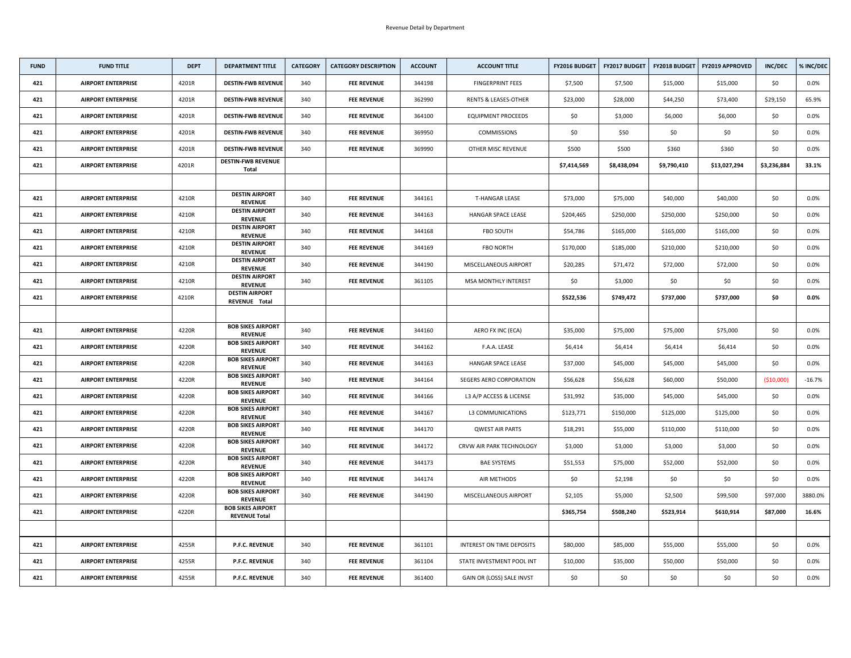| <b>FUND</b> | <b>FUND TITLE</b>         | <b>DEPT</b> | <b>DEPARTMENT TITLE</b>                          | <b>CATEGORY</b> | <b>CATEGORY DESCRIPTION</b> | <b>ACCOUNT</b> | <b>ACCOUNT TITLE</b>             | <b>FY2016 BUDGET</b> | <b>FY2017 BUDGET</b> | <b>FY2018 BUDGET</b> | <b>FY2019 APPROVED</b> | <b>INC/DEC</b> | % INC/DEC |
|-------------|---------------------------|-------------|--------------------------------------------------|-----------------|-----------------------------|----------------|----------------------------------|----------------------|----------------------|----------------------|------------------------|----------------|-----------|
| 421         | <b>AIRPORT ENTERPRISE</b> | 4201R       | <b>DESTIN-FWB REVENUE</b>                        | 340             | <b>FEE REVENUE</b>          | 344198         | <b>FINGERPRINT FEES</b>          | \$7,500              | \$7,500              | \$15,000             | \$15,000               | \$0            | 0.0%      |
| 421         | <b>AIRPORT ENTERPRISE</b> | 4201R       | <b>DESTIN-FWB REVENUE</b>                        | 340             | <b>FEE REVENUE</b>          | 362990         | <b>RENTS &amp; LEASES-OTHER</b>  | \$23,000             | \$28,000             | \$44,250             | \$73,400               | \$29,150       | 65.9%     |
| 421         | <b>AIRPORT ENTERPRISE</b> | 4201R       | <b>DESTIN-FWB REVENUE</b>                        | 340             | <b>FEE REVENUE</b>          | 364100         | <b>EQUIPMENT PROCEEDS</b>        | \$0                  | \$3,000              | \$6,000              | \$6,000                | \$0            | 0.0%      |
| 421         | <b>AIRPORT ENTERPRISE</b> | 4201R       | <b>DESTIN-FWB REVENUE</b>                        | 340             | <b>FEE REVENUE</b>          | 369950         | <b>COMMISSIONS</b>               | \$0                  | \$50                 | \$0                  | \$0                    | \$0            | $0.0\%$   |
| 421         | <b>AIRPORT ENTERPRISE</b> | 4201R       | <b>DESTIN-FWB REVENUE</b>                        | 340             | <b>FEE REVENUE</b>          | 369990         | OTHER MISC REVENUE               | \$500                | \$500                | \$360                | \$360                  | \$0            | $0.0\%$   |
| 421         | <b>AIRPORT ENTERPRISE</b> | 4201R       | <b>DESTIN-FWB REVENUE</b><br><b>Total</b>        |                 |                             |                |                                  | \$7,414,569          | \$8,438,094          | \$9,790,410          | \$13,027,294           | \$3,236,884    | 33.1%     |
|             |                           |             |                                                  |                 |                             |                |                                  |                      |                      |                      |                        |                |           |
| 421         | <b>AIRPORT ENTERPRISE</b> | 4210R       | <b>DESTIN AIRPORT</b><br><b>REVENUE</b>          | 340             | <b>FEE REVENUE</b>          | 344161         | T-HANGAR LEASE                   | \$73,000             | \$75,000             | \$40,000             | \$40,000               | \$0            | $0.0\%$   |
| 421         | <b>AIRPORT ENTERPRISE</b> | 4210R       | <b>DESTIN AIRPORT</b><br><b>REVENUE</b>          | 340             | <b>FEE REVENUE</b>          | 344163         | <b>HANGAR SPACE LEASE</b>        | \$204,465            | \$250,000            | \$250,000            | \$250,000              | \$0            | $0.0\%$   |
| 421         | <b>AIRPORT ENTERPRISE</b> | 4210R       | <b>DESTIN AIRPORT</b><br><b>REVENUE</b>          | 340             | <b>FEE REVENUE</b>          | 344168         | <b>FBO SOUTH</b>                 | \$54,786             | \$165,000            | \$165,000            | \$165,000              | \$0            | $0.0\%$   |
| 421         | <b>AIRPORT ENTERPRISE</b> | 4210R       | <b>DESTIN AIRPORT</b><br><b>REVENUE</b>          | 340             | <b>FEE REVENUE</b>          | 344169         | <b>FBO NORTH</b>                 | \$170,000            | \$185,000            | \$210,000            | \$210,000              | \$0            | 0.0%      |
| 421         | <b>AIRPORT ENTERPRISE</b> | 4210R       | <b>DESTIN AIRPORT</b><br><b>REVENUE</b>          | 340             | <b>FEE REVENUE</b>          | 344190         | MISCELLANEOUS AIRPORT            | \$20,285             | \$71,472             | \$72,000             | \$72,000               | \$0            | $0.0\%$   |
| 421         | <b>AIRPORT ENTERPRISE</b> | 4210R       | <b>DESTIN AIRPORT</b><br><b>REVENUE</b>          | 340             | <b>FEE REVENUE</b>          | 361105         | <b>MSA MONTHLY INTEREST</b>      | \$0                  | \$3,000              | \$0                  | \$0                    | \$0            | $0.0\%$   |
| 421         | <b>AIRPORT ENTERPRISE</b> | 4210R       | <b>DESTIN AIRPORT</b><br>REVENUE Total           |                 |                             |                |                                  | \$522,536            | \$749,472            | \$737,000            | \$737,000              | \$0            | $0.0\%$   |
|             |                           |             |                                                  |                 |                             |                |                                  |                      |                      |                      |                        |                |           |
| 421         | <b>AIRPORT ENTERPRISE</b> | 4220R       | <b>BOB SIKES AIRPORT</b><br><b>REVENUE</b>       | 340             | <b>FEE REVENUE</b>          | 344160         | AERO FX INC (ECA)                | \$35,000             | \$75,000             | \$75,000             | \$75,000               | \$0            | $0.0\%$   |
| 421         | <b>AIRPORT ENTERPRISE</b> | 4220R       | <b>BOB SIKES AIRPORT</b><br><b>REVENUE</b>       | 340             | <b>FEE REVENUE</b>          | 344162         | F.A.A. LEASE                     | \$6,414              | \$6,414              | \$6,414              | \$6,414                | \$0\$          | $0.0\%$   |
| 421         | <b>AIRPORT ENTERPRISE</b> | 4220R       | <b>BOB SIKES AIRPORT</b><br><b>REVENUE</b>       | 340             | <b>FEE REVENUE</b>          | 344163         | <b>HANGAR SPACE LEASE</b>        | \$37,000             | \$45,000             | \$45,000             | \$45,000               | \$0            | $0.0\%$   |
| 421         | <b>AIRPORT ENTERPRISE</b> | 4220R       | <b>BOB SIKES AIRPORT</b><br><b>REVENUE</b>       | 340             | <b>FEE REVENUE</b>          | 344164         | <b>SEGERS AERO CORPORATION</b>   | \$56,628             | \$56,628             | \$60,000             | \$50,000               | ( \$10,000)    | $-16.7%$  |
| 421         | <b>AIRPORT ENTERPRISE</b> | 4220R       | <b>BOB SIKES AIRPORT</b><br><b>REVENUE</b>       | 340             | <b>FEE REVENUE</b>          | 344166         | L3 A/P ACCESS & LICENSE          | \$31,992             | \$35,000             | \$45,000             | \$45,000               | \$0            | $0.0\%$   |
| 421         | <b>AIRPORT ENTERPRISE</b> | 4220R       | <b>BOB SIKES AIRPORT</b><br><b>REVENUE</b>       | 340             | <b>FEE REVENUE</b>          | 344167         | L3 COMMUNICATIONS                | \$123,771            | \$150,000            | \$125,000            | \$125,000              | \$0            | $0.0\%$   |
| 421         | <b>AIRPORT ENTERPRISE</b> | 4220R       | <b>BOB SIKES AIRPORT</b><br><b>REVENUE</b>       | 340             | <b>FEE REVENUE</b>          | 344170         | <b>QWEST AIR PARTS</b>           | \$18,291             | \$55,000             | \$110,000            | \$110,000              | \$0\$          | $0.0\%$   |
| 421         | <b>AIRPORT ENTERPRISE</b> | 4220R       | <b>BOB SIKES AIRPORT</b><br><b>REVENUE</b>       | 340             | <b>FEE REVENUE</b>          | 344172         | CRVW AIR PARK TECHNOLOGY         | \$3,000              | \$3,000              | \$3,000              | \$3,000                | \$0\$          | 0.0%      |
| 421         | <b>AIRPORT ENTERPRISE</b> | 4220R       | <b>BOB SIKES AIRPORT</b><br><b>REVENUE</b>       | 340             | <b>FEE REVENUE</b>          | 344173         | <b>BAE SYSTEMS</b>               | \$51,553             | \$75,000             | \$52,000             | \$52,000               | \$0            | $0.0\%$   |
| 421         | <b>AIRPORT ENTERPRISE</b> | 4220R       | <b>BOB SIKES AIRPORT</b><br><b>REVENUE</b>       | 340             | <b>FEE REVENUE</b>          | 344174         | AIR METHODS                      | \$0\$                | \$2,198              | \$0                  | \$0\$                  | \$0            | 0.0%      |
| 421         | <b>AIRPORT ENTERPRISE</b> | 4220R       | <b>BOB SIKES AIRPORT</b><br><b>REVENUE</b>       | 340             | <b>FEE REVENUE</b>          | 344190         | MISCELLANEOUS AIRPORT            | \$2,105              | \$5,000              | \$2,500              | \$99,500               | \$97,000       | 3880.0%   |
| 421         | <b>AIRPORT ENTERPRISE</b> | 4220R       | <b>BOB SIKES AIRPORT</b><br><b>REVENUE Total</b> |                 |                             |                |                                  | \$365,754            | \$508,240            | \$523,914            | \$610,914              | \$87,000       | 16.6%     |
|             |                           |             |                                                  |                 |                             |                |                                  |                      |                      |                      |                        |                |           |
| 421         | <b>AIRPORT ENTERPRISE</b> | 4255R       | <b>P.F.C. REVENUE</b>                            | 340             | <b>FEE REVENUE</b>          | 361101         | <b>INTEREST ON TIME DEPOSITS</b> | \$80,000             | \$85,000             | \$55,000             | \$55,000               | \$0\$          | $0.0\%$   |
| 421         | <b>AIRPORT ENTERPRISE</b> | 4255R       | <b>P.F.C. REVENUE</b>                            | 340             | <b>FEE REVENUE</b>          | 361104         | STATE INVESTMENT POOL INT        | \$10,000             | \$35,000             | \$50,000             | \$50,000               | \$0\$          | $0.0\%$   |
| 421         | <b>AIRPORT ENTERPRISE</b> | 4255R       | <b>P.F.C. REVENUE</b>                            | 340             | <b>FEE REVENUE</b>          | 361400         | GAIN OR (LOSS) SALE INVST        | \$0                  | \$0                  | \$0                  | \$0                    | \$0            | $0.0\%$   |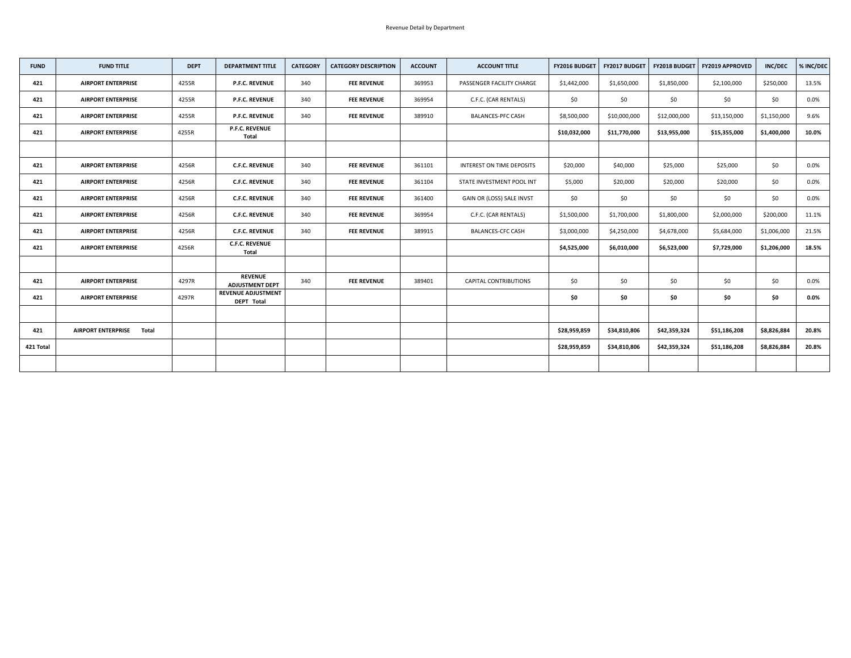| <b>FUND</b> | <b>FUND TITLE</b>                  | <b>DEPT</b> | <b>DEPARTMENT TITLE</b>                        | <b>CATEGORY</b> | <b>CATEGORY DESCRIPTION</b> | <b>ACCOUNT</b> | <b>ACCOUNT TITLE</b>         | <b>FY2016 BUDGET</b> | FY2017 BUDGET |              | FY2018 BUDGET   FY2019 APPROVED | <b>INC/DEC</b> | % INC/DEC |
|-------------|------------------------------------|-------------|------------------------------------------------|-----------------|-----------------------------|----------------|------------------------------|----------------------|---------------|--------------|---------------------------------|----------------|-----------|
| 421         | <b>AIRPORT ENTERPRISE</b>          | 4255R       | <b>P.F.C. REVENUE</b>                          | 340             | <b>FEE REVENUE</b>          | 369953         | PASSENGER FACILITY CHARGE    | \$1,442,000          | \$1,650,000   | \$1,850,000  | \$2,100,000                     | \$250,000      | 13.5%     |
| 421         | <b>AIRPORT ENTERPRISE</b>          | 4255R       | <b>P.F.C. REVENUE</b>                          | 340             | <b>FEE REVENUE</b>          | 369954         | C.F.C. (CAR RENTALS)         | \$0                  | \$0           | \$0          | \$0                             | \$0\$          | 0.0%      |
| 421         | <b>AIRPORT ENTERPRISE</b>          | 4255R       | <b>P.F.C. REVENUE</b>                          | 340             | <b>FEE REVENUE</b>          | 389910         | <b>BALANCES-PFC CASH</b>     | \$8,500,000          | \$10,000,000  | \$12,000,000 | \$13,150,000                    | \$1,150,000    | 9.6%      |
| 421         | <b>AIRPORT ENTERPRISE</b>          | 4255R       | <b>P.F.C. REVENUE</b><br><b>Total</b>          |                 |                             |                |                              | \$10,032,000         | \$11,770,000  | \$13,955,000 | \$15,355,000                    | \$1,400,000    | 10.0%     |
|             |                                    |             |                                                |                 |                             |                |                              |                      |               |              |                                 |                |           |
| 421         | <b>AIRPORT ENTERPRISE</b>          | 4256R       | <b>C.F.C. REVENUE</b>                          | 340             | <b>FEE REVENUE</b>          | 361101         | INTEREST ON TIME DEPOSITS    | \$20,000             | \$40,000      | \$25,000     | \$25,000                        | \$0            | $0.0\%$   |
| 421         | <b>AIRPORT ENTERPRISE</b>          | 4256R       | <b>C.F.C. REVENUE</b>                          | 340             | <b>FEE REVENUE</b>          | 361104         | STATE INVESTMENT POOL INT    | \$5,000              | \$20,000      | \$20,000     | \$20,000                        | \$0\$          | $0.0\%$   |
| 421         | <b>AIRPORT ENTERPRISE</b>          | 4256R       | <b>C.F.C. REVENUE</b>                          | 340             | <b>FEE REVENUE</b>          | 361400         | GAIN OR (LOSS) SALE INVST    | \$0                  | \$0           | \$0          | \$0                             | \$0            | 0.0%      |
| 421         | <b>AIRPORT ENTERPRISE</b>          | 4256R       | <b>C.F.C. REVENUE</b>                          | 340             | <b>FEE REVENUE</b>          | 369954         | C.F.C. (CAR RENTALS)         | \$1,500,000          | \$1,700,000   | \$1,800,000  | \$2,000,000                     | \$200,000      | 11.1%     |
| 421         | <b>AIRPORT ENTERPRISE</b>          | 4256R       | <b>C.F.C. REVENUE</b>                          | 340             | <b>FEE REVENUE</b>          | 389915         | <b>BALANCES-CFC CASH</b>     | \$3,000,000          | \$4,250,000   | \$4,678,000  | \$5,684,000                     | \$1,006,000    | 21.5%     |
| 421         | <b>AIRPORT ENTERPRISE</b>          | 4256R       | <b>C.F.C. REVENUE</b><br><b>Total</b>          |                 |                             |                |                              | \$4,525,000          | \$6,010,000   | \$6,523,000  | \$7,729,000                     | \$1,206,000    | 18.5%     |
|             |                                    |             |                                                |                 |                             |                |                              |                      |               |              |                                 |                |           |
| 421         | <b>AIRPORT ENTERPRISE</b>          | 4297R       | <b>REVENUE</b><br><b>ADJUSTMENT DEPT</b>       | 340             | <b>FEE REVENUE</b>          | 389401         | <b>CAPITAL CONTRIBUTIONS</b> | \$0                  | \$0           | \$0          | \$0                             | \$0            | $0.0\%$   |
| 421         | <b>AIRPORT ENTERPRISE</b>          | 4297R       | <b>REVENUE ADJUSTMENT</b><br><b>DEPT Total</b> |                 |                             |                |                              | \$0                  | \$0           | \$0          | \$0                             | \$0            | $0.0\%$   |
|             |                                    |             |                                                |                 |                             |                |                              |                      |               |              |                                 |                |           |
| 421         | <b>AIRPORT ENTERPRISE</b><br>Total |             |                                                |                 |                             |                |                              | \$28,959,859         | \$34,810,806  | \$42,359,324 | \$51,186,208                    | \$8,826,884    | 20.8%     |
| 421 Total   |                                    |             |                                                |                 |                             |                |                              | \$28,959,859         | \$34,810,806  | \$42,359,324 | \$51,186,208                    | \$8,826,884    | 20.8%     |
|             |                                    |             |                                                |                 |                             |                |                              |                      |               |              |                                 |                |           |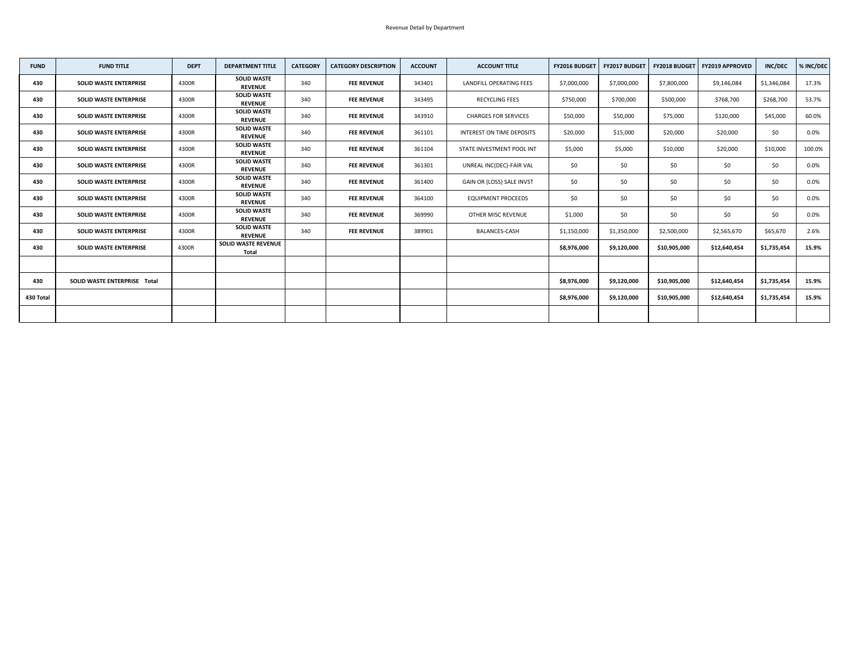| <b>FUND</b> | <b>FUND TITLE</b>                   | <b>DEPT</b> | <b>DEPARTMENT TITLE</b>                    | <b>CATEGORY</b> | <b>CATEGORY DESCRIPTION</b> | <b>ACCOUNT</b> | <b>ACCOUNT TITLE</b>             | <b>FY2016 BUDGET</b> | <b>FY2017 BUDGET</b> | <b>FY2018 BUDGET</b> | <b>FY2019 APPROVED</b> | <b>INC/DEC</b> | % INC/DEC |
|-------------|-------------------------------------|-------------|--------------------------------------------|-----------------|-----------------------------|----------------|----------------------------------|----------------------|----------------------|----------------------|------------------------|----------------|-----------|
| 430         | <b>SOLID WASTE ENTERPRISE</b>       | 4300R       | <b>SOLID WASTE</b><br><b>REVENUE</b>       | 340             | <b>FEE REVENUE</b>          | 343401         | LANDFILL OPERATING FEES          | \$7,000,000          | \$7,000,000          | \$7,800,000          | \$9,146,084            | \$1,346,084    | 17.3%     |
| 430         | <b>SOLID WASTE ENTERPRISE</b>       | 4300R       | <b>SOLID WASTE</b><br><b>REVENUE</b>       | 340             | <b>FEE REVENUE</b>          | 343495         | <b>RECYCLING FEES</b>            | \$750,000            | \$700,000            | \$500,000            | \$768,700              | \$268,700      | 53.7%     |
| 430         | <b>SOLID WASTE ENTERPRISE</b>       | 4300R       | <b>SOLID WASTE</b><br><b>REVENUE</b>       | 340             | <b>FEE REVENUE</b>          | 343910         | <b>CHARGES FOR SERVICES</b>      | \$50,000             | \$50,000             | \$75,000             | \$120,000              | \$45,000       | 60.0%     |
| 430         | <b>SOLID WASTE ENTERPRISE</b>       | 4300R       | <b>SOLID WASTE</b><br><b>REVENUE</b>       | 340             | <b>FEE REVENUE</b>          | 361101         | <b>INTEREST ON TIME DEPOSITS</b> | \$20,000             | \$15,000             | \$20,000             | \$20,000               | \$0\$          | $0.0\%$   |
| 430         | <b>SOLID WASTE ENTERPRISE</b>       | 4300R       | <b>SOLID WASTE</b><br><b>REVENUE</b>       | 340             | <b>FEE REVENUE</b>          | 361104         | STATE INVESTMENT POOL INT        | \$5,000              | \$5,000              | \$10,000             | \$20,000               | \$10,000       | 100.0%    |
| 430         | <b>SOLID WASTE ENTERPRISE</b>       | 4300R       | <b>SOLID WASTE</b><br><b>REVENUE</b>       | 340             | <b>FEE REVENUE</b>          | 361301         | UNREAL INC(DEC)-FAIR VAL         | \$0                  | \$0                  | \$0                  | \$0                    | \$0            | $0.0\%$   |
| 430         | <b>SOLID WASTE ENTERPRISE</b>       | 4300R       | <b>SOLID WASTE</b><br><b>REVENUE</b>       | 340             | <b>FEE REVENUE</b>          | 361400         | GAIN OR (LOSS) SALE INVST        | \$0                  | \$0\$                | \$0                  | \$0                    | \$0\$          | $0.0\%$   |
| 430         | <b>SOLID WASTE ENTERPRISE</b>       | 4300R       | <b>SOLID WASTE</b><br><b>REVENUE</b>       | 340             | <b>FEE REVENUE</b>          | 364100         | <b>EQUIPMENT PROCEEDS</b>        | \$0                  | \$0                  | \$0                  | \$0                    | \$0            | $0.0\%$   |
| 430         | <b>SOLID WASTE ENTERPRISE</b>       | 4300R       | <b>SOLID WASTE</b><br><b>REVENUE</b>       | 340             | <b>FEE REVENUE</b>          | 369990         | OTHER MISC REVENUE               | \$1,000              | \$0                  | \$0                  | \$0                    | \$0            | $0.0\%$   |
| 430         | <b>SOLID WASTE ENTERPRISE</b>       | 4300R       | <b>SOLID WASTE</b><br><b>REVENUE</b>       | 340             | <b>FEE REVENUE</b>          | 389901         | <b>BALANCES-CASH</b>             | \$1,150,000          | \$1,350,000          | \$2,500,000          | \$2,565,670            | \$65,670       | 2.6%      |
| 430         | <b>SOLID WASTE ENTERPRISE</b>       | 4300R       | <b>SOLID WASTE REVENUE</b><br><b>Total</b> |                 |                             |                |                                  | \$8,976,000          | \$9,120,000          | \$10,905,000         | \$12,640,454           | \$1,735,454    | 15.9%     |
|             |                                     |             |                                            |                 |                             |                |                                  |                      |                      |                      |                        |                |           |
| 430         | <b>SOLID WASTE ENTERPRISE Total</b> |             |                                            |                 |                             |                |                                  | \$8,976,000          | \$9,120,000          | \$10,905,000         | \$12,640,454           | \$1,735,454    | 15.9%     |
| 430 Total   |                                     |             |                                            |                 |                             |                |                                  | \$8,976,000          | \$9,120,000          | \$10,905,000         | \$12,640,454           | \$1,735,454    | 15.9%     |
|             |                                     |             |                                            |                 |                             |                |                                  |                      |                      |                      |                        |                |           |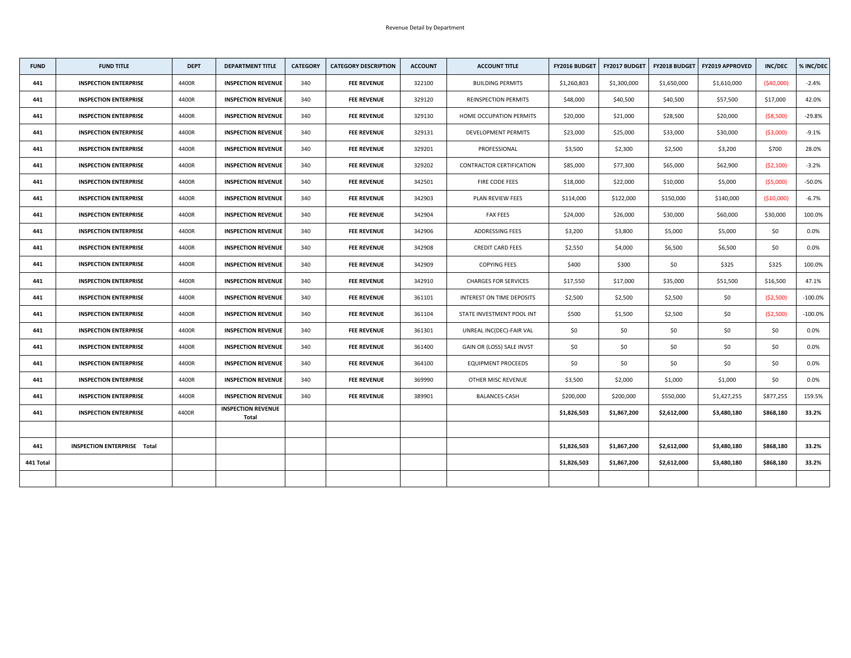| <b>FUND</b> | <b>FUND TITLE</b>                  | <b>DEPT</b> | <b>DEPARTMENT TITLE</b>                   | <b>CATEGORY</b> | <b>CATEGORY DESCRIPTION</b> | <b>ACCOUNT</b> | <b>ACCOUNT TITLE</b>             |             | FY2016 BUDGET   FY2017 BUDGET | <b>FY2018 BUDGET</b> | <b>FY2019 APPROVED</b> | <b>INC/DEC</b> | % INC/DEC  |
|-------------|------------------------------------|-------------|-------------------------------------------|-----------------|-----------------------------|----------------|----------------------------------|-------------|-------------------------------|----------------------|------------------------|----------------|------------|
| 441         | <b>INSPECTION ENTERPRISE</b>       | 4400R       | <b>INSPECTION REVENUE</b>                 | 340             | <b>FEE REVENUE</b>          | 322100         | <b>BUILDING PERMITS</b>          | \$1,260,803 | \$1,300,000                   | \$1,650,000          | \$1,610,000            | (540,000)      | $-2.4%$    |
| 441         | <b>INSPECTION ENTERPRISE</b>       | 4400R       | <b>INSPECTION REVENUE</b>                 | 340             | <b>FEE REVENUE</b>          | 329120         | <b>REINSPECTION PERMITS</b>      | \$48,000    | \$40,500                      | \$40,500             | \$57,500               | \$17,000       | 42.0%      |
| 441         | <b>INSPECTION ENTERPRISE</b>       | 4400R       | <b>INSPECTION REVENUE</b>                 | 340             | <b>FEE REVENUE</b>          | 329130         | HOME OCCUPATION PERMITS          | \$20,000    | \$21,000                      | \$28,500             | \$20,000               | ( \$8,500)     | $-29.8%$   |
| 441         | <b>INSPECTION ENTERPRISE</b>       | 4400R       | <b>INSPECTION REVENUE</b>                 | 340             | <b>FEE REVENUE</b>          | 329131         | <b>DEVELOPMENT PERMITS</b>       | \$23,000    | \$25,000                      | \$33,000             | \$30,000               | ( \$3,000)     | $-9.1%$    |
| 441         | <b>INSPECTION ENTERPRISE</b>       | 4400R       | <b>INSPECTION REVENUE</b>                 | 340             | <b>FEE REVENUE</b>          | 329201         | PROFESSIONAL                     | \$3,500     | \$2,300                       | \$2,500              | \$3,200                | \$700          | 28.0%      |
| 441         | <b>INSPECTION ENTERPRISE</b>       | 4400R       | <b>INSPECTION REVENUE</b>                 | 340             | <b>FEE REVENUE</b>          | 329202         | <b>CONTRACTOR CERTIFICATION</b>  | \$85,000    | \$77,300                      | \$65,000             | \$62,900               | (52, 100)      | $-3.2%$    |
| 441         | <b>INSPECTION ENTERPRISE</b>       | 4400R       | <b>INSPECTION REVENUE</b>                 | 340             | <b>FEE REVENUE</b>          | 342501         | FIRE CODE FEES                   | \$18,000    | \$22,000                      | \$10,000             | \$5,000                | ( \$5,000)     | $-50.0%$   |
| 441         | <b>INSPECTION ENTERPRISE</b>       | 4400R       | <b>INSPECTION REVENUE</b>                 | 340             | <b>FEE REVENUE</b>          | 342903         | PLAN REVIEW FEES                 | \$114,000   | \$122,000                     | \$150,000            | \$140,000              | ( \$10,000)    | $-6.7%$    |
| 441         | <b>INSPECTION ENTERPRISE</b>       | 4400R       | <b>INSPECTION REVENUE</b>                 | 340             | <b>FEE REVENUE</b>          | 342904         | <b>FAX FEES</b>                  | \$24,000    | \$26,000                      | \$30,000             | \$60,000               | \$30,000       | 100.0%     |
| 441         | <b>INSPECTION ENTERPRISE</b>       | 4400R       | <b>INSPECTION REVENUE</b>                 | 340             | <b>FEE REVENUE</b>          | 342906         | ADDRESSING FEES                  | \$3,200     | \$3,800                       | \$5,000              | \$5,000                | \$0            | $0.0\%$    |
| 441         | <b>INSPECTION ENTERPRISE</b>       | 4400R       | <b>INSPECTION REVENUE</b>                 | 340             | <b>FEE REVENUE</b>          | 342908         | <b>CREDIT CARD FEES</b>          | \$2,550     | \$4,000                       | \$6,500              | \$6,500                | \$0\$          | $0.0\%$    |
| 441         | <b>INSPECTION ENTERPRISE</b>       | 4400R       | <b>INSPECTION REVENUE</b>                 | 340             | <b>FEE REVENUE</b>          | 342909         | <b>COPYING FEES</b>              | \$400       | \$300                         | \$0                  | \$325                  | \$325          | 100.0%     |
| 441         | <b>INSPECTION ENTERPRISE</b>       | 4400R       | <b>INSPECTION REVENUE</b>                 | 340             | <b>FEE REVENUE</b>          | 342910         | <b>CHARGES FOR SERVICES</b>      | \$17,550    | \$17,000                      | \$35,000             | \$51,500               | \$16,500       | 47.1%      |
| 441         | <b>INSPECTION ENTERPRISE</b>       | 4400R       | <b>INSPECTION REVENUE</b>                 | 340             | <b>FEE REVENUE</b>          | 361101         | <b>INTEREST ON TIME DEPOSITS</b> | \$2,500     | \$2,500                       | \$2,500              | \$0                    | (52,500)       | $-100.0\%$ |
| 441         | <b>INSPECTION ENTERPRISE</b>       | 4400R       | <b>INSPECTION REVENUE</b>                 | 340             | <b>FEE REVENUE</b>          | 361104         | STATE INVESTMENT POOL INT        | \$500       | \$1,500                       | \$2,500              | \$0                    | ( \$2,500)     | $-100.0\%$ |
| 441         | <b>INSPECTION ENTERPRISE</b>       | 4400R       | <b>INSPECTION REVENUE</b>                 | 340             | <b>FEE REVENUE</b>          | 361301         | UNREAL INC(DEC)-FAIR VAL         | \$0\$       | \$0                           | \$0                  | \$0                    | \$0            | $0.0\%$    |
| 441         | <b>INSPECTION ENTERPRISE</b>       | 4400R       | <b>INSPECTION REVENUE</b>                 | 340             | <b>FEE REVENUE</b>          | 361400         | GAIN OR (LOSS) SALE INVST        | \$0         | \$0                           | \$0\$                | \$0                    | \$0            | $0.0\%$    |
| 441         | <b>INSPECTION ENTERPRISE</b>       | 4400R       | <b>INSPECTION REVENUE</b>                 | 340             | <b>FEE REVENUE</b>          | 364100         | <b>EQUIPMENT PROCEEDS</b>        | \$0\$       | \$0                           | \$0                  | \$0\$                  | \$0            | $0.0\%$    |
| 441         | <b>INSPECTION ENTERPRISE</b>       | 4400R       | <b>INSPECTION REVENUE</b>                 | 340             | <b>FEE REVENUE</b>          | 369990         | OTHER MISC REVENUE               | \$3,500     | \$2,000                       | \$1,000              | \$1,000                | \$0            | $0.0\%$    |
| 441         | <b>INSPECTION ENTERPRISE</b>       | 4400R       | <b>INSPECTION REVENUE</b>                 | 340             | <b>FEE REVENUE</b>          | 389901         | BALANCES-CASH                    | \$200,000   | \$200,000                     | \$550,000            | \$1,427,255            | \$877,255      | 159.5%     |
| 441         | <b>INSPECTION ENTERPRISE</b>       | 4400R       | <b>INSPECTION REVENUE</b><br><b>Total</b> |                 |                             |                |                                  | \$1,826,503 | \$1,867,200                   | \$2,612,000          | \$3,480,180            | \$868,180      | 33.2%      |
|             |                                    |             |                                           |                 |                             |                |                                  |             |                               |                      |                        |                |            |
| 441         | <b>INSPECTION ENTERPRISE Total</b> |             |                                           |                 |                             |                |                                  | \$1,826,503 | \$1,867,200                   | \$2,612,000          | \$3,480,180            | \$868,180      | 33.2%      |
| 441 Total   |                                    |             |                                           |                 |                             |                |                                  | \$1,826,503 | \$1,867,200                   | \$2,612,000          | \$3,480,180            | \$868,180      | 33.2%      |
|             |                                    |             |                                           |                 |                             |                |                                  |             |                               |                      |                        |                |            |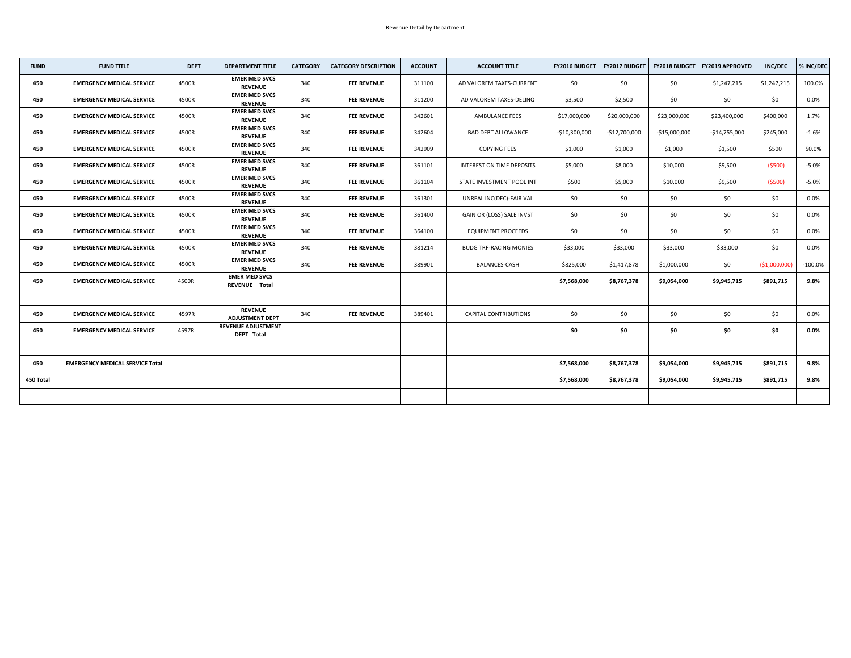| <b>FUND</b> | <b>FUND TITLE</b>                      | <b>DEPT</b> | <b>DEPARTMENT TITLE</b>                        | <b>CATEGORY</b> | <b>CATEGORY DESCRIPTION</b> | <b>ACCOUNT</b> | <b>ACCOUNT TITLE</b>          | <b>FY2016 BUDGET</b> | <b>FY2017 BUDGET</b> |                | <b>FY2018 BUDGET   FY2019 APPROVED</b> | <b>INC/DEC</b> | % INC/DEC |
|-------------|----------------------------------------|-------------|------------------------------------------------|-----------------|-----------------------------|----------------|-------------------------------|----------------------|----------------------|----------------|----------------------------------------|----------------|-----------|
| 450         | <b>EMERGENCY MEDICAL SERVICE</b>       | 4500R       | <b>EMER MED SVCS</b><br><b>REVENUE</b>         | 340             | <b>FEE REVENUE</b>          | 311100         | AD VALOREM TAXES-CURRENT      | \$0                  | \$0                  | \$0            | \$1,247,215                            | \$1,247,215    | 100.0%    |
| 450         | <b>EMERGENCY MEDICAL SERVICE</b>       | 4500R       | <b>EMER MED SVCS</b><br><b>REVENUE</b>         | 340             | <b>FEE REVENUE</b>          | 311200         | AD VALOREM TAXES-DELINQ       | \$3,500              | \$2,500              | \$0            | \$0                                    | \$0\$          | 0.0%      |
| 450         | <b>EMERGENCY MEDICAL SERVICE</b>       | 4500R       | <b>EMER MED SVCS</b><br><b>REVENUE</b>         | 340             | <b>FEE REVENUE</b>          | 342601         | <b>AMBULANCE FEES</b>         | \$17,000,000         | \$20,000,000         | \$23,000,000   | \$23,400,000                           | \$400,000      | 1.7%      |
| 450         | <b>EMERGENCY MEDICAL SERVICE</b>       | 4500R       | <b>EMER MED SVCS</b><br><b>REVENUE</b>         | 340             | <b>FEE REVENUE</b>          | 342604         | <b>BAD DEBT ALLOWANCE</b>     | $-$10,300,000$       | $-$12,700,000$       | $-$15,000,000$ | -\$14,755,000                          | \$245,000      | $-1.6%$   |
| 450         | <b>EMERGENCY MEDICAL SERVICE</b>       | 4500R       | <b>EMER MED SVCS</b><br><b>REVENUE</b>         | 340             | <b>FEE REVENUE</b>          | 342909         | <b>COPYING FEES</b>           | \$1,000              | \$1,000              | \$1,000        | \$1,500                                | \$500          | 50.0%     |
| 450         | <b>EMERGENCY MEDICAL SERVICE</b>       | 4500R       | <b>EMER MED SVCS</b><br><b>REVENUE</b>         | 340             | <b>FEE REVENUE</b>          | 361101         | INTEREST ON TIME DEPOSITS     | \$5,000              | \$8,000              | \$10,000       | \$9,500                                | (5500)         | $-5.0%$   |
| 450         | <b>EMERGENCY MEDICAL SERVICE</b>       | 4500R       | <b>EMER MED SVCS</b><br><b>REVENUE</b>         | 340             | <b>FEE REVENUE</b>          | 361104         | STATE INVESTMENT POOL INT     | \$500                | \$5,000              | \$10,000       | \$9,500                                | (5500)         | $-5.0%$   |
| 450         | <b>EMERGENCY MEDICAL SERVICE</b>       | 4500R       | <b>EMER MED SVCS</b><br><b>REVENUE</b>         | 340             | <b>FEE REVENUE</b>          | 361301         | UNREAL INC(DEC)-FAIR VAL      | \$0                  | \$0                  | \$0            | \$0                                    | \$0            | $0.0\%$   |
| 450         | <b>EMERGENCY MEDICAL SERVICE</b>       | 4500R       | <b>EMER MED SVCS</b><br><b>REVENUE</b>         | 340             | <b>FEE REVENUE</b>          | 361400         | GAIN OR (LOSS) SALE INVST     | \$0                  | \$0                  | \$0            | \$0                                    | \$0            | 0.0%      |
| 450         | <b>EMERGENCY MEDICAL SERVICE</b>       | 4500R       | <b>EMER MED SVCS</b><br><b>REVENUE</b>         | 340             | <b>FEE REVENUE</b>          | 364100         | <b>EQUIPMENT PROCEEDS</b>     | \$0                  | \$0\$                | \$0            | \$0                                    | \$0\$          | 0.0%      |
| 450         | <b>EMERGENCY MEDICAL SERVICE</b>       | 4500R       | <b>EMER MED SVCS</b><br><b>REVENUE</b>         | 340             | <b>FEE REVENUE</b>          | 381214         | <b>BUDG TRF-RACING MONIES</b> | \$33,000             | \$33,000             | \$33,000       | \$33,000                               | \$0\$          | $0.0\%$   |
| 450         | <b>EMERGENCY MEDICAL SERVICE</b>       | 4500R       | <b>EMER MED SVCS</b><br><b>REVENUE</b>         | 340             | <b>FEE REVENUE</b>          | 389901         | <b>BALANCES-CASH</b>          | \$825,000            | \$1,417,878          | \$1,000,000    | \$0\$                                  | ( \$1,000,000] | $-100.0%$ |
| 450         | <b>EMERGENCY MEDICAL SERVICE</b>       | 4500R       | <b>EMER MED SVCS</b><br><b>REVENUE Total</b>   |                 |                             |                |                               | \$7,568,000          | \$8,767,378          | \$9,054,000    | \$9,945,715                            | \$891,715      | 9.8%      |
|             |                                        |             |                                                |                 |                             |                |                               |                      |                      |                |                                        |                |           |
| 450         | <b>EMERGENCY MEDICAL SERVICE</b>       | 4597R       | <b>REVENUE</b><br><b>ADJUSTMENT DEPT</b>       | 340             | <b>FEE REVENUE</b>          | 389401         | <b>CAPITAL CONTRIBUTIONS</b>  | \$0\$                | \$0\$                | \$0\$          | \$0                                    | \$0            | $0.0\%$   |
| 450         | <b>EMERGENCY MEDICAL SERVICE</b>       | 4597R       | <b>REVENUE ADJUSTMENT</b><br><b>DEPT Total</b> |                 |                             |                |                               | \$0                  | \$0                  | \$0            | \$0                                    | \$0            | $0.0\%$   |
|             |                                        |             |                                                |                 |                             |                |                               |                      |                      |                |                                        |                |           |
| 450         | <b>EMERGENCY MEDICAL SERVICE Total</b> |             |                                                |                 |                             |                |                               | \$7,568,000          | \$8,767,378          | \$9,054,000    | \$9,945,715                            | \$891,715      | 9.8%      |
| 450 Total   |                                        |             |                                                |                 |                             |                |                               | \$7,568,000          | \$8,767,378          | \$9,054,000    | \$9,945,715                            | \$891,715      | 9.8%      |
|             |                                        |             |                                                |                 |                             |                |                               |                      |                      |                |                                        |                |           |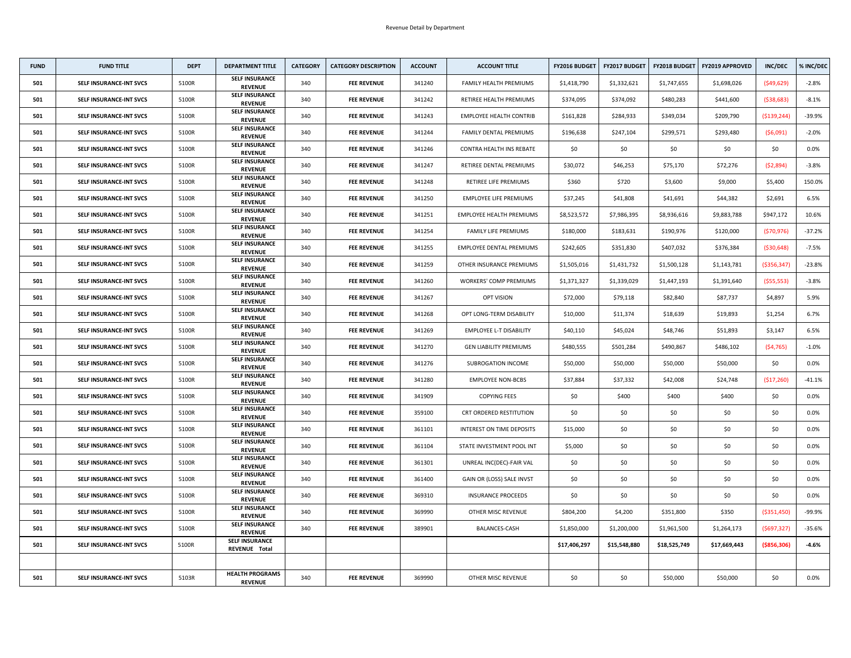| <b>FUND</b> | <b>FUND TITLE</b>              | <b>DEPT</b> | <b>DEPARTMENT TITLE</b>                  | <b>CATEGORY</b> | <b>CATEGORY DESCRIPTION</b> | <b>ACCOUNT</b> | <b>ACCOUNT TITLE</b>            | <b>FY2016 BUDGET</b> | <b>FY2017 BUDGET</b> | <b>FY2018 BUDGET</b> | <b>FY2019 APPROVED</b> | <b>INC/DEC</b> | % INC/DEC |
|-------------|--------------------------------|-------------|------------------------------------------|-----------------|-----------------------------|----------------|---------------------------------|----------------------|----------------------|----------------------|------------------------|----------------|-----------|
| 501         | <b>SELF INSURANCE-INT SVCS</b> | 5100R       | <b>SELF INSURANCE</b><br><b>REVENUE</b>  | 340             | <b>FEE REVENUE</b>          | 341240         | FAMILY HEALTH PREMIUMS          | \$1,418,790          | \$1,332,621          | \$1,747,655          | \$1,698,026            | (549, 629)     | $-2.8%$   |
| 501         | <b>SELF INSURANCE-INT SVCS</b> | 5100R       | <b>SELF INSURANCE</b><br><b>REVENUE</b>  | 340             | <b>FEE REVENUE</b>          | 341242         | RETIREE HEALTH PREMIUMS         | \$374,095            | \$374,092            | \$480,283            | \$441,600              | ( \$38, 683)   | $-8.1%$   |
| 501         | <b>SELF INSURANCE-INT SVCS</b> | 5100R       | <b>SELF INSURANCE</b><br><b>REVENUE</b>  | 340             | <b>FEE REVENUE</b>          | 341243         | <b>EMPLOYEE HEALTH CONTRIB</b>  | \$161,828            | \$284,933            | \$349,034            | \$209,790              | ( \$139, 244)  | $-39.9%$  |
| 501         | <b>SELF INSURANCE-INT SVCS</b> | 5100R       | <b>SELF INSURANCE</b><br><b>REVENUE</b>  | 340             | <b>FEE REVENUE</b>          | 341244         | FAMILY DENTAL PREMIUMS          | \$196,638            | \$247,104            | \$299,571            | \$293,480              | (56,091)       | $-2.0%$   |
| 501         | <b>SELF INSURANCE-INT SVCS</b> | 5100R       | <b>SELF INSURANCE</b><br><b>REVENUE</b>  | 340             | <b>FEE REVENUE</b>          | 341246         | <b>CONTRA HEALTH INS REBATE</b> | \$0\$                | \$0                  | \$0                  | \$0\$                  | \$0            | 0.0%      |
| 501         | <b>SELF INSURANCE-INT SVCS</b> | 5100R       | <b>SELF INSURANCE</b><br><b>REVENUE</b>  | 340             | <b>FEE REVENUE</b>          | 341247         | RETIREE DENTAL PREMIUMS         | \$30,072             | \$46,253             | \$75,170             | \$72,276               | (52,894)       | $-3.8%$   |
| 501         | <b>SELF INSURANCE-INT SVCS</b> | 5100R       | <b>SELF INSURANCE</b><br><b>REVENUE</b>  | 340             | <b>FEE REVENUE</b>          | 341248         | RETIREE LIFE PREMIUMS           | \$360                | \$720                | \$3,600              | \$9,000                | \$5,400        | 150.0%    |
| 501         | <b>SELF INSURANCE-INT SVCS</b> | 5100R       | <b>SELF INSURANCE</b><br><b>REVENUE</b>  | 340             | <b>FEE REVENUE</b>          | 341250         | <b>EMPLOYEE LIFE PREMIUMS</b>   | \$37,245             | \$41,808             | \$41,691             | \$44,382               | \$2,691        | 6.5%      |
| 501         | <b>SELF INSURANCE-INT SVCS</b> | 5100R       | <b>SELF INSURANCE</b><br><b>REVENUE</b>  | 340             | <b>FEE REVENUE</b>          | 341251         | <b>EMPLOYEE HEALTH PREMIUMS</b> | \$8,523,572          | \$7,986,395          | \$8,936,616          | \$9,883,788            | \$947,172      | 10.6%     |
| 501         | <b>SELF INSURANCE-INT SVCS</b> | 5100R       | <b>SELF INSURANCE</b><br><b>REVENUE</b>  | 340             | <b>FEE REVENUE</b>          | 341254         | <b>FAMILY LIFE PREMIUMS</b>     | \$180,000            | \$183,631            | \$190,976            | \$120,000              | (570, 976)     | $-37.2%$  |
| 501         | <b>SELF INSURANCE-INT SVCS</b> | 5100R       | <b>SELF INSURANCE</b><br><b>REVENUE</b>  | 340             | <b>FEE REVENUE</b>          | 341255         | <b>EMPLOYEE DENTAL PREMIUMS</b> | \$242,605            | \$351,830            | \$407,032            | \$376,384              | ( \$30, 648)   | $-7.5%$   |
| 501         | <b>SELF INSURANCE-INT SVCS</b> | 5100R       | <b>SELF INSURANCE</b><br><b>REVENUE</b>  | 340             | <b>FEE REVENUE</b>          | 341259         | OTHER INSURANCE PREMIUMS        | \$1,505,016          | \$1,431,732          | \$1,500,128          | \$1,143,781            | ( \$356, 347)  | $-23.8%$  |
| 501         | <b>SELF INSURANCE-INT SVCS</b> | 5100R       | <b>SELF INSURANCE</b><br><b>REVENUE</b>  | 340             | <b>FEE REVENUE</b>          | 341260         | <b>WORKERS' COMP PREMIUMS</b>   | \$1,371,327          | \$1,339,029          | \$1,447,193          | \$1,391,640            | (555, 553)     | $-3.8%$   |
| 501         | <b>SELF INSURANCE-INT SVCS</b> | 5100R       | <b>SELF INSURANCE</b><br><b>REVENUE</b>  | 340             | <b>FEE REVENUE</b>          | 341267         | <b>OPT VISION</b>               | \$72,000             | \$79,118             | \$82,840             | \$87,737               | \$4,897        | 5.9%      |
| 501         | <b>SELF INSURANCE-INT SVCS</b> | 5100R       | <b>SELF INSURANCE</b><br><b>REVENUE</b>  | 340             | <b>FEE REVENUE</b>          | 341268         | OPT LONG-TERM DISABILITY        | \$10,000             | \$11,374             | \$18,639             | \$19,893               | \$1,254        | 6.7%      |
| 501         | <b>SELF INSURANCE-INT SVCS</b> | 5100R       | <b>SELF INSURANCE</b><br><b>REVENUE</b>  | 340             | <b>FEE REVENUE</b>          | 341269         | <b>EMPLOYEE L-T DISABILITY</b>  | \$40,110             | \$45,024             | \$48,746             | \$51,893               | \$3,147        | 6.5%      |
| 501         | <b>SELF INSURANCE-INT SVCS</b> | 5100R       | <b>SELF INSURANCE</b><br><b>REVENUE</b>  | 340             | <b>FEE REVENUE</b>          | 341270         | <b>GEN LIABILITY PREMIUMS</b>   | \$480,555            | \$501,284            | \$490,867            | \$486,102              | (54, 765)      | $-1.0\%$  |
| 501         | <b>SELF INSURANCE-INT SVCS</b> | 5100R       | <b>SELF INSURANCE</b><br><b>REVENUE</b>  | 340             | <b>FEE REVENUE</b>          | 341276         | <b>SUBROGATION INCOME</b>       | \$50,000             | \$50,000             | \$50,000             | \$50,000               | \$0            | $0.0\%$   |
| 501         | <b>SELF INSURANCE-INT SVCS</b> | 5100R       | <b>SELF INSURANCE</b><br><b>REVENUE</b>  | 340             | <b>FEE REVENUE</b>          | 341280         | <b>EMPLOYEE NON-BCBS</b>        | \$37,884             | \$37,332             | \$42,008             | \$24,748               | (517, 260)     | $-41.1%$  |
| 501         | <b>SELF INSURANCE-INT SVCS</b> | 5100R       | <b>SELF INSURANCE</b><br><b>REVENUE</b>  | 340             | <b>FEE REVENUE</b>          | 341909         | <b>COPYING FEES</b>             | \$0\$                | \$400                | \$400                | \$400                  | \$0\$          | $0.0\%$   |
| 501         | <b>SELF INSURANCE-INT SVCS</b> | 5100R       | <b>SELF INSURANCE</b><br><b>REVENUE</b>  | 340             | <b>FEE REVENUE</b>          | 359100         | <b>CRT ORDERED RESTITUTION</b>  | \$0                  | \$0                  | \$0                  | \$0                    | \$0            | $0.0\%$   |
| 501         | <b>SELF INSURANCE-INT SVCS</b> | 5100R       | <b>SELF INSURANCE</b><br><b>REVENUE</b>  | 340             | <b>FEE REVENUE</b>          | 361101         | INTEREST ON TIME DEPOSITS       | \$15,000             | \$0                  | \$0                  | \$0                    | \$0            | $0.0\%$   |
| 501         | <b>SELF INSURANCE-INT SVCS</b> | 5100R       | <b>SELF INSURANCE</b><br><b>REVENUE</b>  | 340             | <b>FEE REVENUE</b>          | 361104         | STATE INVESTMENT POOL INT       | \$5,000              | \$0                  | \$0                  | \$0                    | \$0\$          | 0.0%      |
| 501         | <b>SELF INSURANCE-INT SVCS</b> | 5100R       | <b>SELF INSURANCE</b><br><b>REVENUE</b>  | 340             | <b>FEE REVENUE</b>          | 361301         | UNREAL INC(DEC)-FAIR VAL        | \$0                  | \$0                  | \$0                  | \$0                    | \$0\$          | $0.0\%$   |
| 501         | <b>SELF INSURANCE-INT SVCS</b> | 5100R       | <b>SELF INSURANCE</b><br><b>REVENUE</b>  | 340             | <b>FEE REVENUE</b>          | 361400         | GAIN OR (LOSS) SALE INVST       | \$0\$                | \$0                  | \$0                  | \$0\$                  | \$0            | 0.0%      |
| 501         | <b>SELF INSURANCE-INT SVCS</b> | 5100R       | <b>SELF INSURANCE</b><br><b>REVENUE</b>  | 340             | <b>FEE REVENUE</b>          | 369310         | <b>INSURANCE PROCEEDS</b>       | \$0\$                | \$0                  | \$0\$                | \$0                    | \$0\$          | $0.0\%$   |
| 501         | <b>SELF INSURANCE-INT SVCS</b> | 5100R       | <b>SELF INSURANCE</b><br><b>REVENUE</b>  | 340             | <b>FEE REVENUE</b>          | 369990         | OTHER MISC REVENUE              | \$804,200            | \$4,200              | \$351,800            | \$350                  | ( \$351,450)   | -99.9%    |
| 501         | <b>SELF INSURANCE-INT SVCS</b> | 5100R       | <b>SELF INSURANCE</b><br><b>REVENUE</b>  | 340             | <b>FEE REVENUE</b>          | 389901         | <b>BALANCES-CASH</b>            | \$1,850,000          | \$1,200,000          | \$1,961,500          | \$1,264,173            | (5697,327)     | $-35.6%$  |
| 501         | <b>SELF INSURANCE-INT SVCS</b> | 5100R       | <b>SELF INSURANCE</b><br>REVENUE Total   |                 |                             |                |                                 | \$17,406,297         | \$15,548,880         | \$18,525,749         | \$17,669,443           | ( \$856, 306)  | $-4.6%$   |
|             |                                |             |                                          |                 |                             |                |                                 |                      |                      |                      |                        |                |           |
| 501         | <b>SELF INSURANCE-INT SVCS</b> | 5103R       | <b>HEALTH PROGRAMS</b><br><b>REVENUE</b> | 340             | <b>FEE REVENUE</b>          | 369990         | <b>OTHER MISC REVENUE</b>       | \$0                  | \$0                  | \$50,000             | \$50,000               | \$0            | $0.0\%$   |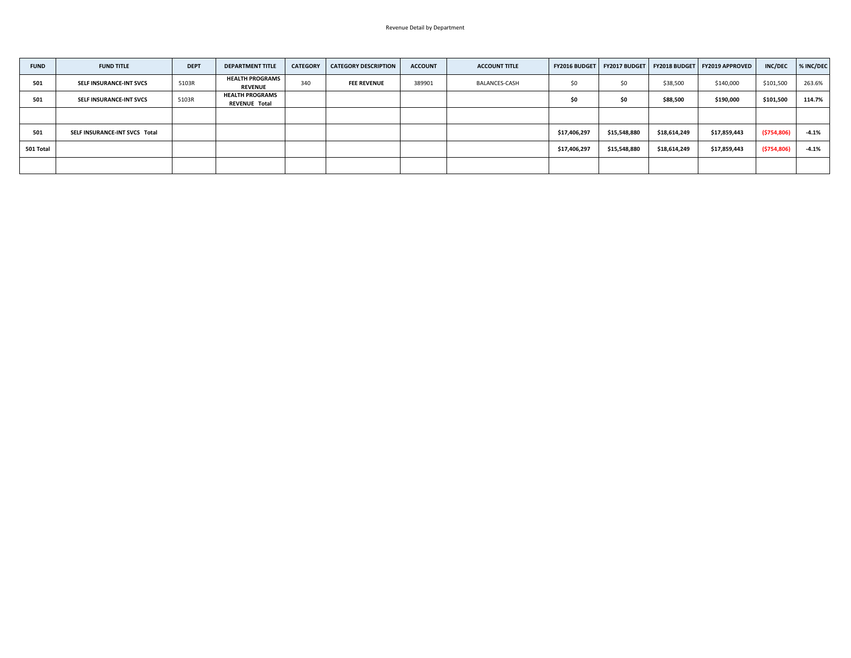| <b>FUND</b> | <b>FUND TITLE</b>              | <b>DEPT</b> | <b>DEPARTMENT TITLE</b>                        | <b>CATEGORY</b> | <b>CATEGORY DESCRIPTION</b> | <b>ACCOUNT</b> | <b>ACCOUNT TITLE</b> | <b>FY2016 BUDGET</b> |              |              | FY2017 BUDGET   FY2018 BUDGET   FY2019 APPROVED | <b>INC/DEC</b> | % INC/DEC |
|-------------|--------------------------------|-------------|------------------------------------------------|-----------------|-----------------------------|----------------|----------------------|----------------------|--------------|--------------|-------------------------------------------------|----------------|-----------|
| 501         | <b>SELF INSURANCE-INT SVCS</b> | 5103R       | <b>HEALTH PROGRAMS</b><br><b>REVENUE</b>       | 340             | <b>FEE REVENUE</b>          | 389901         | <b>BALANCES-CASH</b> | \$0                  | \$0          | \$38,500     | \$140,000                                       | \$101,500      | 263.6%    |
| 501         | <b>SELF INSURANCE-INT SVCS</b> | 5103R       | <b>HEALTH PROGRAMS</b><br><b>REVENUE Total</b> |                 |                             |                |                      |                      | \$0          | \$88,500     | \$190,000                                       | \$101,500      | 114.7%    |
|             |                                |             |                                                |                 |                             |                |                      |                      |              |              |                                                 |                |           |
| 501         | SELF INSURANCE-INT SVCS Total  |             |                                                |                 |                             |                |                      | \$17,406,297         | \$15,548,880 | \$18,614,249 | \$17,859,443                                    | ( \$754, 806)  | $-4.1%$   |
| 501 Total   |                                |             |                                                |                 |                             |                |                      | \$17,406,297         | \$15,548,880 | \$18,614,249 | \$17,859,443                                    | (\$754,806)    | $-4.1%$   |
|             |                                |             |                                                |                 |                             |                |                      |                      |              |              |                                                 |                |           |